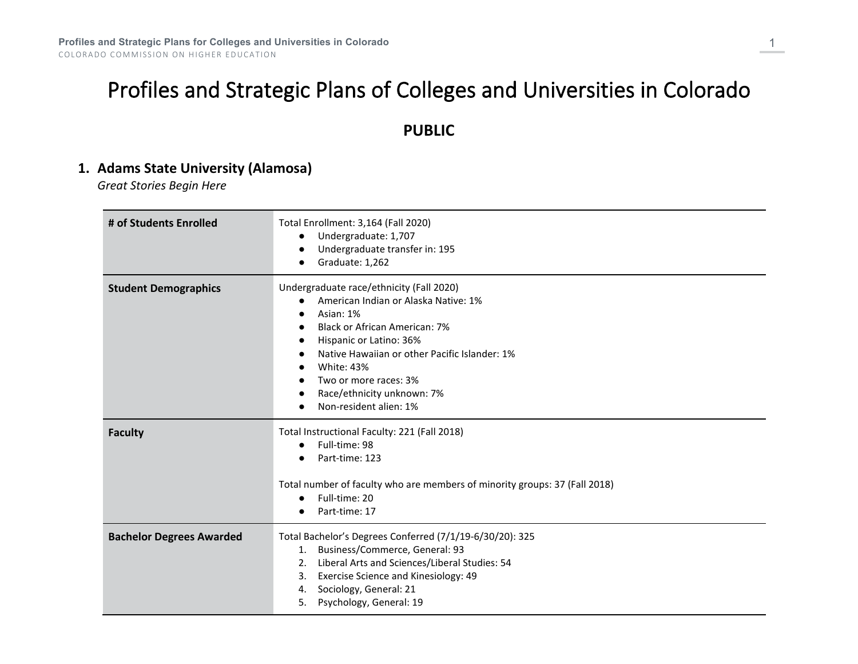# Profiles and Strategic Plans of Colleges and Universities in Colorado

# **PUBLIC**

# **1. Adams State University (Alamosa)**

*Great Stories Begin Here*

| # of Students Enrolled          | Total Enrollment: 3,164 (Fall 2020)<br>Undergraduate: 1,707<br>$\bullet$<br>Undergraduate transfer in: 195<br>$\bullet$<br>Graduate: 1,262<br>$\bullet$                                                                                                                                                                                                                          |
|---------------------------------|----------------------------------------------------------------------------------------------------------------------------------------------------------------------------------------------------------------------------------------------------------------------------------------------------------------------------------------------------------------------------------|
| <b>Student Demographics</b>     | Undergraduate race/ethnicity (Fall 2020)<br>American Indian or Alaska Native: 1%<br>$\bullet$<br>Asian: 1%<br><b>Black or African American: 7%</b><br>$\bullet$<br>Hispanic or Latino: 36%<br>$\bullet$<br>Native Hawaiian or other Pacific Islander: 1%<br><b>White: 43%</b><br>Two or more races: 3%<br>Race/ethnicity unknown: 7%<br>٠<br>Non-resident alien: 1%<br>$\bullet$ |
| <b>Faculty</b>                  | Total Instructional Faculty: 221 (Fall 2018)<br>Full-time: 98<br>$\bullet$<br>Part-time: 123<br>Total number of faculty who are members of minority groups: 37 (Fall 2018)<br>Full-time: 20<br>$\bullet$<br>Part-time: 17                                                                                                                                                        |
| <b>Bachelor Degrees Awarded</b> | Total Bachelor's Degrees Conferred (7/1/19-6/30/20): 325<br>Business/Commerce, General: 93<br>1.<br>Liberal Arts and Sciences/Liberal Studies: 54<br>2.<br>Exercise Science and Kinesiology: 49<br>3.<br>Sociology, General: 21<br>4.<br>Psychology, General: 19<br>5.                                                                                                           |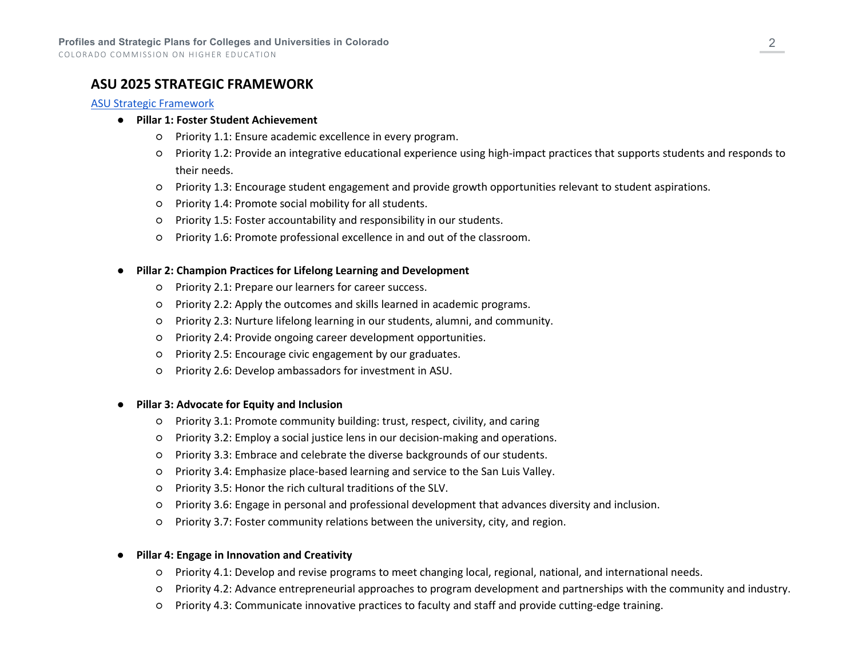### **ASU 2025 STRATEGIC FRAMEWORK**

#### [ASU Strategic Framework](https://drive.google.com/file/d/1zQDFD80r7VXW7uffACen2euJUC4XdoF8/view)

#### ● **Pillar 1: Foster Student Achievement**

- Priority 1.1: Ensure academic excellence in every program.
- Priority 1.2: Provide an integrative educational experience using high-impact practices that supports students and responds to their needs.
- Priority 1.3: Encourage student engagement and provide growth opportunities relevant to student aspirations.
- Priority 1.4: Promote social mobility for all students.
- Priority 1.5: Foster accountability and responsibility in our students.
- Priority 1.6: Promote professional excellence in and out of the classroom.

#### **Pillar 2: Champion Practices for Lifelong Learning and Development**

- Priority 2.1: Prepare our learners for career success.
- Priority 2.2: Apply the outcomes and skills learned in academic programs.
- Priority 2.3: Nurture lifelong learning in our students, alumni, and community.
- Priority 2.4: Provide ongoing career development opportunities.
- Priority 2.5: Encourage civic engagement by our graduates.
- Priority 2.6: Develop ambassadors for investment in ASU.

#### **Pillar 3: Advocate for Equity and Inclusion**

- Priority 3.1: Promote community building: trust, respect, civility, and caring
- Priority 3.2: Employ a social justice lens in our decision-making and operations.
- Priority 3.3: Embrace and celebrate the diverse backgrounds of our students.
- Priority 3.4: Emphasize place-based learning and service to the San Luis Valley.
- Priority 3.5: Honor the rich cultural traditions of the SLV.
- Priority 3.6: Engage in personal and professional development that advances diversity and inclusion.
- Priority 3.7: Foster community relations between the university, city, and region.

#### ● **Pillar 4: Engage in Innovation and Creativity**

- Priority 4.1: Develop and revise programs to meet changing local, regional, national, and international needs.
- Priority 4.2: Advance entrepreneurial approaches to program development and partnerships with the community and industry.
- Priority 4.3: Communicate innovative practices to faculty and staff and provide cutting-edge training.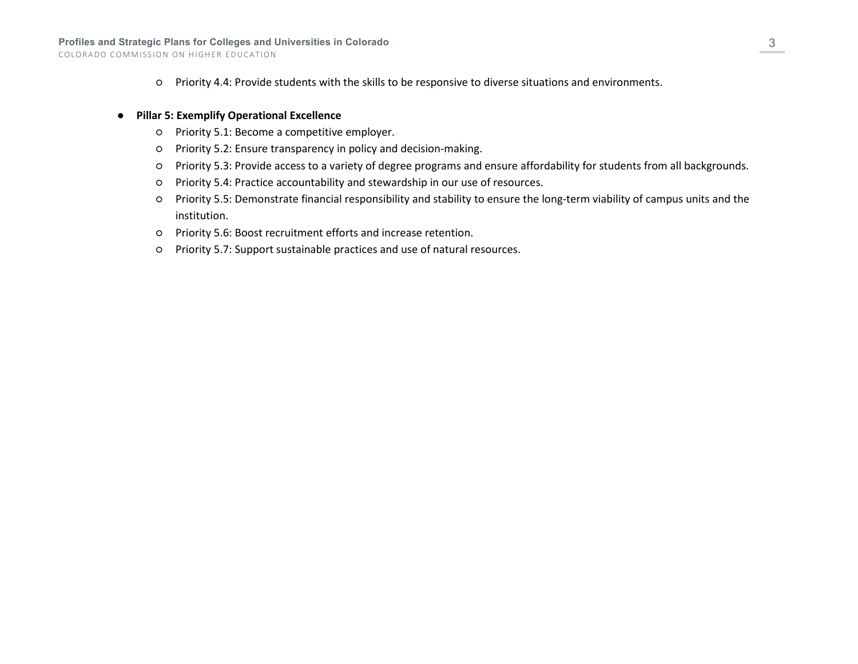○ Priority 4.4: Provide students with the skills to be responsive to diverse situations and environments.

#### ● **Pillar 5: Exemplify Operational Excellence**

- Priority 5.1: Become a competitive employer.
- Priority 5.2: Ensure transparency in policy and decision-making.
- Priority 5.3: Provide access to a variety of degree programs and ensure affordability for students from all backgrounds.
- Priority 5.4: Practice accountability and stewardship in our use of resources.
- Priority 5.5: Demonstrate financial responsibility and stability to ensure the long-term viability of campus units and the institution.
- Priority 5.6: Boost recruitment efforts and increase retention.
- Priority 5.7: Support sustainable practices and use of natural resources.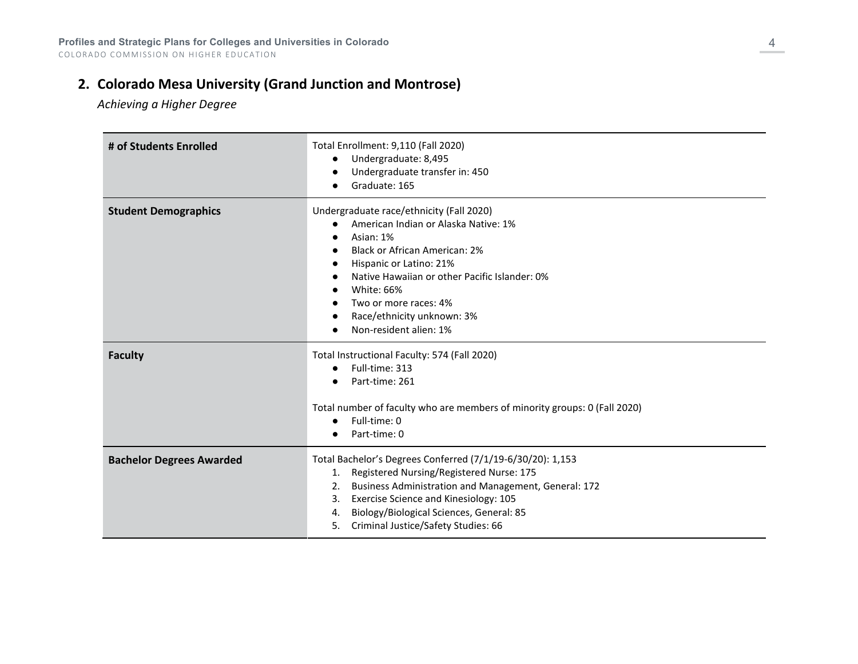# **2. Colorado Mesa University (Grand Junction and Montrose)**

*Achieving a Higher Degree*

| # of Students Enrolled          | Total Enrollment: 9,110 (Fall 2020)<br>Undergraduate: 8,495<br>$\bullet$<br>Undergraduate transfer in: 450<br>Graduate: 165                                                                                                                                                                                           |
|---------------------------------|-----------------------------------------------------------------------------------------------------------------------------------------------------------------------------------------------------------------------------------------------------------------------------------------------------------------------|
| <b>Student Demographics</b>     | Undergraduate race/ethnicity (Fall 2020)<br>American Indian or Alaska Native: 1%<br>Asian: 1%<br><b>Black or African American: 2%</b><br>Hispanic or Latino: 21%<br>Native Hawaiian or other Pacific Islander: 0%<br>White: 66%<br>Two or more races: 4%<br>Race/ethnicity unknown: 3%<br>Non-resident alien: 1%      |
| <b>Faculty</b>                  | Total Instructional Faculty: 574 (Fall 2020)<br>Full-time: 313<br>$\bullet$<br>Part-time: 261<br>Total number of faculty who are members of minority groups: 0 (Fall 2020)<br>Full-time: 0<br>Part-time: 0                                                                                                            |
| <b>Bachelor Degrees Awarded</b> | Total Bachelor's Degrees Conferred (7/1/19-6/30/20): 1,153<br>1. Registered Nursing/Registered Nurse: 175<br>Business Administration and Management, General: 172<br>2.<br>Exercise Science and Kinesiology: 105<br>3.<br>Biology/Biological Sciences, General: 85<br>4.<br>Criminal Justice/Safety Studies: 66<br>5. |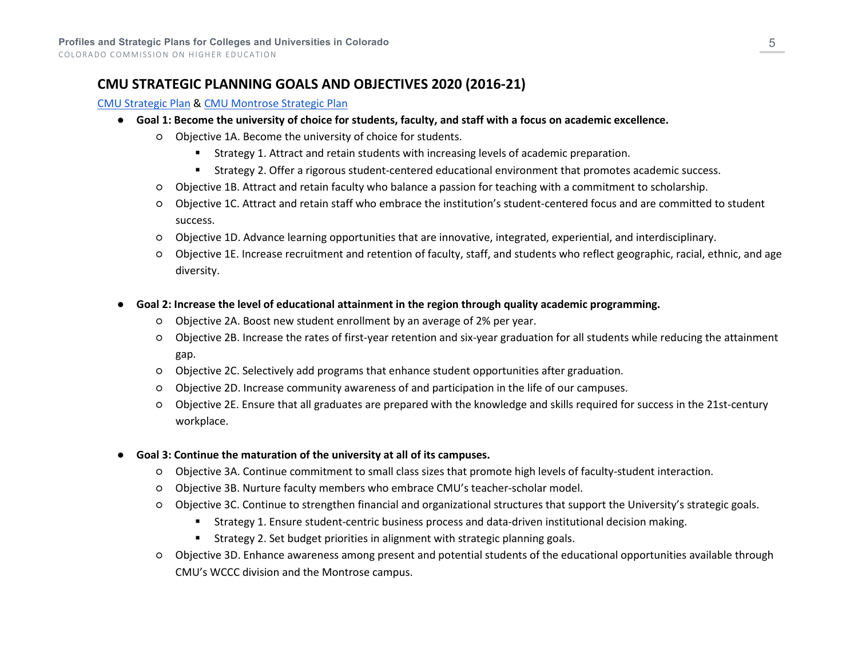# **CMU STRATEGIC PLANNING GOALS AND OBJECTIVES 2020 (2016-21)**

#### [CMU Strategic Plan](https://www.coloradomesa.edu/president/documents/StrategicPlan01-2016.pdf) & [CMU Montrose Strategic Plan](https://www.coloradomesa.edu/strategic-plan/2020cmumontrosestrategicplan.pdf)

- **Goal 1: Become the university of choice for students, faculty, and staff with a focus on academic excellence.**
	- Objective 1A. Become the university of choice for students.
		- Strategy 1. Attract and retain students with increasing levels of academic preparation.
		- Strategy 2. Offer a rigorous student-centered educational environment that promotes academic success.
	- Objective 1B. Attract and retain faculty who balance a passion for teaching with a commitment to scholarship.
	- Objective 1C. Attract and retain staff who embrace the institution's student-centered focus and are committed to student success.
	- Objective 1D. Advance learning opportunities that are innovative, integrated, experiential, and interdisciplinary.
	- Objective 1E. Increase recruitment and retention of faculty, staff, and students who reflect geographic, racial, ethnic, and age diversity.
- **Goal 2: Increase the level of educational attainment in the region through quality academic programming.**
	- Objective 2A. Boost new student enrollment by an average of 2% per year.
	- Objective 2B. Increase the rates of first-year retention and six-year graduation for all students while reducing the attainment gap.
	- Objective 2C. Selectively add programs that enhance student opportunities after graduation.
	- Objective 2D. Increase community awareness of and participation in the life of our campuses.
	- Objective 2E. Ensure that all graduates are prepared with the knowledge and skills required for success in the 21st-century workplace.
- **Goal 3: Continue the maturation of the university at all of its campuses.**
	- Objective 3A. Continue commitment to small class sizes that promote high levels of faculty-student interaction.
	- Objective 3B. Nurture faculty members who embrace CMU's teacher-scholar model.
	- Objective 3C. Continue to strengthen financial and organizational structures that support the University's strategic goals.
		- Strategy 1. Ensure student-centric business process and data-driven institutional decision making.
		- Strategy 2. Set budget priorities in alignment with strategic planning goals.
	- Objective 3D. Enhance awareness among present and potential students of the educational opportunities available through CMU's WCCC division and the Montrose campus.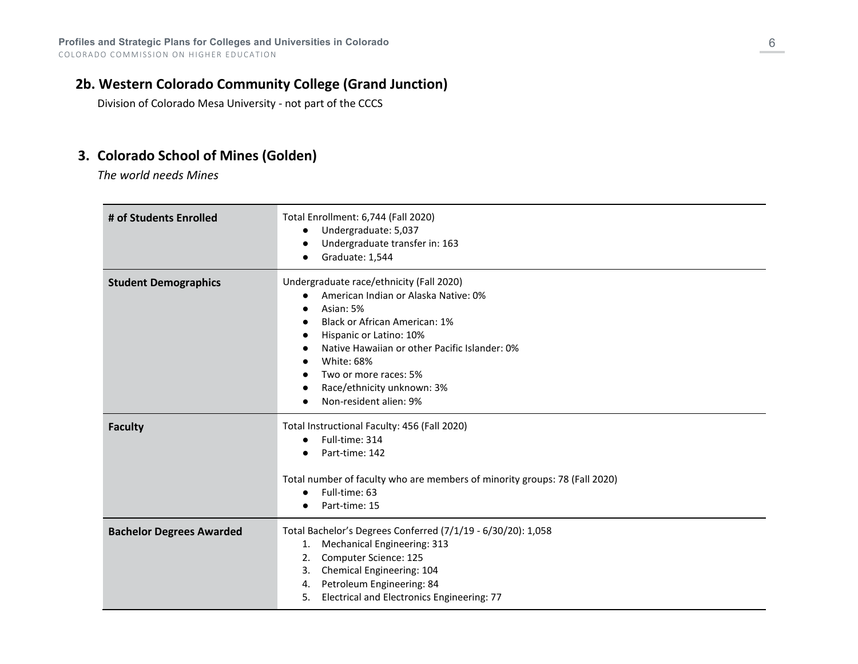# **2b. Western Colorado Community College (Grand Junction)**

Division of Colorado Mesa University - not part of the CCCS

# **3. Colorado School of Mines (Golden)**

*The world needs Mines*

| # of Students Enrolled          | Total Enrollment: 6,744 (Fall 2020)<br>Undergraduate: 5,037<br>$\bullet$<br>Undergraduate transfer in: 163<br>Graduate: 1,544<br>$\bullet$                                                                                                                                                                                                                    |
|---------------------------------|---------------------------------------------------------------------------------------------------------------------------------------------------------------------------------------------------------------------------------------------------------------------------------------------------------------------------------------------------------------|
| <b>Student Demographics</b>     | Undergraduate race/ethnicity (Fall 2020)<br>American Indian or Alaska Native: 0%<br>$\bullet$<br>Asian: 5%<br>Black or African American: 1%<br>$\bullet$<br>Hispanic or Latino: 10%<br>$\bullet$<br>Native Hawaiian or other Pacific Islander: 0%<br>$\bullet$<br>White: 68%<br>Two or more races: 5%<br>Race/ethnicity unknown: 3%<br>Non-resident alien: 9% |
| <b>Faculty</b>                  | Total Instructional Faculty: 456 (Fall 2020)<br>Full-time: 314<br>$\bullet$<br>Part-time: 142<br>Total number of faculty who are members of minority groups: 78 (Fall 2020)<br>Full-time: 63<br>$\bullet$<br>Part-time: 15                                                                                                                                    |
| <b>Bachelor Degrees Awarded</b> | Total Bachelor's Degrees Conferred (7/1/19 - 6/30/20): 1,058<br>Mechanical Engineering: 313<br>1.<br>Computer Science: 125<br>2.<br>Chemical Engineering: 104<br>3.<br>Petroleum Engineering: 84<br>4.<br>Electrical and Electronics Engineering: 77<br>5.                                                                                                    |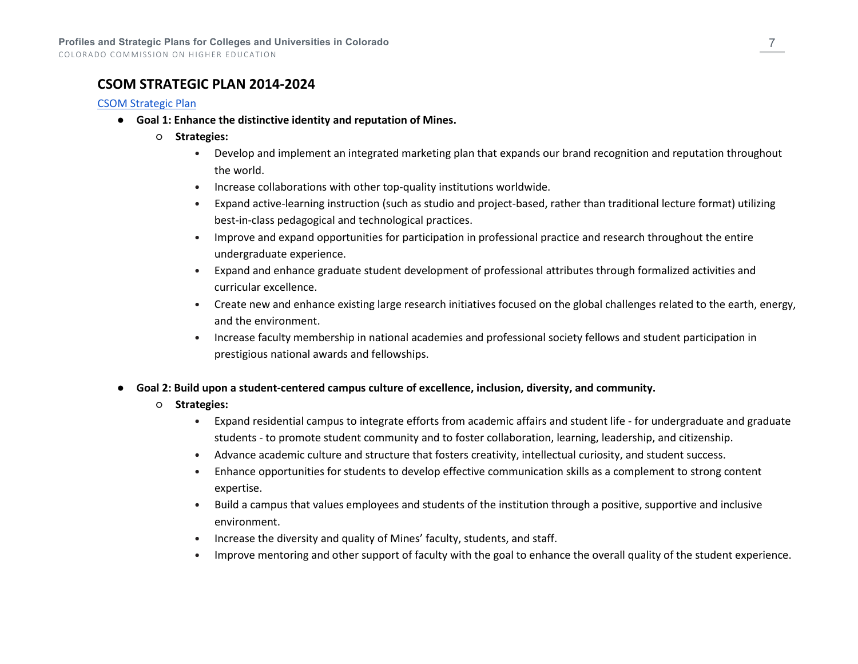### **CSOM STRATEGIC PLAN 2014-2024**

#### [CSOM Strategic Plan](http://inside.mines.edu/UserFiles/File/academicAffairs/CITL/6664-1%20CSOM%20Strategic%20Plan.pdf)

- **Goal 1: Enhance the distinctive identity and reputation of Mines.**
	- **Strategies:**
		- Develop and implement an integrated marketing plan that expands our brand recognition and reputation throughout the world.
		- Increase collaborations with other top-quality institutions worldwide.
		- Expand active-learning instruction (such as studio and project-based, rather than traditional lecture format) utilizing best-in-class pedagogical and technological practices.
		- Improve and expand opportunities for participation in professional practice and research throughout the entire undergraduate experience.
		- Expand and enhance graduate student development of professional attributes through formalized activities and curricular excellence.
		- Create new and enhance existing large research initiatives focused on the global challenges related to the earth, energy, and the environment.
		- Increase faculty membership in national academies and professional society fellows and student participation in prestigious national awards and fellowships.
- **Goal 2: Build upon a student-centered campus culture of excellence, inclusion, diversity, and community.**
	- **Strategies:**
		- Expand residential campus to integrate efforts from academic affairs and student life for undergraduate and graduate students - to promote student community and to foster collaboration, learning, leadership, and citizenship.
		- Advance academic culture and structure that fosters creativity, intellectual curiosity, and student success.
		- Enhance opportunities for students to develop effective communication skills as a complement to strong content expertise.
		- Build a campus that values employees and students of the institution through a positive, supportive and inclusive environment.
		- Increase the diversity and quality of Mines' faculty, students, and staff.
		- Improve mentoring and other support of faculty with the goal to enhance the overall quality of the student experience.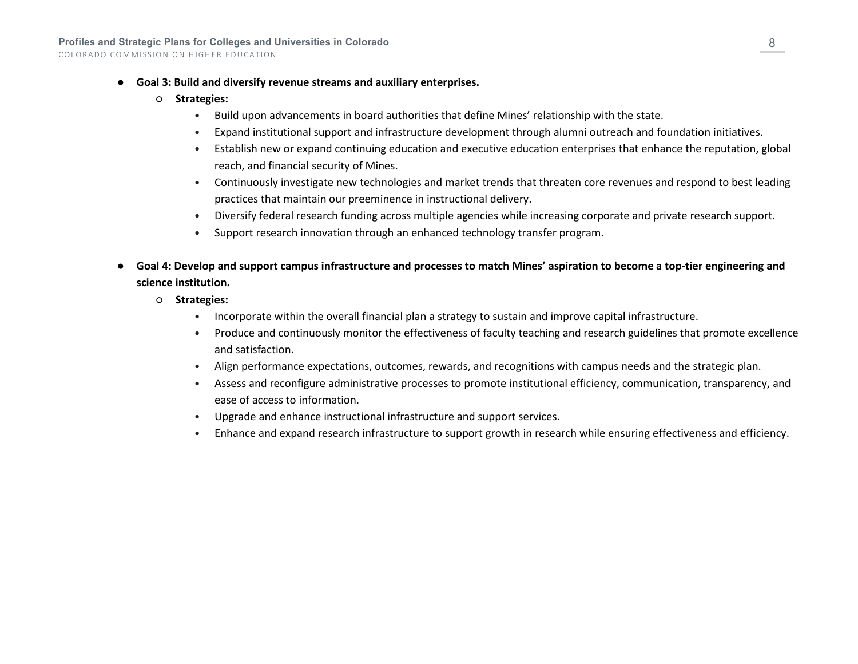- **Goal 3: Build and diversify revenue streams and auxiliary enterprises.**
	- **Strategies:**
		- Build upon advancements in board authorities that define Mines' relationship with the state.
		- Expand institutional support and infrastructure development through alumni outreach and foundation initiatives.
		- Establish new or expand continuing education and executive education enterprises that enhance the reputation, global reach, and financial security of Mines.
		- Continuously investigate new technologies and market trends that threaten core revenues and respond to best leading practices that maintain our preeminence in instructional delivery.
		- Diversify federal research funding across multiple agencies while increasing corporate and private research support.
		- Support research innovation through an enhanced technology transfer program.
- **Goal 4: Develop and support campus infrastructure and processes to match Mines' aspiration to become a top-tier engineering and science institution.**
	- **Strategies:**
		- Incorporate within the overall financial plan a strategy to sustain and improve capital infrastructure.
		- Produce and continuously monitor the effectiveness of faculty teaching and research guidelines that promote excellence and satisfaction.
		- Align performance expectations, outcomes, rewards, and recognitions with campus needs and the strategic plan.
		- Assess and reconfigure administrative processes to promote institutional efficiency, communication, transparency, and ease of access to information.
		- Upgrade and enhance instructional infrastructure and support services.
		- Enhance and expand research infrastructure to support growth in research while ensuring effectiveness and efficiency.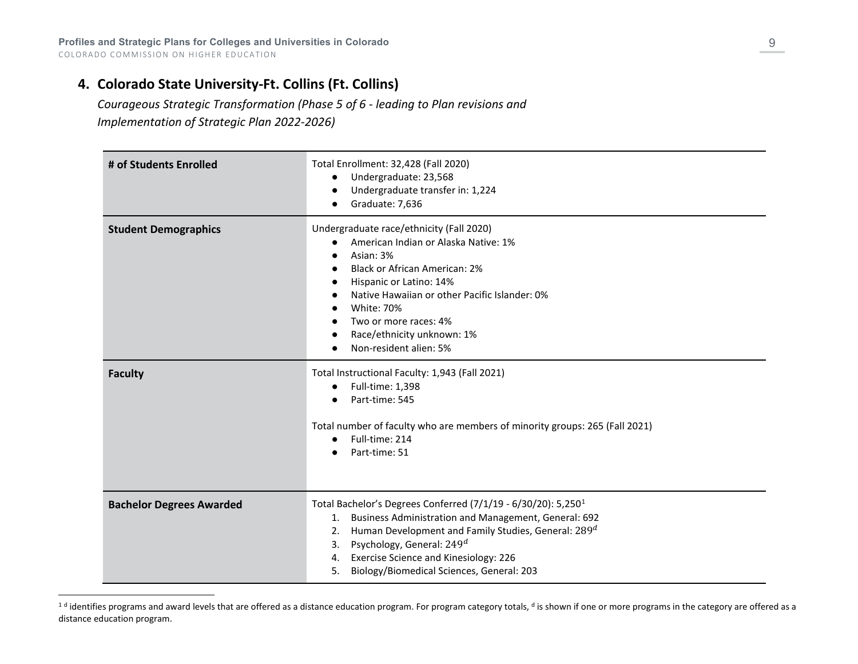# **4. Colorado State University-Ft. Collins (Ft. Collins)**

<span id="page-8-0"></span>*Courageous Strategic Transformation (Phase 5 of 6 - leading to Plan revisions and* 

*Implementation of Strategic Plan 2022-2026)* 

| # of Students Enrolled          | Total Enrollment: 32,428 (Fall 2020)<br>Undergraduate: 23,568<br>$\bullet$<br>Undergraduate transfer in: 1,224<br>Graduate: 7,636                                                                                                                                                                                                                 |
|---------------------------------|---------------------------------------------------------------------------------------------------------------------------------------------------------------------------------------------------------------------------------------------------------------------------------------------------------------------------------------------------|
| <b>Student Demographics</b>     | Undergraduate race/ethnicity (Fall 2020)<br>American Indian or Alaska Native: 1%<br>$\bullet$<br>Asian: 3%<br><b>Black or African American: 2%</b><br>Hispanic or Latino: 14%<br>Native Hawaiian or other Pacific Islander: 0%<br><b>White: 70%</b><br>Two or more races: 4%<br>Race/ethnicity unknown: 1%<br>Non-resident alien: 5%              |
| <b>Faculty</b>                  | Total Instructional Faculty: 1,943 (Fall 2021)<br>Full-time: 1,398<br>$\bullet$<br>Part-time: 545<br>Total number of faculty who are members of minority groups: 265 (Fall 2021)<br>Full-time: 214<br>Part-time: 51                                                                                                                               |
| <b>Bachelor Degrees Awarded</b> | Total Bachelor's Degrees Conferred (7/1/19 - 6/30/20): 5,250 <sup>1</sup><br>1. Business Administration and Management, General: 692<br>Human Development and Family Studies, General: 289 <sup>d</sup><br>2.<br>Psychology, General: $249d$<br>3.<br>4. Exercise Science and Kinesiology: 226<br>Biology/Biomedical Sciences, General: 203<br>5. |

<sup>&</sup>lt;sup>1 d</sup> identifies programs and award levels that are offered as a distance education program. For program category totals, <sup>d</sup> is shown if one or more programs in the category are offered as a distance education program.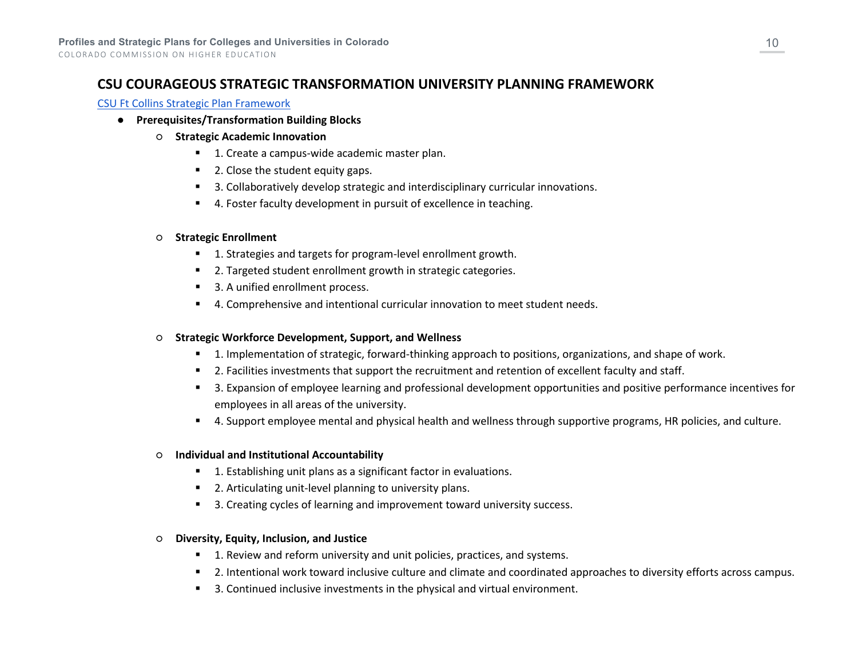# **CSU COURAGEOUS STRATEGIC TRANSFORMATION UNIVERSITY PLANNING FRAMEWORK**

#### [CSU Ft Collins Strategic Plan Framework](https://courageous.colostate.edu/wp-content/uploads/sites/18/2021/08/2020.06.08-framework-June-10-2021-Board-Retreat-final.pdf)

- **Prerequisites/Transformation Building Blocks**
	- **Strategic Academic Innovation**
		- 1. Create a campus-wide academic master plan.
		- 2. Close the student equity gaps.
		- <sup>3</sup> 3. Collaboratively develop strategic and interdisciplinary curricular innovations.
		- 4. Foster faculty development in pursuit of excellence in teaching.

#### ○ **Strategic Enrollment**

- 1. Strategies and targets for program-level enrollment growth.
- 2. Targeted student enrollment growth in strategic categories.
- 3. A unified enrollment process.
- 4. Comprehensive and intentional curricular innovation to meet student needs.

#### ○ **Strategic Workforce Development, Support, and Wellness**

- **1.** Implementation of strategic, forward-thinking approach to positions, organizations, and shape of work.
- **2. Facilities investments that support the recruitment and retention of excellent faculty and staff.**
- 3. Expansion of employee learning and professional development opportunities and positive performance incentives for employees in all areas of the university.
- 4. Support employee mental and physical health and wellness through supportive programs, HR policies, and culture.

#### ○ **Individual and Institutional Accountability**

- 1. Establishing unit plans as a significant factor in evaluations.
- 2. Articulating unit-level planning to university plans.
- 3. Creating cycles of learning and improvement toward university success.

#### ○ **Diversity, Equity, Inclusion, and Justice**

- **1. Review and reform university and unit policies, practices, and systems.**
- 2. Intentional work toward inclusive culture and climate and coordinated approaches to diversity efforts across campus.
- 3. Continued inclusive investments in the physical and virtual environment.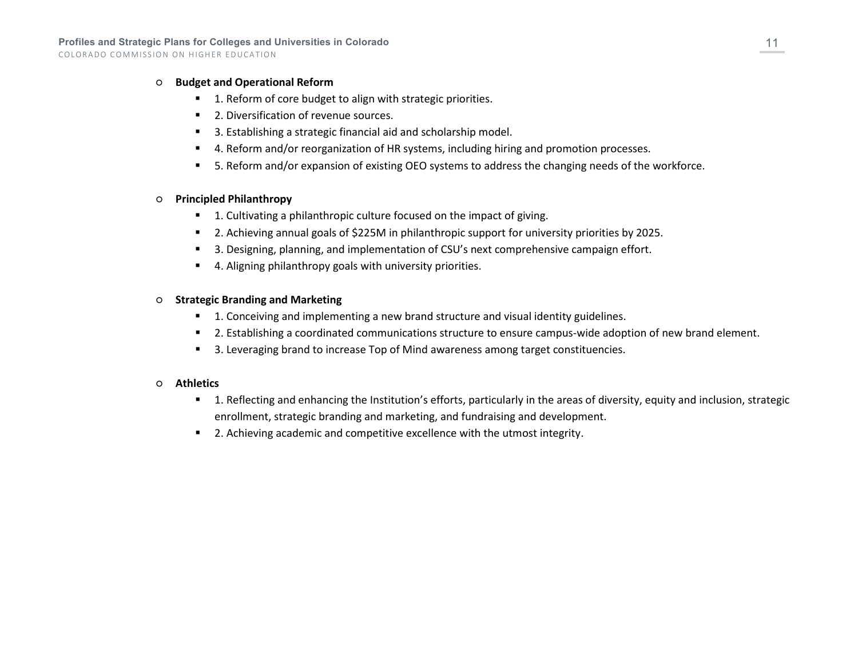#### ○ **Budget and Operational Reform**

- 1. Reform of core budget to align with strategic priorities.
- 2. Diversification of revenue sources.
- 3. Establishing a strategic financial aid and scholarship model.
- 4. Reform and/or reorganization of HR systems, including hiring and promotion processes.
- 5. Reform and/or expansion of existing OEO systems to address the changing needs of the workforce.

#### ○ **Principled Philanthropy**

- **1.** Cultivating a philanthropic culture focused on the impact of giving.
- 2. Achieving annual goals of \$225M in philanthropic support for university priorities by 2025.
- 3. Designing, planning, and implementation of CSU's next comprehensive campaign effort.
- 4. Aligning philanthropy goals with university priorities.

#### ○ **Strategic Branding and Marketing**

- 1. Conceiving and implementing a new brand structure and visual identity guidelines.
- **2.** Establishing a coordinated communications structure to ensure campus-wide adoption of new brand element.
- 3. Leveraging brand to increase Top of Mind awareness among target constituencies.

#### ○ **Athletics**

- 1. Reflecting and enhancing the Institution's efforts, particularly in the areas of diversity, equity and inclusion, strategic enrollment, strategic branding and marketing, and fundraising and development.
- 2. Achieving academic and competitive excellence with the utmost integrity.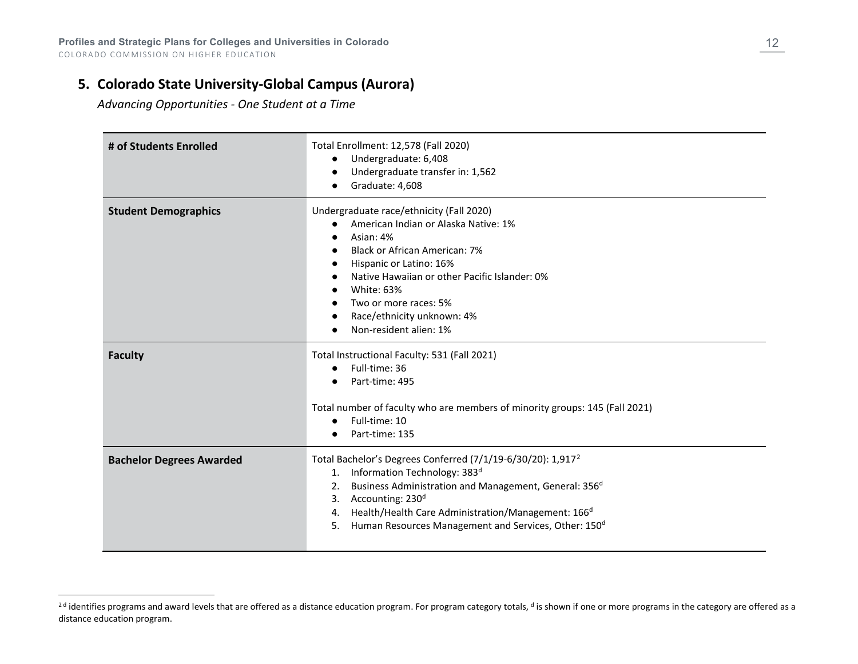# **5. Colorado State University-Global Campus (Aurora)**

<span id="page-11-0"></span>*Advancing Opportunities - One Student at a Time*

| # of Students Enrolled          | Total Enrollment: 12,578 (Fall 2020)<br>Undergraduate: 6,408<br>Undergraduate transfer in: 1,562<br>Graduate: 4,608                                                                                                                                                                                                                                                                       |
|---------------------------------|-------------------------------------------------------------------------------------------------------------------------------------------------------------------------------------------------------------------------------------------------------------------------------------------------------------------------------------------------------------------------------------------|
| <b>Student Demographics</b>     | Undergraduate race/ethnicity (Fall 2020)<br>American Indian or Alaska Native: 1%<br>Asian: 4%<br><b>Black or African American: 7%</b><br>Hispanic or Latino: 16%<br>Native Hawaiian or other Pacific Islander: 0%<br><b>White: 63%</b><br>Two or more races: 5%<br>Race/ethnicity unknown: 4%<br>Non-resident alien: 1%                                                                   |
| <b>Faculty</b>                  | Total Instructional Faculty: 531 (Fall 2021)<br>Full-time: 36<br>Part-time: 495<br>Total number of faculty who are members of minority groups: 145 (Fall 2021)<br>Full-time: 10<br>$\bullet$                                                                                                                                                                                              |
|                                 | Part-time: 135                                                                                                                                                                                                                                                                                                                                                                            |
| <b>Bachelor Degrees Awarded</b> | Total Bachelor's Degrees Conferred (7/1/19-6/30/20): 1,917 <sup>2</sup><br>1. Information Technology: 383 <sup>d</sup><br>Business Administration and Management, General: 356 <sup>d</sup><br>2.<br>Accounting: 230 <sup>d</sup><br>3.<br>Health/Health Care Administration/Management: 166 <sup>d</sup><br>4.<br>Human Resources Management and Services, Other: 150 <sup>d</sup><br>5. |

<sup>&</sup>lt;sup>2d</sup> identifies programs and award levels that are offered as a distance education program. For program category totals, <sup>d</sup> is shown if one or more programs in the category are offered as a distance education program.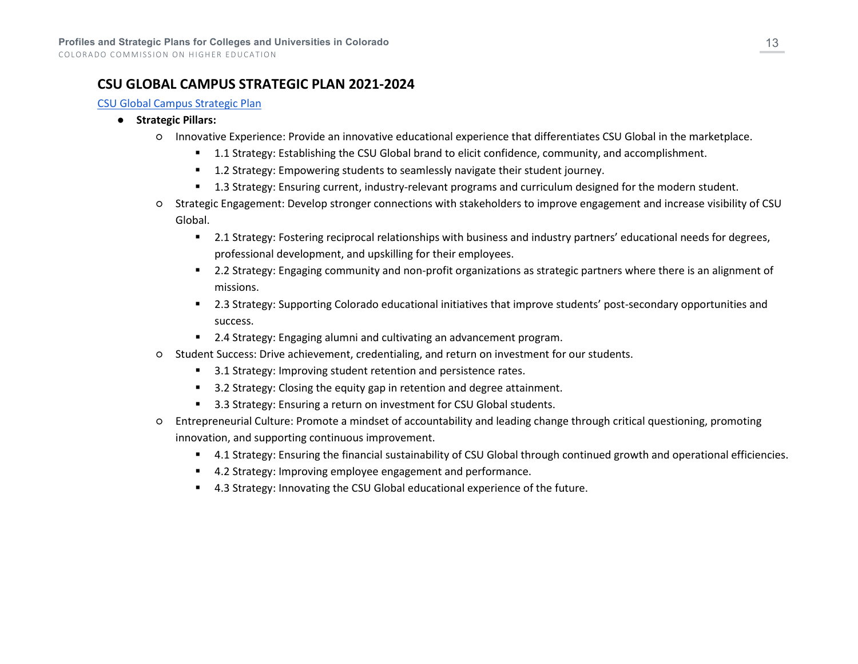# **CSU GLOBAL CAMPUS STRATEGIC PLAN 2021-2024**

#### [CSU Global Campus Strategic Plan](https://drive.google.com/file/d/19G9ZihHw_n-JYC091k3kS18UJ3y8yZPj/view?usp=sharing)

#### ● **Strategic Pillars:**

- Innovative Experience: Provide an innovative educational experience that differentiates CSU Global in the marketplace.
	- **1.1 Strategy: Establishing the CSU Global brand to elicit confidence, community, and accomplishment.**
	- **1.2 Strategy: Empowering students to seamlessly navigate their student journey.**
	- **1.3 Strategy: Ensuring current, industry-relevant programs and curriculum designed for the modern student.**
- Strategic Engagement: Develop stronger connections with stakeholders to improve engagement and increase visibility of CSU Global.
	- 2.1 Strategy: Fostering reciprocal relationships with business and industry partners' educational needs for degrees, professional development, and upskilling for their employees.
	- 2.2 Strategy: Engaging community and non-profit organizations as strategic partners where there is an alignment of missions.
	- 2.3 Strategy: Supporting Colorado educational initiatives that improve students' post-secondary opportunities and success.
	- 2.4 Strategy: Engaging alumni and cultivating an advancement program.
- Student Success: Drive achievement, credentialing, and return on investment for our students.
	- 3.1 Strategy: Improving student retention and persistence rates.
	- 3.2 Strategy: Closing the equity gap in retention and degree attainment.
	- 3.3 Strategy: Ensuring a return on investment for CSU Global students.
- Entrepreneurial Culture: Promote a mindset of accountability and leading change through critical questioning, promoting innovation, and supporting continuous improvement.
	- 4.1 Strategy: Ensuring the financial sustainability of CSU Global through continued growth and operational efficiencies.
	- 4.2 Strategy: Improving employee engagement and performance.
	- 4.3 Strategy: Innovating the CSU Global educational experience of the future.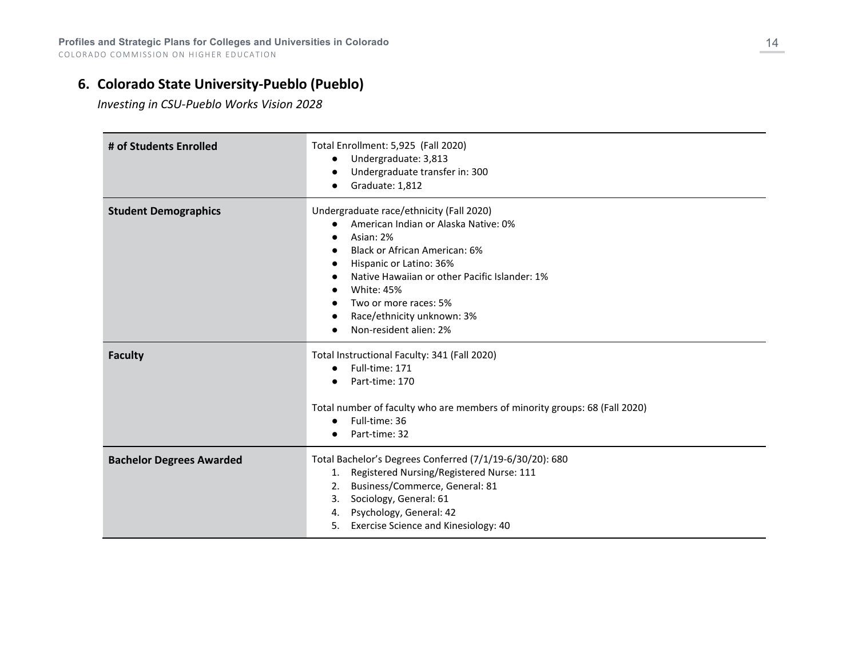# **6. Colorado State University-Pueblo (Pueblo)**

*Investing in CSU-Pueblo Works Vision 2028*

| # of Students Enrolled          | Total Enrollment: 5,925 (Fall 2020)<br>Undergraduate: 3,813<br>$\bullet$<br>Undergraduate transfer in: 300<br>Graduate: 1,812                                                                                                                                                                                    |
|---------------------------------|------------------------------------------------------------------------------------------------------------------------------------------------------------------------------------------------------------------------------------------------------------------------------------------------------------------|
| <b>Student Demographics</b>     | Undergraduate race/ethnicity (Fall 2020)<br>American Indian or Alaska Native: 0%<br>Asian: 2%<br>Black or African American: 6%<br>Hispanic or Latino: 36%<br>Native Hawaiian or other Pacific Islander: 1%<br><b>White: 45%</b><br>Two or more races: 5%<br>Race/ethnicity unknown: 3%<br>Non-resident alien: 2% |
| <b>Faculty</b>                  | Total Instructional Faculty: 341 (Fall 2020)<br>Full-time: 171<br>$\bullet$<br>Part-time: 170<br>Total number of faculty who are members of minority groups: 68 (Fall 2020)<br>Full-time: 36<br>Part-time: 32                                                                                                    |
| <b>Bachelor Degrees Awarded</b> | Total Bachelor's Degrees Conferred (7/1/19-6/30/20): 680<br>1. Registered Nursing/Registered Nurse: 111<br>Business/Commerce, General: 81<br>2.<br>Sociology, General: 61<br>3.<br>4. Psychology, General: 42<br>Exercise Science and Kinesiology: 40<br>5.                                                      |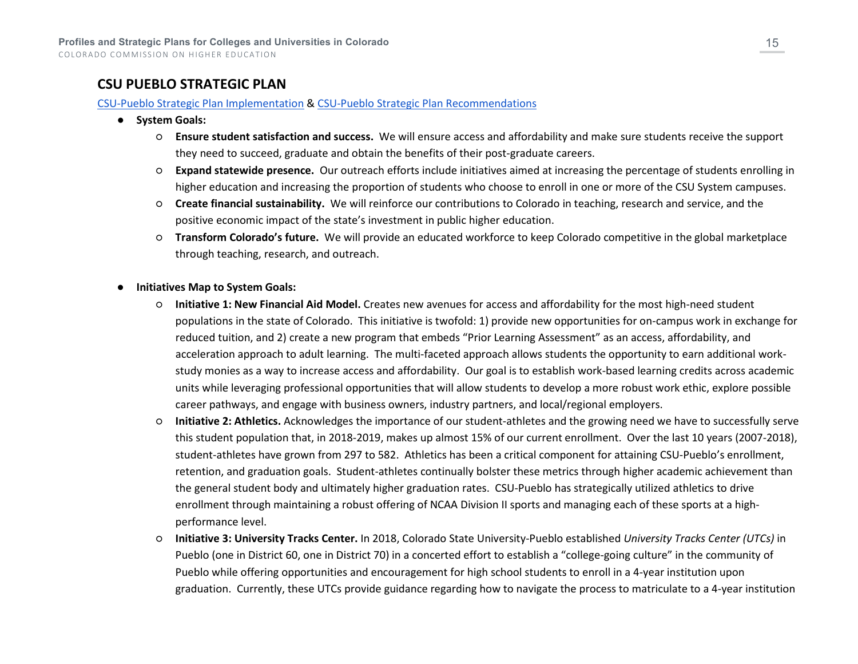# **CSU PUEBLO STRATEGIC PLAN**

#### [CSU-Pueblo Strategic Plan Implementation](https://www.csupueblo.edu/vision2028/_doc/executivesummary_vision_implementation_may2019_bog.pdf) & [CSU-Pueblo Strategic Plan Recommendations](https://www.csupueblo.edu/vision2028/_doc/team_recommendtions_visionappendix_may2019_bog.pdf)

- **System Goals:**
	- **Ensure student satisfaction and success.** We will ensure access and affordability and make sure students receive the support they need to succeed, graduate and obtain the benefits of their post-graduate careers.
	- **Expand statewide presence.** Our outreach efforts include initiatives aimed at increasing the percentage of students enrolling in higher education and increasing the proportion of students who choose to enroll in one or more of the CSU System campuses.
	- **Create financial sustainability.** We will reinforce our contributions to Colorado in teaching, research and service, and the positive economic impact of the state's investment in public higher education.
	- **Transform Colorado's future.** We will provide an educated workforce to keep Colorado competitive in the global marketplace through teaching, research, and outreach.
- **Initiatives Map to System Goals:** 
	- **Initiative 1: New Financial Aid Model.** Creates new avenues for access and affordability for the most high-need student populations in the state of Colorado. This initiative is twofold: 1) provide new opportunities for on-campus work in exchange for reduced tuition, and 2) create a new program that embeds "Prior Learning Assessment" as an access, affordability, and acceleration approach to adult learning. The multi-faceted approach allows students the opportunity to earn additional workstudy monies as a way to increase access and affordability. Our goal is to establish work-based learning credits across academic units while leveraging professional opportunities that will allow students to develop a more robust work ethic, explore possible career pathways, and engage with business owners, industry partners, and local/regional employers.
	- **Initiative 2: Athletics.** Acknowledges the importance of our student-athletes and the growing need we have to successfully serve this student population that, in 2018-2019, makes up almost 15% of our current enrollment. Over the last 10 years (2007-2018), student-athletes have grown from 297 to 582. Athletics has been a critical component for attaining CSU-Pueblo's enrollment, retention, and graduation goals. Student-athletes continually bolster these metrics through higher academic achievement than the general student body and ultimately higher graduation rates. CSU-Pueblo has strategically utilized athletics to drive enrollment through maintaining a robust offering of NCAA Division II sports and managing each of these sports at a highperformance level.
	- **Initiative 3: University Tracks Center.** In 2018, Colorado State University-Pueblo established *University Tracks Center (UTCs)* in Pueblo (one in District 60, one in District 70) in a concerted effort to establish a "college-going culture" in the community of Pueblo while offering opportunities and encouragement for high school students to enroll in a 4-year institution upon graduation. Currently, these UTCs provide guidance regarding how to navigate the process to matriculate to a 4-year institution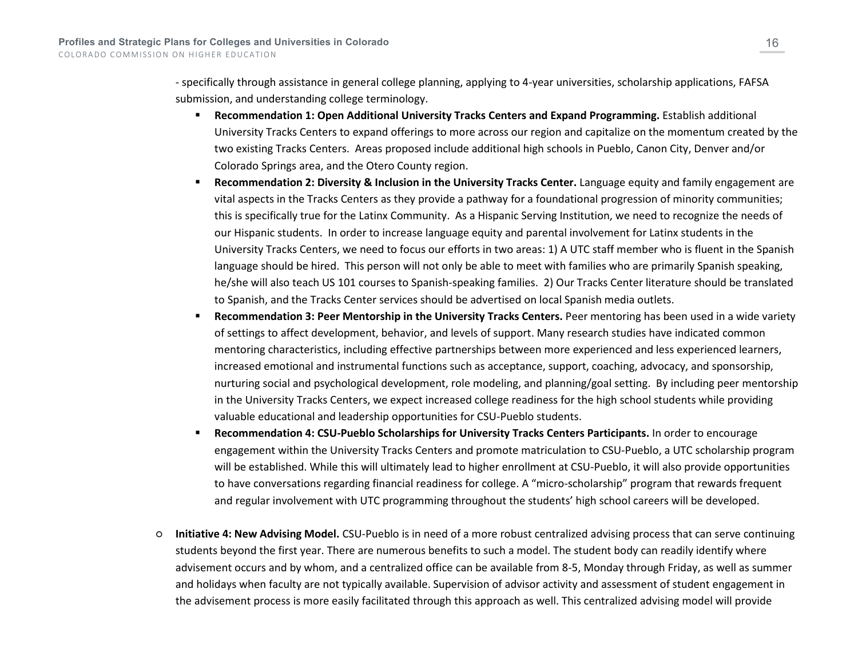- specifically through assistance in general college planning, applying to 4-year universities, scholarship applications, FAFSA submission, and understanding college terminology.

- **Recommendation 1: Open Additional University Tracks Centers and Expand Programming.** Establish additional University Tracks Centers to expand offerings to more across our region and capitalize on the momentum created by the two existing Tracks Centers. Areas proposed include additional high schools in Pueblo, Canon City, Denver and/or Colorado Springs area, and the Otero County region.
- **Recommendation 2: Diversity & Inclusion in the University Tracks Center.** Language equity and family engagement are vital aspects in the Tracks Centers as they provide a pathway for a foundational progression of minority communities; this is specifically true for the Latinx Community. As a Hispanic Serving Institution, we need to recognize the needs of our Hispanic students. In order to increase language equity and parental involvement for Latinx students in the University Tracks Centers, we need to focus our efforts in two areas: 1) A UTC staff member who is fluent in the Spanish language should be hired. This person will not only be able to meet with families who are primarily Spanish speaking, he/she will also teach US 101 courses to Spanish-speaking families. 2) Our Tracks Center literature should be translated to Spanish, and the Tracks Center services should be advertised on local Spanish media outlets.
- **Recommendation 3: Peer Mentorship in the University Tracks Centers.** Peer mentoring has been used in a wide variety of settings to affect development, behavior, and levels of support. Many research studies have indicated common mentoring characteristics, including effective partnerships between more experienced and less experienced learners, increased emotional and instrumental functions such as acceptance, support, coaching, advocacy, and sponsorship, nurturing social and psychological development, role modeling, and planning/goal setting. By including peer mentorship in the University Tracks Centers, we expect increased college readiness for the high school students while providing valuable educational and leadership opportunities for CSU-Pueblo students.
- **Recommendation 4: CSU-Pueblo Scholarships for University Tracks Centers Participants.** In order to encourage engagement within the University Tracks Centers and promote matriculation to CSU-Pueblo, a UTC scholarship program will be established. While this will ultimately lead to higher enrollment at CSU-Pueblo, it will also provide opportunities to have conversations regarding financial readiness for college. A "micro-scholarship" program that rewards frequent and regular involvement with UTC programming throughout the students' high school careers will be developed.
- **Initiative 4: New Advising Model.** CSU-Pueblo is in need of a more robust centralized advising process that can serve continuing students beyond the first year. There are numerous benefits to such a model. The student body can readily identify where advisement occurs and by whom, and a centralized office can be available from 8-5, Monday through Friday, as well as summer and holidays when faculty are not typically available. Supervision of advisor activity and assessment of student engagement in the advisement process is more easily facilitated through this approach as well. This centralized advising model will provide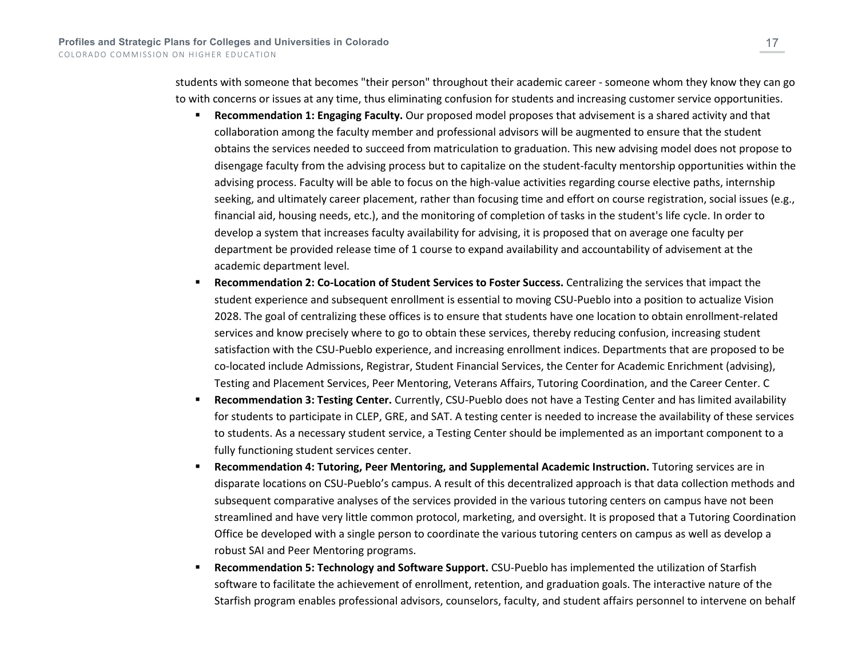students with someone that becomes "their person" throughout their academic career - someone whom they know they can go to with concerns or issues at any time, thus eliminating confusion for students and increasing customer service opportunities.

- **Recommendation 1: Engaging Faculty.** Our proposed model proposes that advisement is a shared activity and that collaboration among the faculty member and professional advisors will be augmented to ensure that the student obtains the services needed to succeed from matriculation to graduation. This new advising model does not propose to disengage faculty from the advising process but to capitalize on the student-faculty mentorship opportunities within the advising process. Faculty will be able to focus on the high-value activities regarding course elective paths, internship seeking, and ultimately career placement, rather than focusing time and effort on course registration, social issues (e.g., financial aid, housing needs, etc.), and the monitoring of completion of tasks in the student's life cycle. In order to develop a system that increases faculty availability for advising, it is proposed that on average one faculty per department be provided release time of 1 course to expand availability and accountability of advisement at the academic department level.
- **Recommendation 2: Co-Location of Student Services to Foster Success.** Centralizing the services that impact the student experience and subsequent enrollment is essential to moving CSU-Pueblo into a position to actualize Vision 2028. The goal of centralizing these offices is to ensure that students have one location to obtain enrollment-related services and know precisely where to go to obtain these services, thereby reducing confusion, increasing student satisfaction with the CSU-Pueblo experience, and increasing enrollment indices. Departments that are proposed to be co-located include Admissions, Registrar, Student Financial Services, the Center for Academic Enrichment (advising), Testing and Placement Services, Peer Mentoring, Veterans Affairs, Tutoring Coordination, and the Career Center. C
- **Recommendation 3: Testing Center.** Currently, CSU-Pueblo does not have a Testing Center and has limited availability for students to participate in CLEP, GRE, and SAT. A testing center is needed to increase the availability of these services to students. As a necessary student service, a Testing Center should be implemented as an important component to a fully functioning student services center.
- **Recommendation 4: Tutoring, Peer Mentoring, and Supplemental Academic Instruction.** Tutoring services are in disparate locations on CSU-Pueblo's campus. A result of this decentralized approach is that data collection methods and subsequent comparative analyses of the services provided in the various tutoring centers on campus have not been streamlined and have very little common protocol, marketing, and oversight. It is proposed that a Tutoring Coordination Office be developed with a single person to coordinate the various tutoring centers on campus as well as develop a robust SAI and Peer Mentoring programs.
- **Recommendation 5: Technology and Software Support.** CSU-Pueblo has implemented the utilization of Starfish software to facilitate the achievement of enrollment, retention, and graduation goals. The interactive nature of the Starfish program enables professional advisors, counselors, faculty, and student affairs personnel to intervene on behalf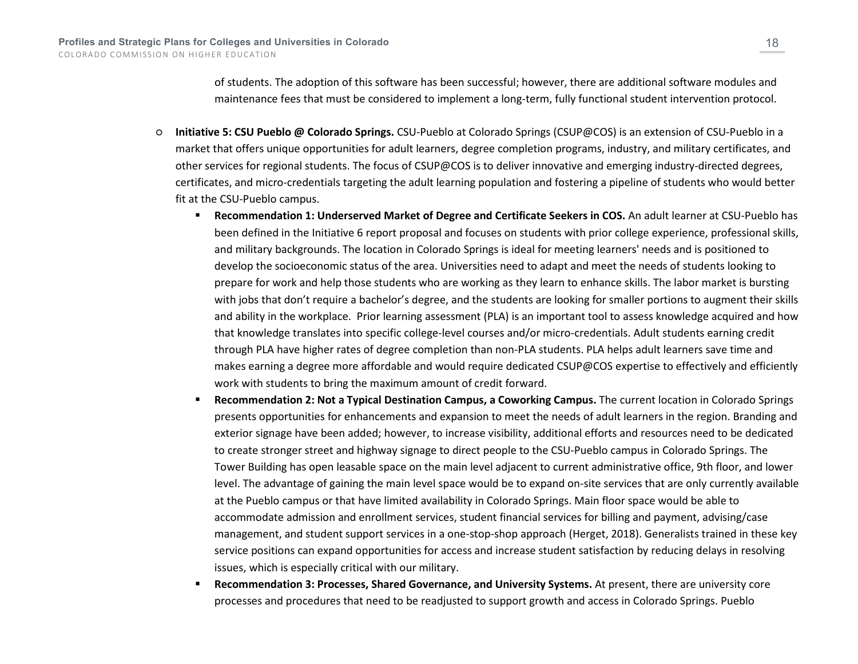of students. The adoption of this software has been successful; however, there are additional software modules and maintenance fees that must be considered to implement a long-term, fully functional student intervention protocol.

- **Initiative 5: CSU Pueblo @ Colorado Springs.** CSU-Pueblo at Colorado Springs (CSUP@COS) is an extension of CSU-Pueblo in a market that offers unique opportunities for adult learners, degree completion programs, industry, and military certificates, and other services for regional students. The focus of CSUP@COS is to deliver innovative and emerging industry-directed degrees, certificates, and micro-credentials targeting the adult learning population and fostering a pipeline of students who would better fit at the CSU-Pueblo campus.
	- **Recommendation 1: Underserved Market of Degree and Certificate Seekers in COS.** An adult learner at CSU-Pueblo has been defined in the Initiative 6 report proposal and focuses on students with prior college experience, professional skills, and military backgrounds. The location in Colorado Springs is ideal for meeting learners' needs and is positioned to develop the socioeconomic status of the area. Universities need to adapt and meet the needs of students looking to prepare for work and help those students who are working as they learn to enhance skills. The labor market is bursting with jobs that don't require a bachelor's degree, and the students are looking for smaller portions to augment their skills and ability in the workplace. Prior learning assessment (PLA) is an important tool to assess knowledge acquired and how that knowledge translates into specific college-level courses and/or micro-credentials. Adult students earning credit through PLA have higher rates of degree completion than non-PLA students. PLA helps adult learners save time and makes earning a degree more affordable and would require dedicated CSUP@COS expertise to effectively and efficiently work with students to bring the maximum amount of credit forward.
	- **Recommendation 2: Not a Typical Destination Campus, a Coworking Campus.** The current location in Colorado Springs presents opportunities for enhancements and expansion to meet the needs of adult learners in the region. Branding and exterior signage have been added; however, to increase visibility, additional efforts and resources need to be dedicated to create stronger street and highway signage to direct people to the CSU-Pueblo campus in Colorado Springs. The Tower Building has open leasable space on the main level adjacent to current administrative office, 9th floor, and lower level. The advantage of gaining the main level space would be to expand on-site services that are only currently available at the Pueblo campus or that have limited availability in Colorado Springs. Main floor space would be able to accommodate admission and enrollment services, student financial services for billing and payment, advising/case management, and student support services in a one-stop-shop approach (Herget, 2018). Generalists trained in these key service positions can expand opportunities for access and increase student satisfaction by reducing delays in resolving issues, which is especially critical with our military.
	- **Recommendation 3: Processes, Shared Governance, and University Systems.** At present, there are university core processes and procedures that need to be readjusted to support growth and access in Colorado Springs. Pueblo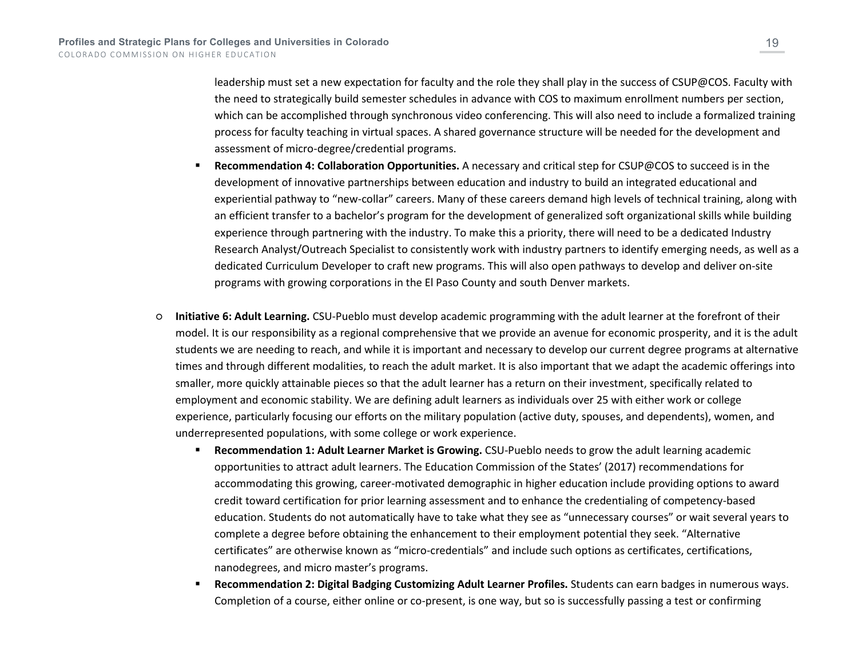leadership must set a new expectation for faculty and the role they shall play in the success of CSUP@COS. Faculty with the need to strategically build semester schedules in advance with COS to maximum enrollment numbers per section, which can be accomplished through synchronous video conferencing. This will also need to include a formalized training process for faculty teaching in virtual spaces. A shared governance structure will be needed for the development and assessment of micro-degree/credential programs.

- **Recommendation 4: Collaboration Opportunities.** A necessary and critical step for CSUP@COS to succeed is in the development of innovative partnerships between education and industry to build an integrated educational and experiential pathway to "new-collar" careers. Many of these careers demand high levels of technical training, along with an efficient transfer to a bachelor's program for the development of generalized soft organizational skills while building experience through partnering with the industry. To make this a priority, there will need to be a dedicated Industry Research Analyst/Outreach Specialist to consistently work with industry partners to identify emerging needs, as well as a dedicated Curriculum Developer to craft new programs. This will also open pathways to develop and deliver on-site programs with growing corporations in the El Paso County and south Denver markets.
- **Initiative 6: Adult Learning.** CSU-Pueblo must develop academic programming with the adult learner at the forefront of their model. It is our responsibility as a regional comprehensive that we provide an avenue for economic prosperity, and it is the adult students we are needing to reach, and while it is important and necessary to develop our current degree programs at alternative times and through different modalities, to reach the adult market. It is also important that we adapt the academic offerings into smaller, more quickly attainable pieces so that the adult learner has a return on their investment, specifically related to employment and economic stability. We are defining adult learners as individuals over 25 with either work or college experience, particularly focusing our efforts on the military population (active duty, spouses, and dependents), women, and underrepresented populations, with some college or work experience.
	- **Recommendation 1: Adult Learner Market is Growing.** CSU-Pueblo needs to grow the adult learning academic opportunities to attract adult learners. The Education Commission of the States' (2017) recommendations for accommodating this growing, career-motivated demographic in higher education include providing options to award credit toward certification for prior learning assessment and to enhance the credentialing of competency-based education. Students do not automatically have to take what they see as "unnecessary courses" or wait several years to complete a degree before obtaining the enhancement to their employment potential they seek. "Alternative certificates" are otherwise known as "micro-credentials" and include such options as certificates, certifications, nanodegrees, and micro master's programs.
	- **Recommendation 2: Digital Badging Customizing Adult Learner Profiles.** Students can earn badges in numerous ways. Completion of a course, either online or co-present, is one way, but so is successfully passing a test or confirming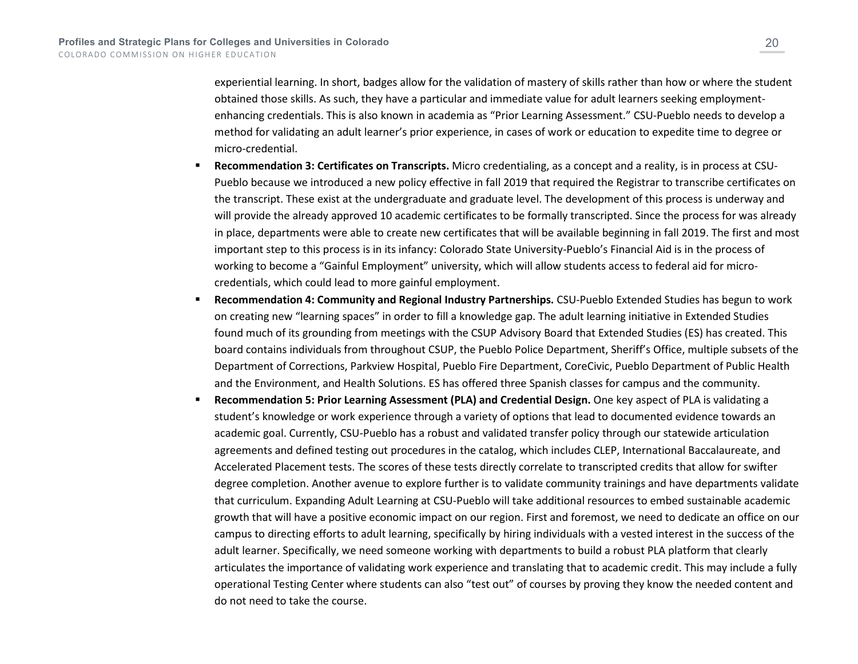experiential learning. In short, badges allow for the validation of mastery of skills rather than how or where the student obtained those skills. As such, they have a particular and immediate value for adult learners seeking employmentenhancing credentials. This is also known in academia as "Prior Learning Assessment." CSU-Pueblo needs to develop a method for validating an adult learner's prior experience, in cases of work or education to expedite time to degree or micro-credential.

- **Recommendation 3: Certificates on Transcripts.** Micro credentialing, as a concept and a reality, is in process at CSU-Pueblo because we introduced a new policy effective in fall 2019 that required the Registrar to transcribe certificates on the transcript. These exist at the undergraduate and graduate level. The development of this process is underway and will provide the already approved 10 academic certificates to be formally transcripted. Since the process for was already in place, departments were able to create new certificates that will be available beginning in fall 2019. The first and most important step to this process is in its infancy: Colorado State University-Pueblo's Financial Aid is in the process of working to become a "Gainful Employment" university, which will allow students access to federal aid for microcredentials, which could lead to more gainful employment.
- **Recommendation 4: Community and Regional Industry Partnerships.** CSU-Pueblo Extended Studies has begun to work on creating new "learning spaces" in order to fill a knowledge gap. The adult learning initiative in Extended Studies found much of its grounding from meetings with the CSUP Advisory Board that Extended Studies (ES) has created. This board contains individuals from throughout CSUP, the Pueblo Police Department, Sheriff's Office, multiple subsets of the Department of Corrections, Parkview Hospital, Pueblo Fire Department, CoreCivic, Pueblo Department of Public Health and the Environment, and Health Solutions. ES has offered three Spanish classes for campus and the community.
- **Recommendation 5: Prior Learning Assessment (PLA) and Credential Design.** One key aspect of PLA is validating a student's knowledge or work experience through a variety of options that lead to documented evidence towards an academic goal. Currently, CSU-Pueblo has a robust and validated transfer policy through our statewide articulation agreements and defined testing out procedures in the catalog, which includes CLEP, International Baccalaureate, and Accelerated Placement tests. The scores of these tests directly correlate to transcripted credits that allow for swifter degree completion. Another avenue to explore further is to validate community trainings and have departments validate that curriculum. Expanding Adult Learning at CSU-Pueblo will take additional resources to embed sustainable academic growth that will have a positive economic impact on our region. First and foremost, we need to dedicate an office on our campus to directing efforts to adult learning, specifically by hiring individuals with a vested interest in the success of the adult learner. Specifically, we need someone working with departments to build a robust PLA platform that clearly articulates the importance of validating work experience and translating that to academic credit. This may include a fully operational Testing Center where students can also "test out" of courses by proving they know the needed content and do not need to take the course.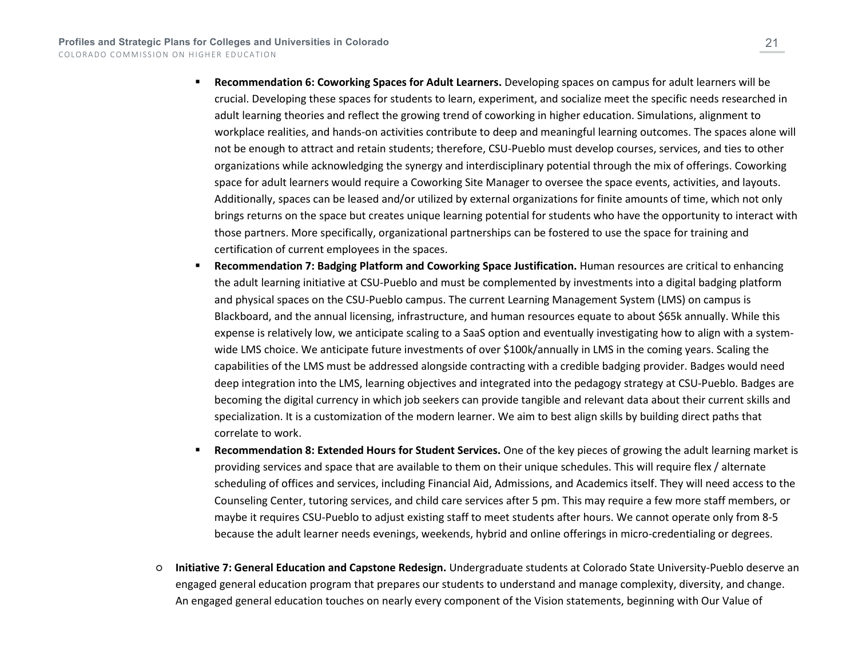- **Recommendation 6: Coworking Spaces for Adult Learners.** Developing spaces on campus for adult learners will be crucial. Developing these spaces for students to learn, experiment, and socialize meet the specific needs researched in adult learning theories and reflect the growing trend of coworking in higher education. Simulations, alignment to workplace realities, and hands-on activities contribute to deep and meaningful learning outcomes. The spaces alone will not be enough to attract and retain students; therefore, CSU-Pueblo must develop courses, services, and ties to other organizations while acknowledging the synergy and interdisciplinary potential through the mix of offerings. Coworking space for adult learners would require a Coworking Site Manager to oversee the space events, activities, and layouts. Additionally, spaces can be leased and/or utilized by external organizations for finite amounts of time, which not only brings returns on the space but creates unique learning potential for students who have the opportunity to interact with those partners. More specifically, organizational partnerships can be fostered to use the space for training and certification of current employees in the spaces.
- **Recommendation 7: Badging Platform and Coworking Space Justification.** Human resources are critical to enhancing the adult learning initiative at CSU-Pueblo and must be complemented by investments into a digital badging platform and physical spaces on the CSU-Pueblo campus. The current Learning Management System (LMS) on campus is Blackboard, and the annual licensing, infrastructure, and human resources equate to about \$65k annually. While this expense is relatively low, we anticipate scaling to a SaaS option and eventually investigating how to align with a systemwide LMS choice. We anticipate future investments of over \$100k/annually in LMS in the coming years. Scaling the capabilities of the LMS must be addressed alongside contracting with a credible badging provider. Badges would need deep integration into the LMS, learning objectives and integrated into the pedagogy strategy at CSU-Pueblo. Badges are becoming the digital currency in which job seekers can provide tangible and relevant data about their current skills and specialization. It is a customization of the modern learner. We aim to best align skills by building direct paths that correlate to work.
- **Recommendation 8: Extended Hours for Student Services.** One of the key pieces of growing the adult learning market is providing services and space that are available to them on their unique schedules. This will require flex / alternate scheduling of offices and services, including Financial Aid, Admissions, and Academics itself. They will need access to the Counseling Center, tutoring services, and child care services after 5 pm. This may require a few more staff members, or maybe it requires CSU-Pueblo to adjust existing staff to meet students after hours. We cannot operate only from 8-5 because the adult learner needs evenings, weekends, hybrid and online offerings in micro-credentialing or degrees.
- **Initiative 7: General Education and Capstone Redesign.** Undergraduate students at Colorado State University-Pueblo deserve an engaged general education program that prepares our students to understand and manage complexity, diversity, and change. An engaged general education touches on nearly every component of the Vision statements, beginning with Our Value of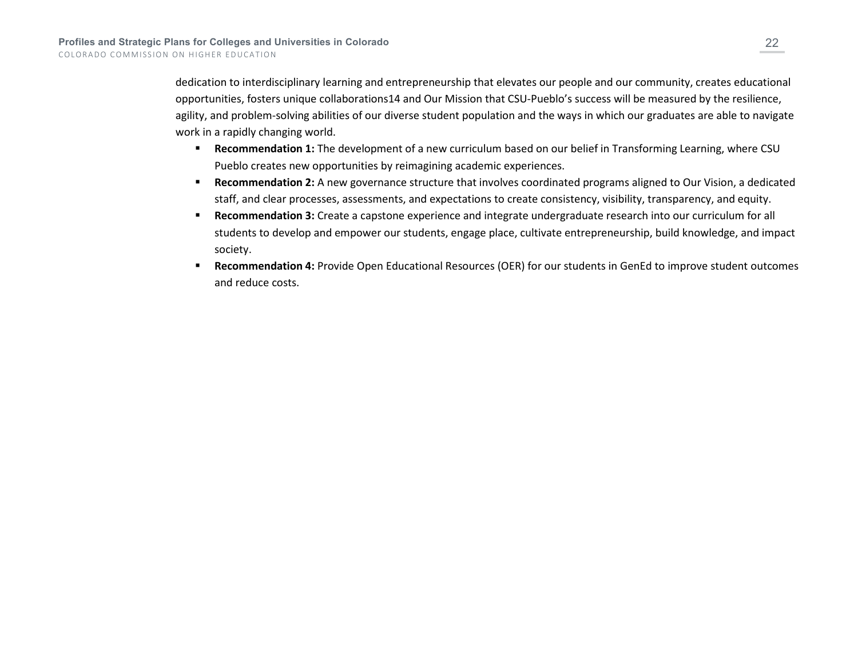dedication to interdisciplinary learning and entrepreneurship that elevates our people and our community, creates educational opportunities, fosters unique collaborations14 and Our Mission that CSU-Pueblo's success will be measured by the resilience, agility, and problem-solving abilities of our diverse student population and the ways in which our graduates are able to navigate work in a rapidly changing world.

- **Recommendation 1:** The development of a new curriculum based on our belief in Transforming Learning, where CSU Pueblo creates new opportunities by reimagining academic experiences.
- **Recommendation 2:** A new governance structure that involves coordinated programs aligned to Our Vision, a dedicated staff, and clear processes, assessments, and expectations to create consistency, visibility, transparency, and equity.
- **Recommendation 3:** Create a capstone experience and integrate undergraduate research into our curriculum for all students to develop and empower our students, engage place, cultivate entrepreneurship, build knowledge, and impact society.
- **Recommendation 4:** Provide Open Educational Resources (OER) for our students in GenEd to improve student outcomes and reduce costs.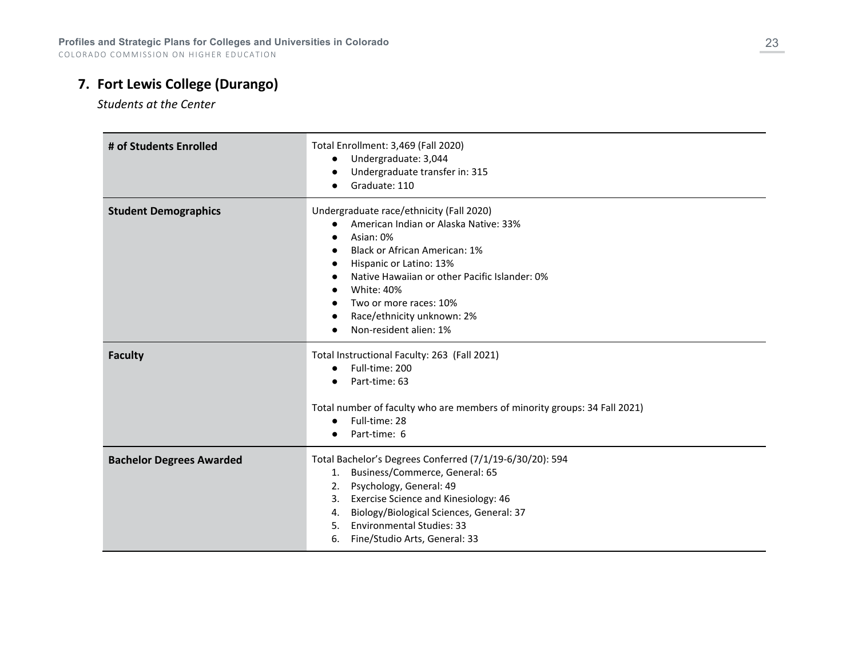# **7. Fort Lewis College (Durango)**

*Students at the Center*

| # of Students Enrolled          | Total Enrollment: 3,469 (Fall 2020)<br>Undergraduate: 3,044<br>$\bullet$<br>Undergraduate transfer in: 315<br>Graduate: 110                                                                                                                                                                                        |
|---------------------------------|--------------------------------------------------------------------------------------------------------------------------------------------------------------------------------------------------------------------------------------------------------------------------------------------------------------------|
| <b>Student Demographics</b>     | Undergraduate race/ethnicity (Fall 2020)<br>American Indian or Alaska Native: 33%<br>Asian: 0%<br><b>Black or African American: 1%</b><br>Hispanic or Latino: 13%<br>Native Hawaiian or other Pacific Islander: 0%<br>White: 40%<br>Two or more races: 10%<br>Race/ethnicity unknown: 2%<br>Non-resident alien: 1% |
| <b>Faculty</b>                  | Total Instructional Faculty: 263 (Fall 2021)<br>Full-time: 200<br>Part-time: 63<br>Total number of faculty who are members of minority groups: 34 Fall 2021)<br>Full-time: 28<br>$\bullet$<br>Part-time: 6                                                                                                         |
| <b>Bachelor Degrees Awarded</b> | Total Bachelor's Degrees Conferred (7/1/19-6/30/20): 594<br>Business/Commerce, General: 65<br>1.<br>Psychology, General: 49<br>2.<br>Exercise Science and Kinesiology: 46<br>3.<br>Biology/Biological Sciences, General: 37<br>4.<br><b>Environmental Studies: 33</b><br>5.<br>Fine/Studio Arts, General: 33<br>6. |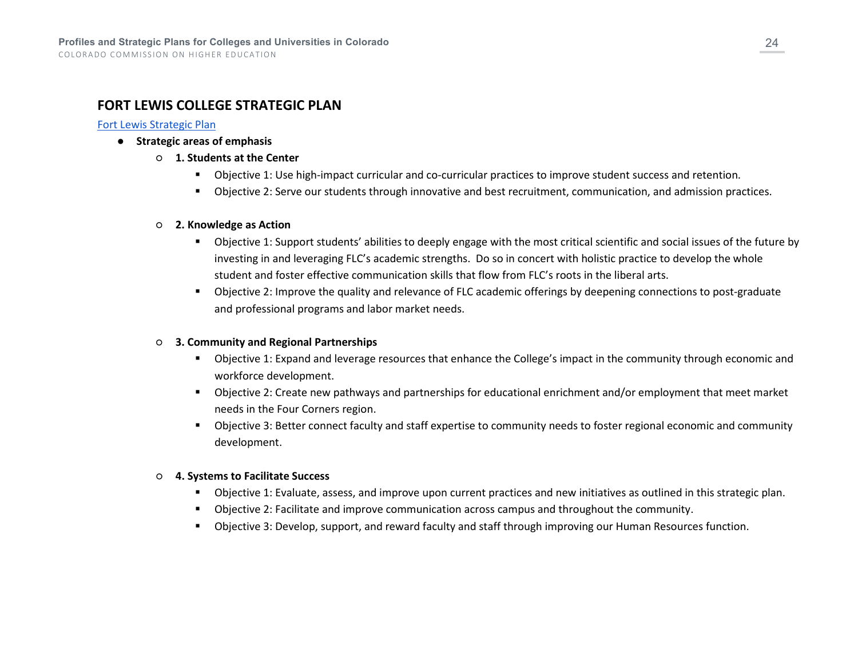### **FORT LEWIS COLLEGE STRATEGIC PLAN**

#### [Fort Lewis Strategic Plan](https://www.fortlewis.edu/Portals/1/assets/strategic-planning/FLC--Strategic%20Plan_Dec-2019.pdf?ver=ZOTk8pg8E5xwIu-mwucK0w%3d%3d)

- **Strategic areas of emphasis**
	- **1. Students at the Center**
		- Objective 1: Use high-impact curricular and co-curricular practices to improve student success and retention.
		- Objective 2: Serve our students through innovative and best recruitment, communication, and admission practices.

#### ○ **2. Knowledge as Action**

- Objective 1: Support students' abilities to deeply engage with the most critical scientific and social issues of the future by investing in and leveraging FLC's academic strengths. Do so in concert with holistic practice to develop the whole student and foster effective communication skills that flow from FLC's roots in the liberal arts.
- Objective 2: Improve the quality and relevance of FLC academic offerings by deepening connections to post-graduate and professional programs and labor market needs.

#### ○ **3. Community and Regional Partnerships**

- Objective 1: Expand and leverage resources that enhance the College's impact in the community through economic and workforce development.
- Objective 2: Create new pathways and partnerships for educational enrichment and/or employment that meet market needs in the Four Corners region.
- Objective 3: Better connect faculty and staff expertise to community needs to foster regional economic and community development.

#### ○ **4. Systems to Facilitate Success**

- Objective 1: Evaluate, assess, and improve upon current practices and new initiatives as outlined in this strategic plan.
- Objective 2: Facilitate and improve communication across campus and throughout the community.
- Objective 3: Develop, support, and reward faculty and staff through improving our Human Resources function.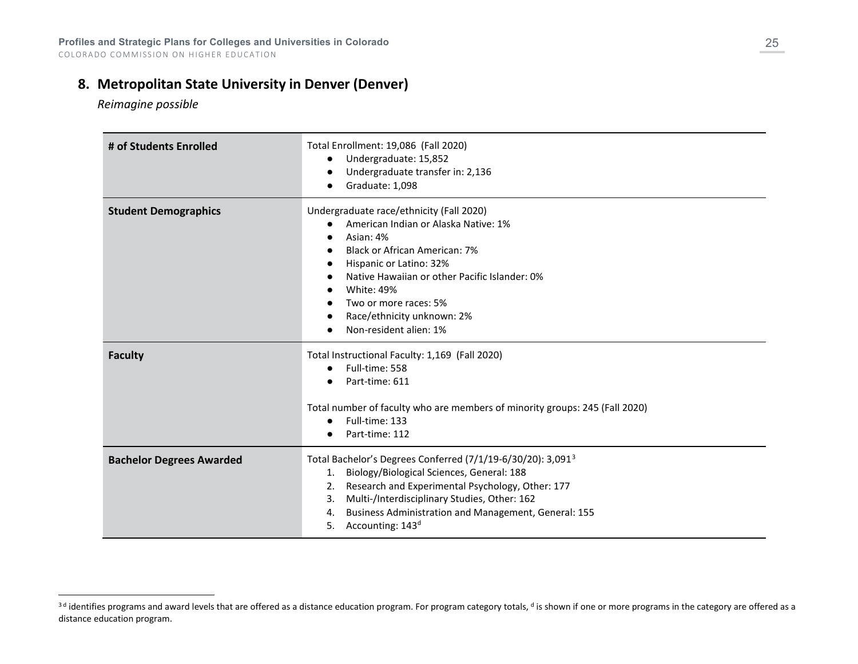### **8. Metropolitan State University in Denver (Denver)**

<span id="page-24-0"></span>*Reimagine possible*

| # of Students Enrolled          | Total Enrollment: 19,086 (Fall 2020)<br>Undergraduate: 15,852<br>$\bullet$<br>Undergraduate transfer in: 2,136<br>Graduate: 1,098                                                                                                                                                                                                                                                              |
|---------------------------------|------------------------------------------------------------------------------------------------------------------------------------------------------------------------------------------------------------------------------------------------------------------------------------------------------------------------------------------------------------------------------------------------|
| <b>Student Demographics</b>     | Undergraduate race/ethnicity (Fall 2020)<br>American Indian or Alaska Native: 1%<br>$\bullet$<br>Asian: 4%<br>$\bullet$<br>Black or African American: 7%<br>$\bullet$<br>Hispanic or Latino: 32%<br>$\bullet$<br>Native Hawaiian or other Pacific Islander: 0%<br>$\bullet$<br><b>White: 49%</b><br>Two or more races: 5%<br>$\bullet$<br>Race/ethnicity unknown: 2%<br>Non-resident alien: 1% |
| <b>Faculty</b>                  | Total Instructional Faculty: 1,169 (Fall 2020)<br>Full-time: 558<br>$\bullet$<br>Part-time: 611<br>$\bullet$<br>Total number of faculty who are members of minority groups: 245 (Fall 2020)<br>Full-time: 133<br>$\bullet$<br>Part-time: 112                                                                                                                                                   |
| <b>Bachelor Degrees Awarded</b> | Total Bachelor's Degrees Conferred $(7/1/19-6/30/20)$ : 3,091 <sup>3</sup><br>Biology/Biological Sciences, General: 188<br>1.<br>Research and Experimental Psychology, Other: 177<br>2.<br>Multi-/Interdisciplinary Studies, Other: 162<br>3.<br>Business Administration and Management, General: 155<br>4.<br>Accounting: 143 <sup>d</sup><br>5.                                              |

<sup>&</sup>lt;sup>3d</sup> identifies programs and award levels that are offered as a distance education program. For program category totals, <sup>d</sup> is shown if one or more programs in the category are offered as a distance education program.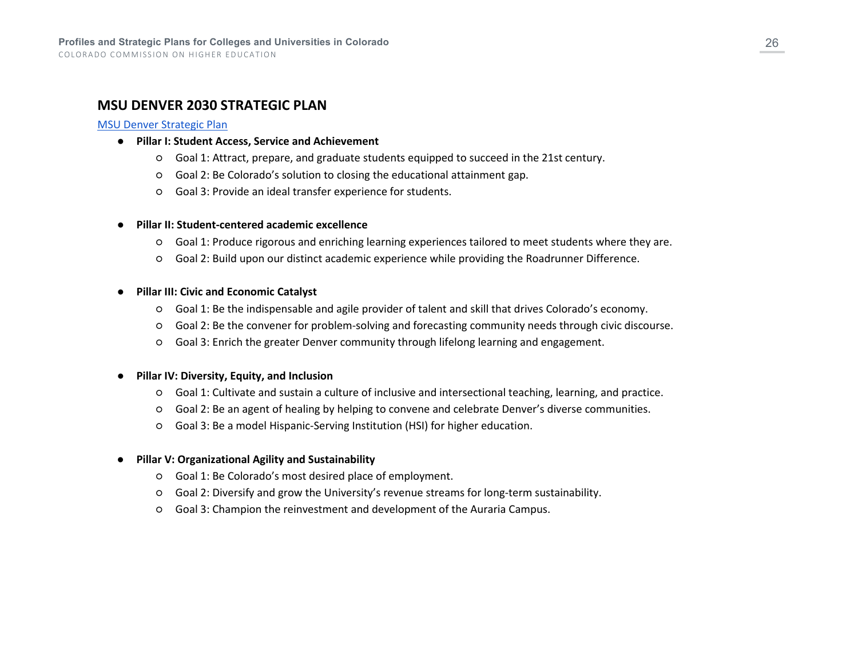### **MSU DENVER 2030 STRATEGIC PLAN**

#### [MSU Denver Strategic Plan](https://www.msudenver.edu/wp-content/uploads/2021/07/MSU_Denver_Report_Exec_Summary.pdf)

- **Pillar I: Student Access, Service and Achievement**
	- Goal 1: Attract, prepare, and graduate students equipped to succeed in the 21st century.
	- Goal 2: Be Colorado's solution to closing the educational attainment gap.
	- Goal 3: Provide an ideal transfer experience for students.

#### ● **Pillar II: Student-centered academic excellence**

- Goal 1: Produce rigorous and enriching learning experiences tailored to meet students where they are.
- Goal 2: Build upon our distinct academic experience while providing the Roadrunner Difference.

#### ● **Pillar III: Civic and Economic Catalyst**

- Goal 1: Be the indispensable and agile provider of talent and skill that drives Colorado's economy.
- Goal 2: Be the convener for problem-solving and forecasting community needs through civic discourse.
- Goal 3: Enrich the greater Denver community through lifelong learning and engagement.

#### ● **Pillar IV: Diversity, Equity, and Inclusion**

- Goal 1: Cultivate and sustain a culture of inclusive and intersectional teaching, learning, and practice.
- Goal 2: Be an agent of healing by helping to convene and celebrate Denver's diverse communities.
- Goal 3: Be a model Hispanic-Serving Institution (HSI) for higher education.

#### ● **Pillar V: Organizational Agility and Sustainability**

- Goal 1: Be Colorado's most desired place of employment.
- Goal 2: Diversify and grow the University's revenue streams for long-term sustainability.
- Goal 3: Champion the reinvestment and development of the Auraria Campus.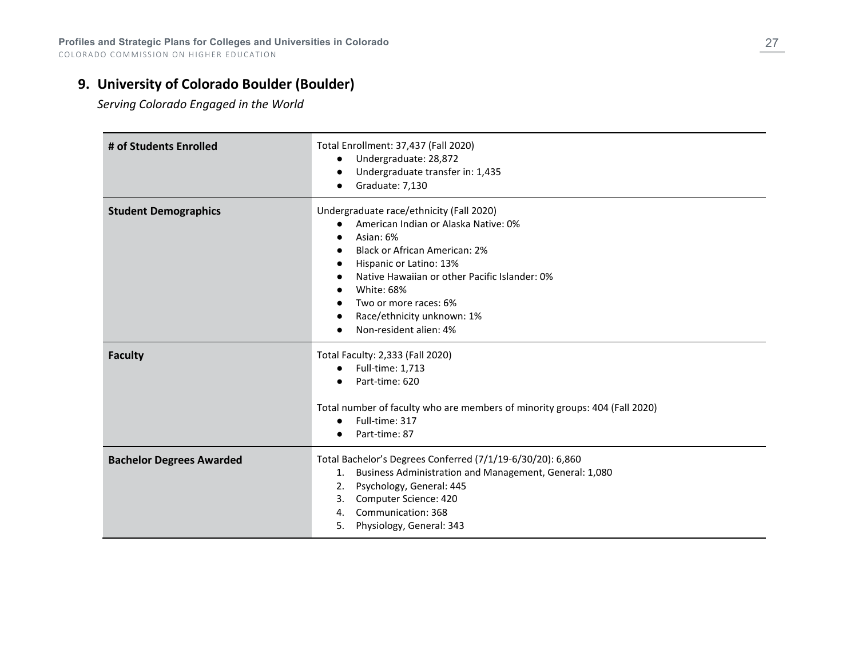# **9. University of Colorado Boulder (Boulder)**

*Serving Colorado Engaged in the World*

| # of Students Enrolled          | Total Enrollment: 37,437 (Fall 2020)<br>Undergraduate: 28,872<br>Undergraduate transfer in: 1,435<br>Graduate: 7,130                                                                                                                                                                                                          |
|---------------------------------|-------------------------------------------------------------------------------------------------------------------------------------------------------------------------------------------------------------------------------------------------------------------------------------------------------------------------------|
| <b>Student Demographics</b>     | Undergraduate race/ethnicity (Fall 2020)<br>American Indian or Alaska Native: 0%<br>$\bullet$<br>Asian: 6%<br><b>Black or African American: 2%</b><br>Hispanic or Latino: 13%<br>Native Hawaiian or other Pacific Islander: 0%<br>White: 68%<br>Two or more races: 6%<br>Race/ethnicity unknown: 1%<br>Non-resident alien: 4% |
| <b>Faculty</b>                  | Total Faculty: 2,333 (Fall 2020)<br>Full-time: 1,713<br>$\bullet$<br>Part-time: 620<br>Total number of faculty who are members of minority groups: 404 (Fall 2020)<br>Full-time: 317<br>Part-time: 87                                                                                                                         |
| <b>Bachelor Degrees Awarded</b> | Total Bachelor's Degrees Conferred (7/1/19-6/30/20): 6,860<br>1. Business Administration and Management, General: 1,080<br>Psychology, General: 445<br>2.<br>Computer Science: 420<br>3.<br>Communication: 368<br>4.<br>Physiology, General: 343<br>5.                                                                        |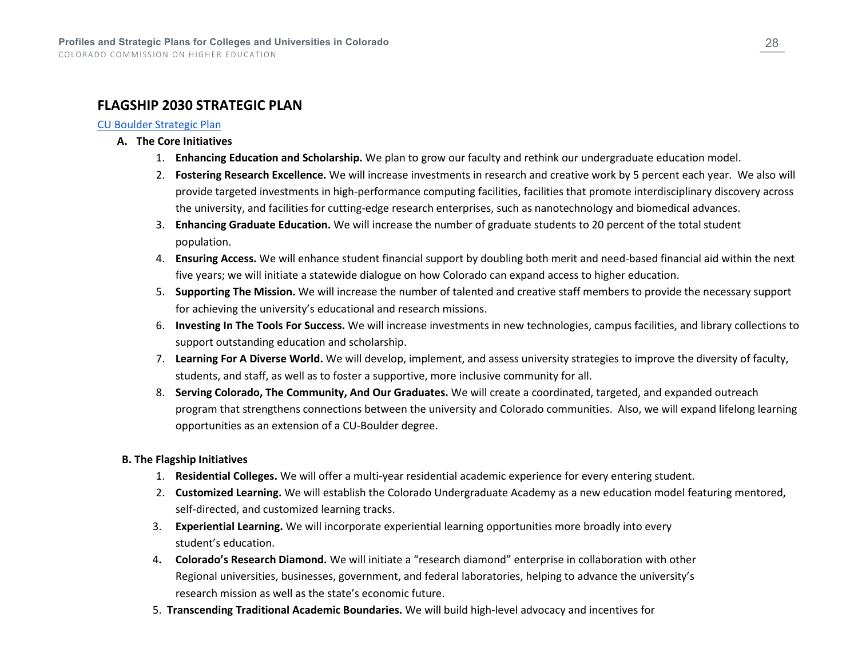# **FLAGSHIP 2030 STRATEGIC PLAN**

#### [CU Boulder Strategic Plan](https://www.colorado.edu/chancellor/sites/default/files/attached-files/cuflagship.pdf)

#### **A. The Core Initiatives**

- 1. **Enhancing Education and Scholarship.** We plan to grow our faculty and rethink our undergraduate education model.
- 2. **Fostering Research Excellence.** We will increase investments in research and creative work by 5 percent each year. We also will provide targeted investments in high-performance computing facilities, facilities that promote interdisciplinary discovery across the university, and facilities for cutting-edge research enterprises, such as nanotechnology and biomedical advances.
- 3. **Enhancing Graduate Education.** We will increase the number of graduate students to 20 percent of the total student population.
- 4. **Ensuring Access.** We will enhance student financial support by doubling both merit and need-based financial aid within the next five years; we will initiate a statewide dialogue on how Colorado can expand access to higher education.
- 5. **Supporting The Mission.** We will increase the number of talented and creative staff members to provide the necessary support for achieving the university's educational and research missions.
- 6. **Investing In The Tools For Success.** We will increase investments in new technologies, campus facilities, and library collections to support outstanding education and scholarship.
- 7. **Learning For A Diverse World.** We will develop, implement, and assess university strategies to improve the diversity of faculty, students, and staff, as well as to foster a supportive, more inclusive community for all.
- 8. **Serving Colorado, The Community, And Our Graduates.** We will create a coordinated, targeted, and expanded outreach program that strengthens connections between the university and Colorado communities. Also, we will expand lifelong learning opportunities as an extension of a CU-Boulder degree.

#### **B. The Flagship Initiatives**

- 1. **Residential Colleges.** We will offer a multi-year residential academic experience for every entering student.
- 2. **Customized Learning.** We will establish the Colorado Undergraduate Academy as a new education model featuring mentored, self-directed, and customized learning tracks.
- 3. **Experiential Learning.** We will incorporate experiential learning opportunities more broadly into every student's education.
- 4**. Colorado's Research Diamond.** We will initiate a "research diamond" enterprise in collaboration with other Regional universities, businesses, government, and federal laboratories, helping to advance the university's research mission as well as the state's economic future.
- 5. **Transcending Traditional Academic Boundaries.** We will build high-level advocacy and incentives for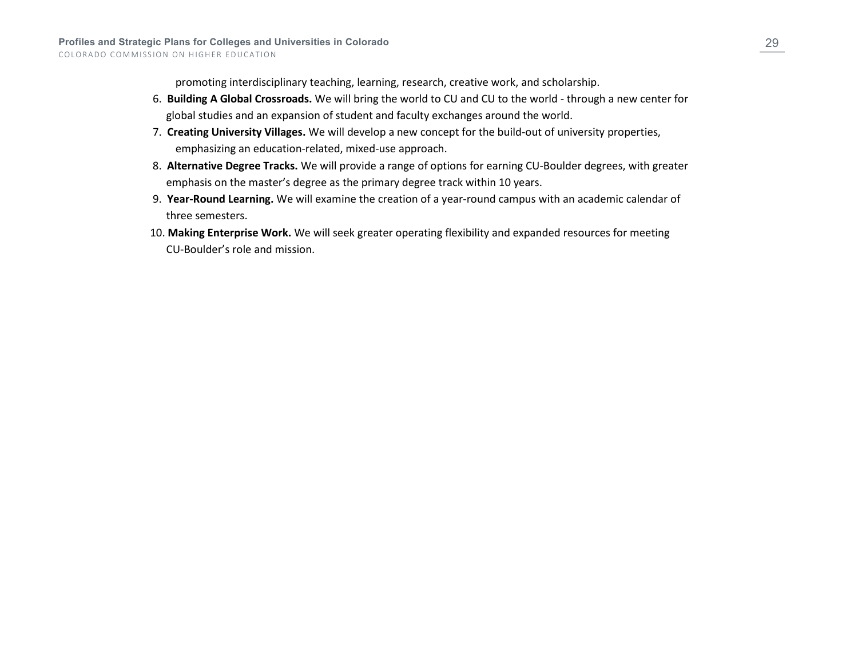promoting interdisciplinary teaching, learning, research, creative work, and scholarship.

- 6. **Building A Global Crossroads.** We will bring the world to CU and CU to the world through a new center for global studies and an expansion of student and faculty exchanges around the world.
- 7. **Creating University Villages.** We will develop a new concept for the build-out of university properties, emphasizing an education-related, mixed-use approach.
- 8. **Alternative Degree Tracks.** We will provide a range of options for earning CU-Boulder degrees, with greater emphasis on the master's degree as the primary degree track within 10 years.
- 9. **Year-Round Learning.** We will examine the creation of a year-round campus with an academic calendar of three semesters.
- 10. **Making Enterprise Work.** We will seek greater operating flexibility and expanded resources for meeting CU-Boulder's role and mission.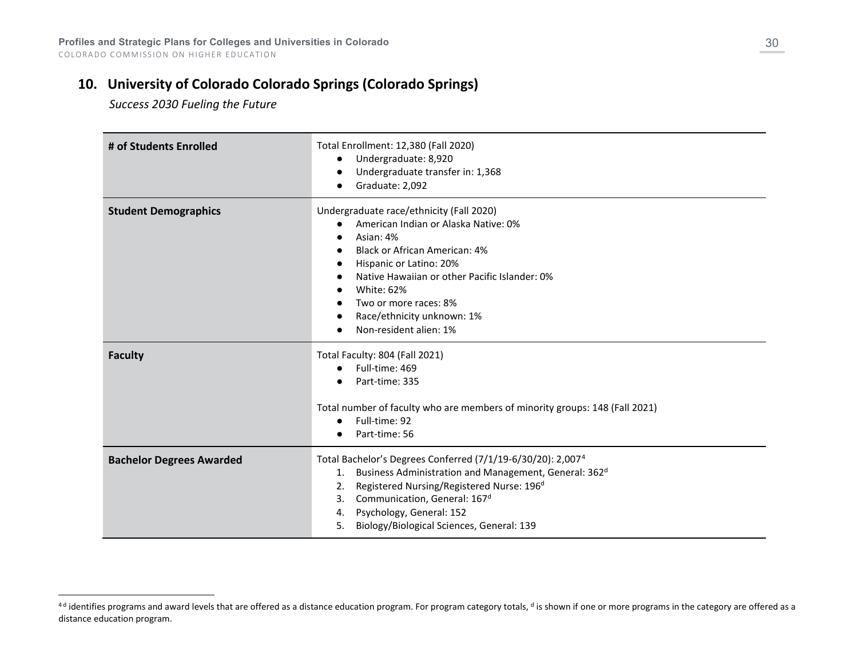# **10. University of Colorado Colorado Springs (Colorado Springs)**

<span id="page-29-0"></span> *Success 2030 Fueling the Future*

| # of Students Enrolled          | Total Enrollment: 12,380 (Fall 2020)<br>Undergraduate: 8,920<br>$\bullet$<br>Undergraduate transfer in: 1,368<br>Graduate: 2,092                                                                                                                                                                                                                         |
|---------------------------------|----------------------------------------------------------------------------------------------------------------------------------------------------------------------------------------------------------------------------------------------------------------------------------------------------------------------------------------------------------|
| <b>Student Demographics</b>     | Undergraduate race/ethnicity (Fall 2020)<br>American Indian or Alaska Native: 0%<br>Asian: 4%<br><b>Black or African American: 4%</b><br>Hispanic or Latino: 20%<br>Native Hawaiian or other Pacific Islander: 0%<br>White: 62%<br>Two or more races: 8%<br>Race/ethnicity unknown: 1%<br>Non-resident alien: 1%                                         |
| <b>Faculty</b>                  | Total Faculty: 804 (Fall 2021)<br>Full-time: 469<br>$\bullet$<br>Part-time: 335<br>Total number of faculty who are members of minority groups: 148 (Fall 2021)<br>Full-time: 92<br>$\bullet$<br>Part-time: 56                                                                                                                                            |
| <b>Bachelor Degrees Awarded</b> | Total Bachelor's Degrees Conferred (7/1/19-6/30/20): 2,007 <sup>4</sup><br>Business Administration and Management, General: 362 <sup>d</sup><br>1.<br>Registered Nursing/Registered Nurse: 196 <sup>d</sup><br>2.<br>Communication, General: 167 <sup>d</sup><br>3.<br>Psychology, General: 152<br>4.<br>Biology/Biological Sciences, General: 139<br>5. |

<sup>&</sup>lt;sup>4d</sup> identifies programs and award levels that are offered as a distance education program. For program category totals, <sup>d</sup> is shown if one or more programs in the category are offered as a distance education program.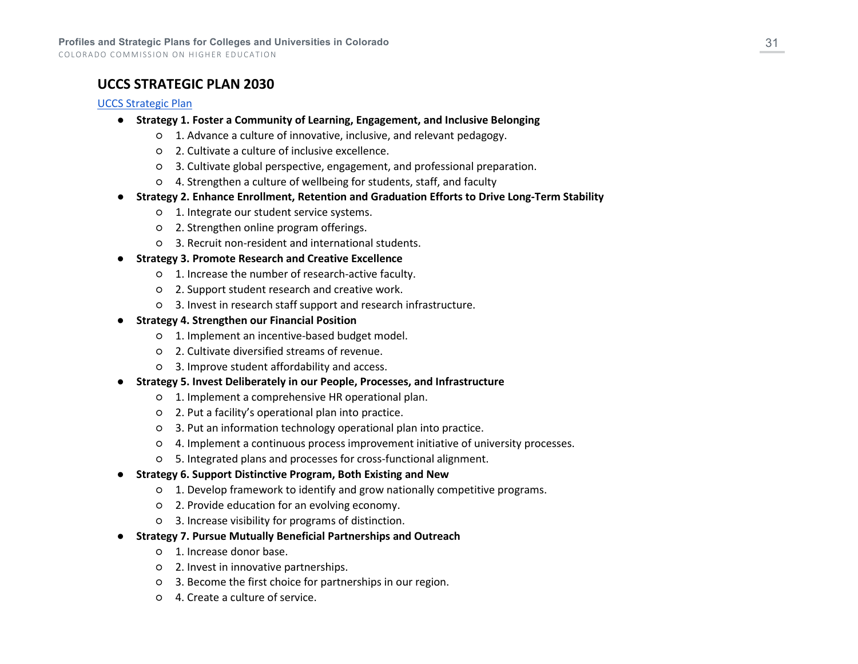COLORADO COMMISSION ON HIGHER EDUCATION

### **UCCS STRATEGIC PLAN 2030**

#### [UCCS Strategic Plan](https://strategicplan.uccs.edu/sites/g/files/kjihxj1316/files/2021-09/StrategicPlan2030.pdf)

- **Strategy 1. Foster a Community of Learning, Engagement, and Inclusive Belonging**
	- 1. Advance a culture of innovative, inclusive, and relevant pedagogy.
	- 2. Cultivate a culture of inclusive excellence.
	- 3. Cultivate global perspective, engagement, and professional preparation.
	- 4. Strengthen a culture of wellbeing for students, staff, and faculty
- **Strategy 2. Enhance Enrollment, Retention and Graduation Efforts to Drive Long-Term Stability**
	- 1. Integrate our student service systems.
	- 2. Strengthen online program offerings.
	- 3. Recruit non-resident and international students.
- **Strategy 3. Promote Research and Creative Excellence**
	- 1. Increase the number of research-active faculty.
	- 2. Support student research and creative work.
	- 3. Invest in research staff support and research infrastructure.
- **Strategy 4. Strengthen our Financial Position**
	- 1. Implement an incentive-based budget model.
	- 2. Cultivate diversified streams of revenue.
	- 3. Improve student affordability and access.
- **Strategy 5. Invest Deliberately in our People, Processes, and Infrastructure**
	- 1. Implement a comprehensive HR operational plan.
	- 2. Put a facility's operational plan into practice.
	- 3. Put an information technology operational plan into practice.
	- 4. Implement a continuous process improvement initiative of university processes.
	- 5. Integrated plans and processes for cross-functional alignment.
- **Strategy 6. Support Distinctive Program, Both Existing and New**
	- 1. Develop framework to identify and grow nationally competitive programs.
	- 2. Provide education for an evolving economy.
	- 3. Increase visibility for programs of distinction.
- **Strategy 7. Pursue Mutually Beneficial Partnerships and Outreach**
	- 1. Increase donor base.
	- 2. Invest in innovative partnerships.
	- 3. Become the first choice for partnerships in our region.
	- 4. Create a culture of service.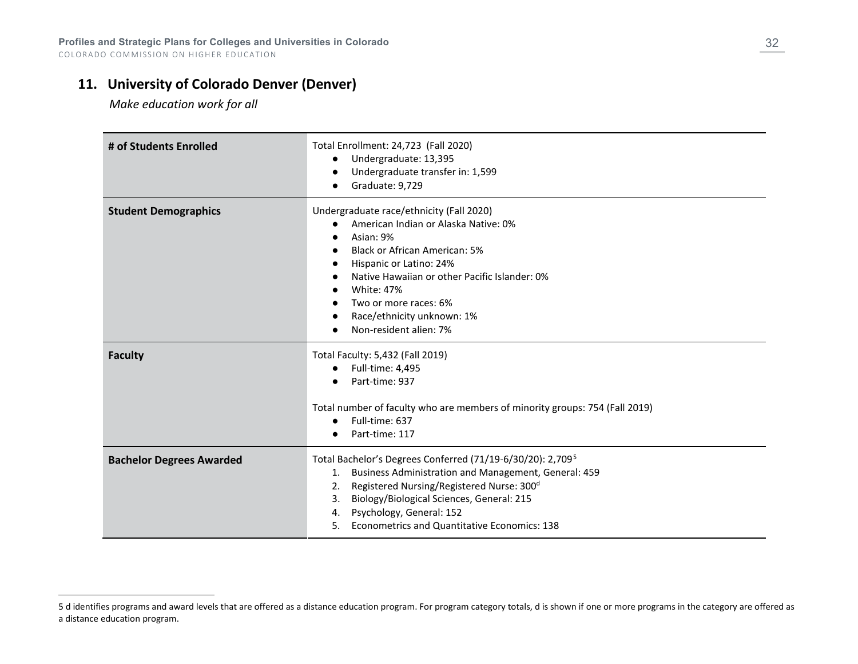# **11. University of Colorado Denver (Denver)**

<span id="page-31-0"></span> *Make education work for all* 

| # of Students Enrolled          | Total Enrollment: 24,723 (Fall 2020)<br>Undergraduate: 13,395<br>Undergraduate transfer in: 1,599<br>Graduate: 9,729                                                                                                                                                                                                                        |
|---------------------------------|---------------------------------------------------------------------------------------------------------------------------------------------------------------------------------------------------------------------------------------------------------------------------------------------------------------------------------------------|
| <b>Student Demographics</b>     | Undergraduate race/ethnicity (Fall 2020)<br>American Indian or Alaska Native: 0%<br>Asian: 9%<br>Black or African American: 5%<br>Hispanic or Latino: 24%<br>Native Hawaiian or other Pacific Islander: 0%<br><b>White: 47%</b><br>Two or more races: 6%<br>Race/ethnicity unknown: 1%<br>Non-resident alien: 7%                            |
| <b>Faculty</b>                  | Total Faculty: 5,432 (Fall 2019)<br>Full-time: 4,495<br>Part-time: 937<br>Total number of faculty who are members of minority groups: 754 (Fall 2019)<br>Full-time: 637<br>$\bullet$<br>Part-time: 117                                                                                                                                      |
| <b>Bachelor Degrees Awarded</b> | Total Bachelor's Degrees Conferred (71/19-6/30/20): 2,709 <sup>5</sup><br>Business Administration and Management, General: 459<br>1.<br>Registered Nursing/Registered Nurse: 300 <sup>d</sup><br>2.<br>Biology/Biological Sciences, General: 215<br>3.<br>Psychology, General: 152<br>4.<br>5. Econometrics and Quantitative Economics: 138 |

<sup>5</sup> d identifies programs and award levels that are offered as a distance education program. For program category totals, d is shown if one or more programs in the category are offered as a distance education program.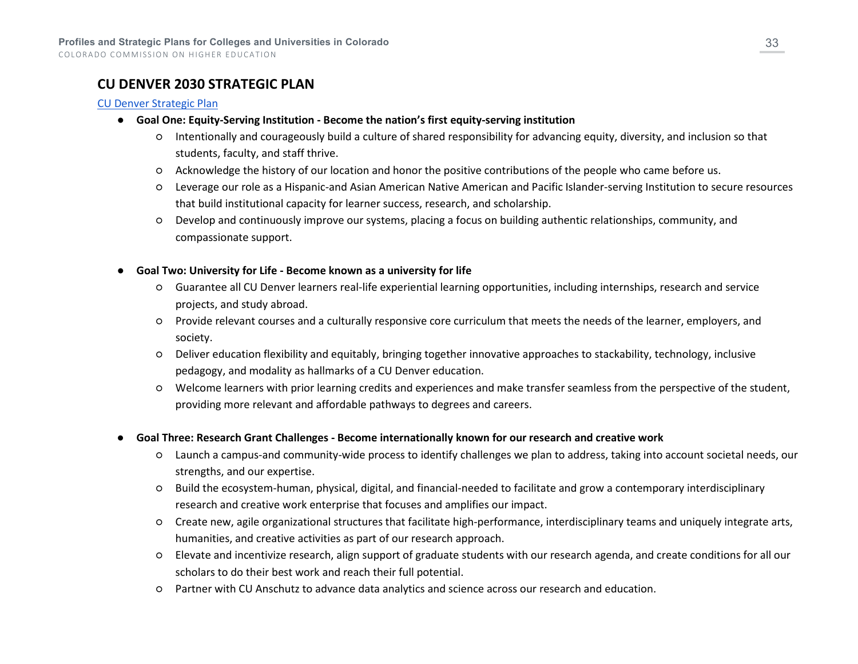# **CU DENVER 2030 STRATEGIC PLAN**

#### [CU Denver Strategic Plan](https://www.ucdenver.edu/2030)

- **Goal One: Equity-Serving Institution - Become the nation's first equity-serving institution**
	- Intentionally and courageously build a culture of shared responsibility for advancing equity, diversity, and inclusion so that students, faculty, and staff thrive.
	- Acknowledge the history of our location and honor the positive contributions of the people who came before us.
	- Leverage our role as a Hispanic-and Asian American Native American and Pacific Islander-serving Institution to secure resources that build institutional capacity for learner success, research, and scholarship.
	- Develop and continuously improve our systems, placing a focus on building authentic relationships, community, and compassionate support.
- **Goal Two: University for Life - Become known as a university for life**
	- Guarantee all CU Denver learners real-life experiential learning opportunities, including internships, research and service projects, and study abroad.
	- Provide relevant courses and a culturally responsive core curriculum that meets the needs of the learner, employers, and society.
	- Deliver education flexibility and equitably, bringing together innovative approaches to stackability, technology, inclusive pedagogy, and modality as hallmarks of a CU Denver education.
	- Welcome learners with prior learning credits and experiences and make transfer seamless from the perspective of the student, providing more relevant and affordable pathways to degrees and careers.
- **Goal Three: Research Grant Challenges - Become internationally known for our research and creative work**
	- Launch a campus-and community-wide process to identify challenges we plan to address, taking into account societal needs, our strengths, and our expertise.
	- Build the ecosystem-human, physical, digital, and financial-needed to facilitate and grow a contemporary interdisciplinary research and creative work enterprise that focuses and amplifies our impact.
	- Create new, agile organizational structures that facilitate high-performance, interdisciplinary teams and uniquely integrate arts, humanities, and creative activities as part of our research approach.
	- Elevate and incentivize research, align support of graduate students with our research agenda, and create conditions for all our scholars to do their best work and reach their full potential.
	- Partner with CU Anschutz to advance data analytics and science across our research and education.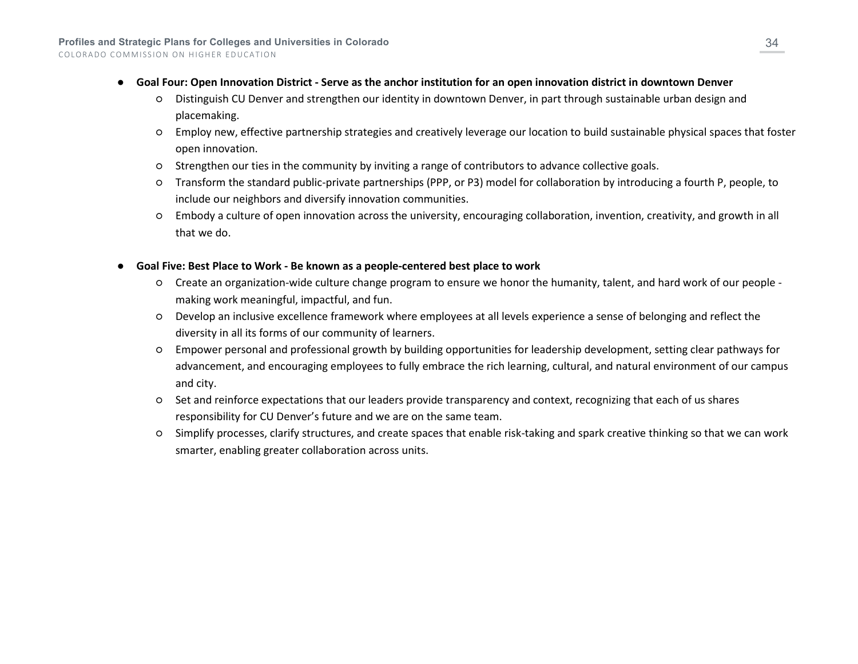- **Goal Four: Open Innovation District - Serve as the anchor institution for an open innovation district in downtown Denver**
	- Distinguish CU Denver and strengthen our identity in downtown Denver, in part through sustainable urban design and placemaking.
	- Employ new, effective partnership strategies and creatively leverage our location to build sustainable physical spaces that foster open innovation.
	- Strengthen our ties in the community by inviting a range of contributors to advance collective goals.
	- Transform the standard public-private partnerships (PPP, or P3) model for collaboration by introducing a fourth P, people, to include our neighbors and diversify innovation communities.
	- Embody a culture of open innovation across the university, encouraging collaboration, invention, creativity, and growth in all that we do.
- **Goal Five: Best Place to Work - Be known as a people-centered best place to work**
	- Create an organization-wide culture change program to ensure we honor the humanity, talent, and hard work of our people making work meaningful, impactful, and fun.
	- Develop an inclusive excellence framework where employees at all levels experience a sense of belonging and reflect the diversity in all its forms of our community of learners.
	- Empower personal and professional growth by building opportunities for leadership development, setting clear pathways for advancement, and encouraging employees to fully embrace the rich learning, cultural, and natural environment of our campus and city.
	- Set and reinforce expectations that our leaders provide transparency and context, recognizing that each of us shares responsibility for CU Denver's future and we are on the same team.
	- Simplify processes, clarify structures, and create spaces that enable risk-taking and spark creative thinking so that we can work smarter, enabling greater collaboration across units.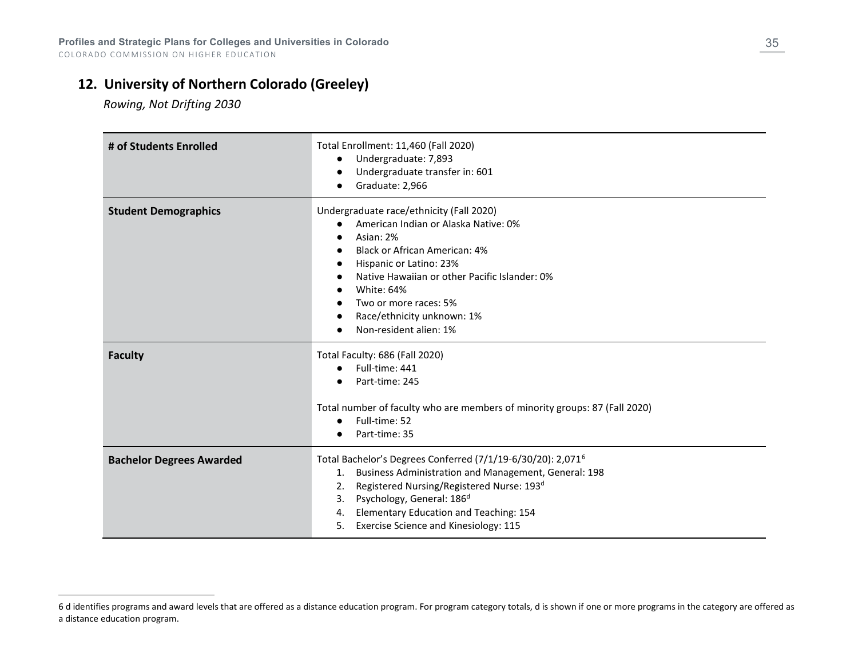# **12. University of Northern Colorado (Greeley)**

<span id="page-34-0"></span> *Rowing, Not Drifting 2030*

| # of Students Enrolled          | Total Enrollment: 11,460 (Fall 2020)<br>Undergraduate: 7,893<br>$\bullet$<br>Undergraduate transfer in: 601<br>Graduate: 2,966                                                                                                                                                                                                                     |
|---------------------------------|----------------------------------------------------------------------------------------------------------------------------------------------------------------------------------------------------------------------------------------------------------------------------------------------------------------------------------------------------|
| <b>Student Demographics</b>     | Undergraduate race/ethnicity (Fall 2020)<br>American Indian or Alaska Native: 0%<br>Asian: 2%<br><b>Black or African American: 4%</b><br>Hispanic or Latino: 23%<br>Native Hawaiian or other Pacific Islander: 0%<br>White: 64%<br>Two or more races: 5%<br>Race/ethnicity unknown: 1%<br>Non-resident alien: 1%                                   |
| <b>Faculty</b>                  | Total Faculty: 686 (Fall 2020)<br>Full-time: 441<br>$\bullet$<br>Part-time: 245<br>Total number of faculty who are members of minority groups: 87 (Fall 2020)<br>Full-time: 52<br>Part-time: 35                                                                                                                                                    |
| <b>Bachelor Degrees Awarded</b> | Total Bachelor's Degrees Conferred (7/1/19-6/30/20): 2,071 <sup>6</sup><br>Business Administration and Management, General: 198<br>1.<br>Registered Nursing/Registered Nurse: 193 <sup>d</sup><br>2.<br>Psychology, General: 186 <sup>d</sup><br>3.<br>Elementary Education and Teaching: 154<br>4.<br>Exercise Science and Kinesiology: 115<br>5. |

<sup>6</sup> d identifies programs and award levels that are offered as a distance education program. For program category totals, d is shown if one or more programs in the category are offered as a distance education program.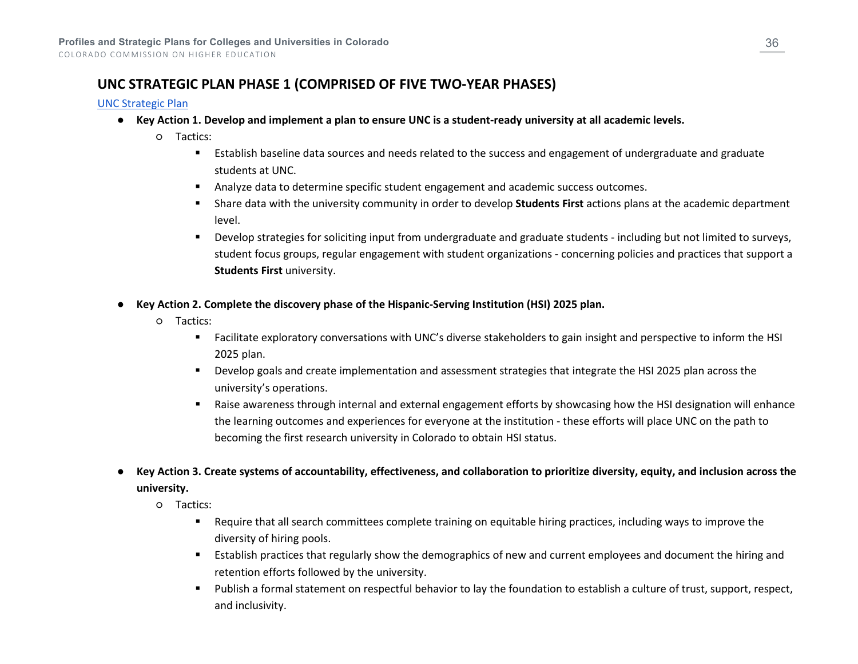# **UNC STRATEGIC PLAN PHASE 1 (COMPRISED OF FIVE TWO-YEAR PHASES)**

#### [UNC Strategic Plan](https://www.unco.edu/strategic-plan/pdf/pres-strategic-visioning-21-v20.pdf)

- **Key Action 1. Develop and implement a plan to ensure UNC is a student-ready university at all academic levels.**
	- Tactics:
		- Establish baseline data sources and needs related to the success and engagement of undergraduate and graduate students at UNC.
		- Analyze data to determine specific student engagement and academic success outcomes.
		- Share data with the university community in order to develop **Students First** actions plans at the academic department level.
		- Develop strategies for soliciting input from undergraduate and graduate students including but not limited to surveys, student focus groups, regular engagement with student organizations - concerning policies and practices that support a **Students First** university.
- **Key Action 2. Complete the discovery phase of the Hispanic-Serving Institution (HSI) 2025 plan.**
	- Tactics:
		- Facilitate exploratory conversations with UNC's diverse stakeholders to gain insight and perspective to inform the HSI 2025 plan.
		- Develop goals and create implementation and assessment strategies that integrate the HSI 2025 plan across the university's operations.
		- Raise awareness through internal and external engagement efforts by showcasing how the HSI designation will enhance the learning outcomes and experiences for everyone at the institution - these efforts will place UNC on the path to becoming the first research university in Colorado to obtain HSI status.
- **Key Action 3. Create systems of accountability, effectiveness, and collaboration to prioritize diversity, equity, and inclusion across the university.**
	- Tactics:
		- Require that all search committees complete training on equitable hiring practices, including ways to improve the diversity of hiring pools.
		- Establish practices that regularly show the demographics of new and current employees and document the hiring and retention efforts followed by the university.
		- Publish a formal statement on respectful behavior to lay the foundation to establish a culture of trust, support, respect, and inclusivity.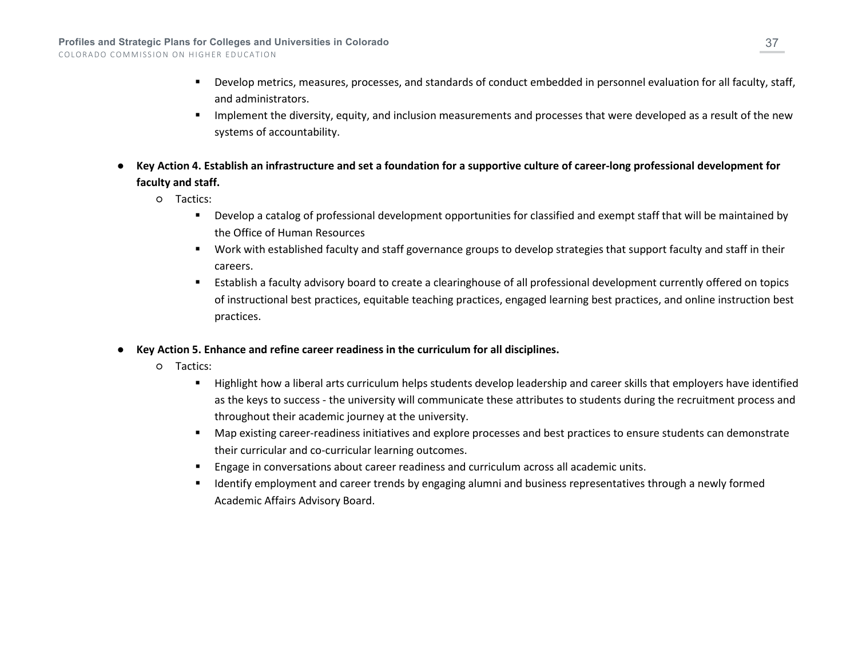- Develop metrics, measures, processes, and standards of conduct embedded in personnel evaluation for all faculty, staff, and administrators.
- **IMPLEMENT IMPLE THE DIVISION MET LAKE IS NOTE** Implements and processes that were developed as a result of the new systems of accountability.
- **Key Action 4. Establish an infrastructure and set a foundation for a supportive culture of career-long professional development for faculty and staff.**
	- Tactics:
		- Develop a catalog of professional development opportunities for classified and exempt staff that will be maintained by the Office of Human Resources
		- Work with established faculty and staff governance groups to develop strategies that support faculty and staff in their careers.
		- Establish a faculty advisory board to create a clearinghouse of all professional development currently offered on topics of instructional best practices, equitable teaching practices, engaged learning best practices, and online instruction best practices.
- **Key Action 5. Enhance and refine career readiness in the curriculum for all disciplines.**
	- Tactics:
		- Highlight how a liberal arts curriculum helps students develop leadership and career skills that employers have identified as the keys to success - the university will communicate these attributes to students during the recruitment process and throughout their academic journey at the university.
		- Map existing career-readiness initiatives and explore processes and best practices to ensure students can demonstrate their curricular and co-curricular learning outcomes.
		- Engage in conversations about career readiness and curriculum across all academic units.
		- Identify employment and career trends by engaging alumni and business representatives through a newly formed Academic Affairs Advisory Board.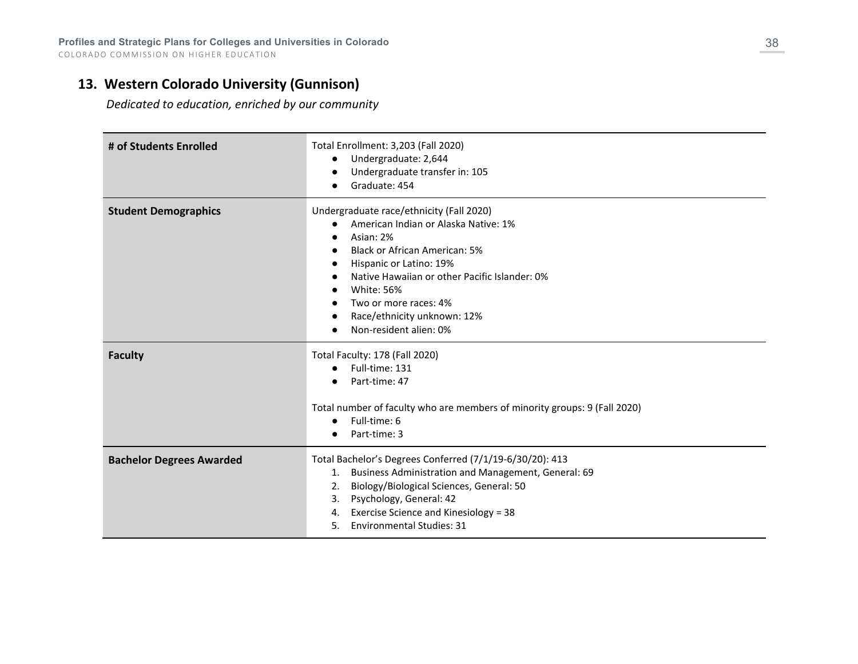## **13. Western Colorado University (Gunnison)**

 *Dedicated to education, enriched by our community*

| # of Students Enrolled          | Total Enrollment: 3,203 (Fall 2020)<br>Undergraduate: 2,644<br>Undergraduate transfer in: 105<br>Graduate: 454                                                                                                                                                                                                           |
|---------------------------------|--------------------------------------------------------------------------------------------------------------------------------------------------------------------------------------------------------------------------------------------------------------------------------------------------------------------------|
| <b>Student Demographics</b>     | Undergraduate race/ethnicity (Fall 2020)<br>American Indian or Alaska Native: 1%<br>Asian: 2%<br><b>Black or African American: 5%</b><br>Hispanic or Latino: 19%<br>Native Hawaiian or other Pacific Islander: 0%<br><b>White: 56%</b><br>Two or more races: 4%<br>Race/ethnicity unknown: 12%<br>Non-resident alien: 0% |
| <b>Faculty</b>                  | Total Faculty: 178 (Fall 2020)<br>Full-time: 131<br>$\bullet$<br>Part-time: 47<br>Total number of faculty who are members of minority groups: 9 (Fall 2020)<br>Full-time: 6<br>Part-time: 3                                                                                                                              |
| <b>Bachelor Degrees Awarded</b> | Total Bachelor's Degrees Conferred (7/1/19-6/30/20): 413<br>1. Business Administration and Management, General: 69<br>Biology/Biological Sciences, General: 50<br>2.<br>Psychology, General: 42<br>3.<br>Exercise Science and Kinesiology = 38<br>4.<br><b>Environmental Studies: 31</b><br>5.                           |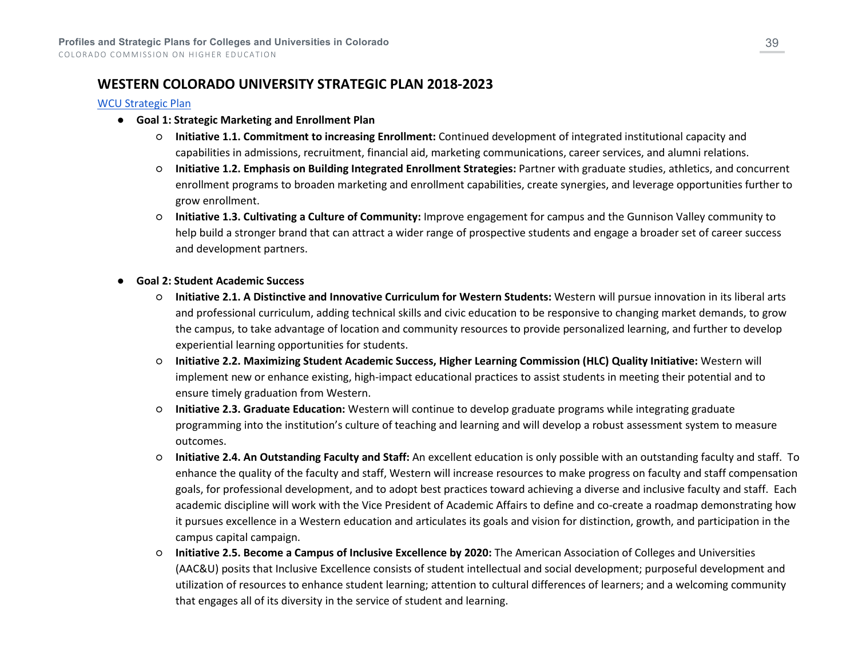### **WESTERN COLORADO UNIVERSITY STRATEGIC PLAN 2018-2023**

#### [WCU Strategic Plan](https://western.edu/wp-content/uploads/2021/03/Western_Strategic_Planning_2019_update-March21_FINAL.pdf)

- **Goal 1: Strategic Marketing and Enrollment Plan**
	- **Initiative 1.1. Commitment to increasing Enrollment:** Continued development of integrated institutional capacity and capabilities in admissions, recruitment, financial aid, marketing communications, career services, and alumni relations.
	- **Initiative 1.2. Emphasis on Building Integrated Enrollment Strategies:** Partner with graduate studies, athletics, and concurrent enrollment programs to broaden marketing and enrollment capabilities, create synergies, and leverage opportunities further to grow enrollment.
	- **Initiative 1.3. Cultivating a Culture of Community:** Improve engagement for campus and the Gunnison Valley community to help build a stronger brand that can attract a wider range of prospective students and engage a broader set of career success and development partners.

#### ● **Goal 2: Student Academic Success**

- **Initiative 2.1. A Distinctive and Innovative Curriculum for Western Students:** Western will pursue innovation in its liberal arts and professional curriculum, adding technical skills and civic education to be responsive to changing market demands, to grow the campus, to take advantage of location and community resources to provide personalized learning, and further to develop experiential learning opportunities for students.
- **Initiative 2.2. Maximizing Student Academic Success, Higher Learning Commission (HLC) Quality Initiative:** Western will implement new or enhance existing, high-impact educational practices to assist students in meeting their potential and to ensure timely graduation from Western.
- **Initiative 2.3. Graduate Education:** Western will continue to develop graduate programs while integrating graduate programming into the institution's culture of teaching and learning and will develop a robust assessment system to measure outcomes.
- **Initiative 2.4. An Outstanding Faculty and Staff:** An excellent education is only possible with an outstanding faculty and staff. To enhance the quality of the faculty and staff, Western will increase resources to make progress on faculty and staff compensation goals, for professional development, and to adopt best practices toward achieving a diverse and inclusive faculty and staff. Each academic discipline will work with the Vice President of Academic Affairs to define and co-create a roadmap demonstrating how it pursues excellence in a Western education and articulates its goals and vision for distinction, growth, and participation in the campus capital campaign.
- **Initiative 2.5. Become a Campus of Inclusive Excellence by 2020:** The American Association of Colleges and Universities (AAC&U) posits that Inclusive Excellence consists of student intellectual and social development; purposeful development and utilization of resources to enhance student learning; attention to cultural differences of learners; and a welcoming community that engages all of its diversity in the service of student and learning.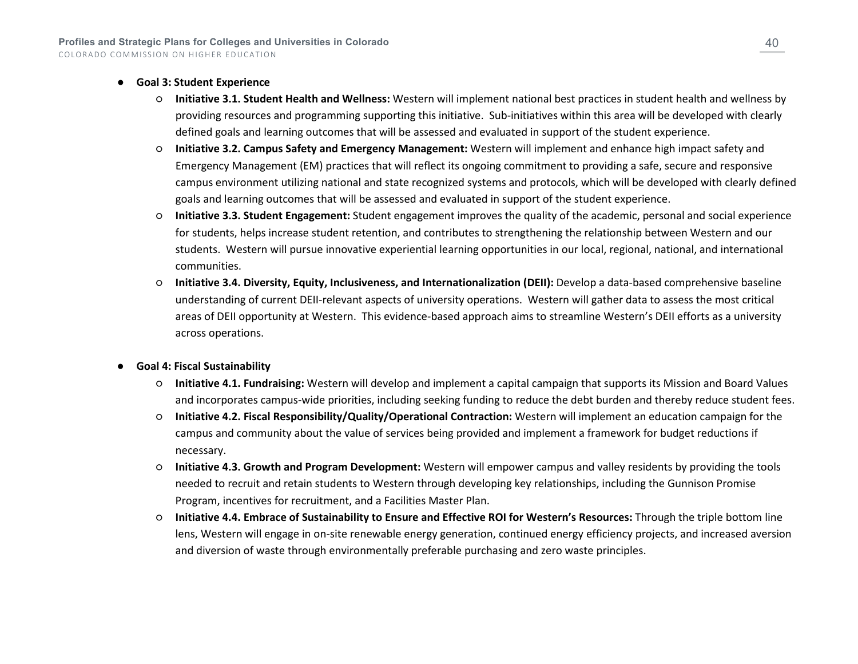#### ● **Goal 3: Student Experience**

- **Initiative 3.1. Student Health and Wellness:** Western will implement national best practices in student health and wellness by providing resources and programming supporting this initiative. Sub-initiatives within this area will be developed with clearly defined goals and learning outcomes that will be assessed and evaluated in support of the student experience.
- **Initiative 3.2. Campus Safety and Emergency Management:** Western will implement and enhance high impact safety and Emergency Management (EM) practices that will reflect its ongoing commitment to providing a safe, secure and responsive campus environment utilizing national and state recognized systems and protocols, which will be developed with clearly defined goals and learning outcomes that will be assessed and evaluated in support of the student experience.
- **Initiative 3.3. Student Engagement:** Student engagement improves the quality of the academic, personal and social experience for students, helps increase student retention, and contributes to strengthening the relationship between Western and our students. Western will pursue innovative experiential learning opportunities in our local, regional, national, and international communities.
- **Initiative 3.4. Diversity, Equity, Inclusiveness, and Internationalization (DEII):** Develop a data-based comprehensive baseline understanding of current DEII-relevant aspects of university operations. Western will gather data to assess the most critical areas of DEII opportunity at Western. This evidence-based approach aims to streamline Western's DEII efforts as a university across operations.
- **Goal 4: Fiscal Sustainability**
	- **Initiative 4.1. Fundraising:** Western will develop and implement a capital campaign that supports its Mission and Board Values and incorporates campus-wide priorities, including seeking funding to reduce the debt burden and thereby reduce student fees.
	- **Initiative 4.2. Fiscal Responsibility/Quality/Operational Contraction:** Western will implement an education campaign for the campus and community about the value of services being provided and implement a framework for budget reductions if necessary.
	- **Initiative 4.3. Growth and Program Development:** Western will empower campus and valley residents by providing the tools needed to recruit and retain students to Western through developing key relationships, including the Gunnison Promise Program, incentives for recruitment, and a Facilities Master Plan.
	- **Initiative 4.4. Embrace of Sustainability to Ensure and Effective ROI for Western's Resources:** Through the triple bottom line lens, Western will engage in on-site renewable energy generation, continued energy efficiency projects, and increased aversion and diversion of waste through environmentally preferable purchasing and zero waste principles.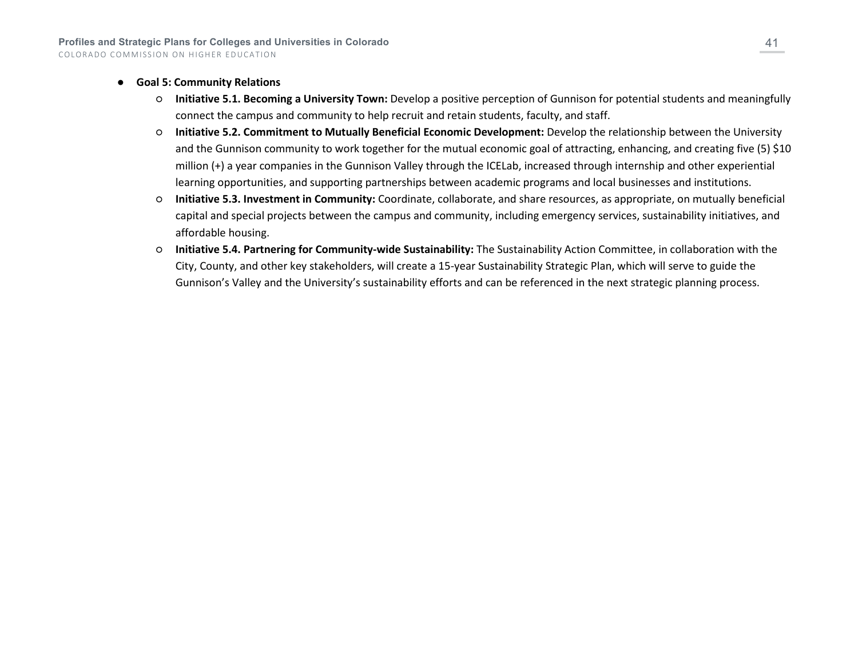- **Goal 5: Community Relations**
	- **Initiative 5.1. Becoming a University Town:** Develop a positive perception of Gunnison for potential students and meaningfully connect the campus and community to help recruit and retain students, faculty, and staff.
	- **Initiative 5.2. Commitment to Mutually Beneficial Economic Development:** Develop the relationship between the University and the Gunnison community to work together for the mutual economic goal of attracting, enhancing, and creating five (5) \$10 million (+) a year companies in the Gunnison Valley through the ICELab, increased through internship and other experiential learning opportunities, and supporting partnerships between academic programs and local businesses and institutions.
	- **Initiative 5.3. Investment in Community:** Coordinate, collaborate, and share resources, as appropriate, on mutually beneficial capital and special projects between the campus and community, including emergency services, sustainability initiatives, and affordable housing.
	- **Initiative 5.4. Partnering for Community-wide Sustainability:** The Sustainability Action Committee, in collaboration with the City, County, and other key stakeholders, will create a 15-year Sustainability Strategic Plan, which will serve to guide the Gunnison's Valley and the University's sustainability efforts and can be referenced in the next strategic planning process.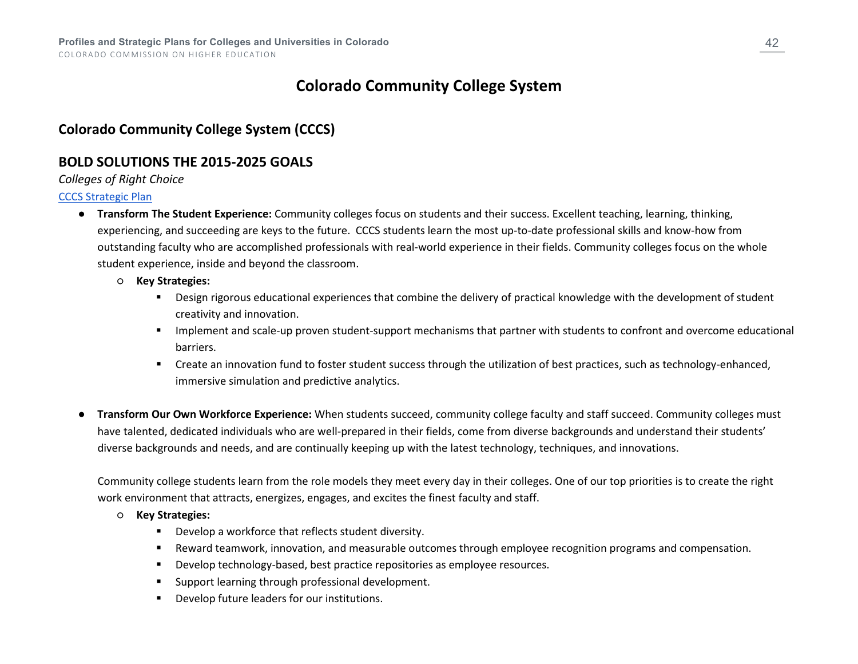# **Colorado Community College System**

## **Colorado Community College System (CCCS)**

### **BOLD SOLUTIONS THE 2015-2025 GOALS**

#### *Colleges of Right Choice*

#### [CCCS Strategic Plan](https://www.cccs.edu/wp-content/uploads/documents/StrategicPlan.pdf)

- **Transform The Student Experience:** Community colleges focus on students and their success. Excellent teaching, learning, thinking, experiencing, and succeeding are keys to the future. CCCS students learn the most up-to-date professional skills and know-how from outstanding faculty who are accomplished professionals with real-world experience in their fields. Community colleges focus on the whole student experience, inside and beyond the classroom.
	- **Key Strategies:**
		- Design rigorous educational experiences that combine the delivery of practical knowledge with the development of student creativity and innovation.
		- **IMPLEMENT And Scale-up proven student-support mechanisms that partner with students to confront and overcome educational** barriers.
		- Create an innovation fund to foster student success through the utilization of best practices, such as technology-enhanced, immersive simulation and predictive analytics.
- **Transform Our Own Workforce Experience:** When students succeed, community college faculty and staff succeed. Community colleges must have talented, dedicated individuals who are well-prepared in their fields, come from diverse backgrounds and understand their students' diverse backgrounds and needs, and are continually keeping up with the latest technology, techniques, and innovations.

Community college students learn from the role models they meet every day in their colleges. One of our top priorities is to create the right work environment that attracts, energizes, engages, and excites the finest faculty and staff.

- **Key Strategies:**
	- **•** Develop a workforce that reflects student diversity.
	- Reward teamwork, innovation, and measurable outcomes through employee recognition programs and compensation.
	- Develop technology-based, best practice repositories as employee resources.
	- **Support learning through professional development.**
	- Develop future leaders for our institutions.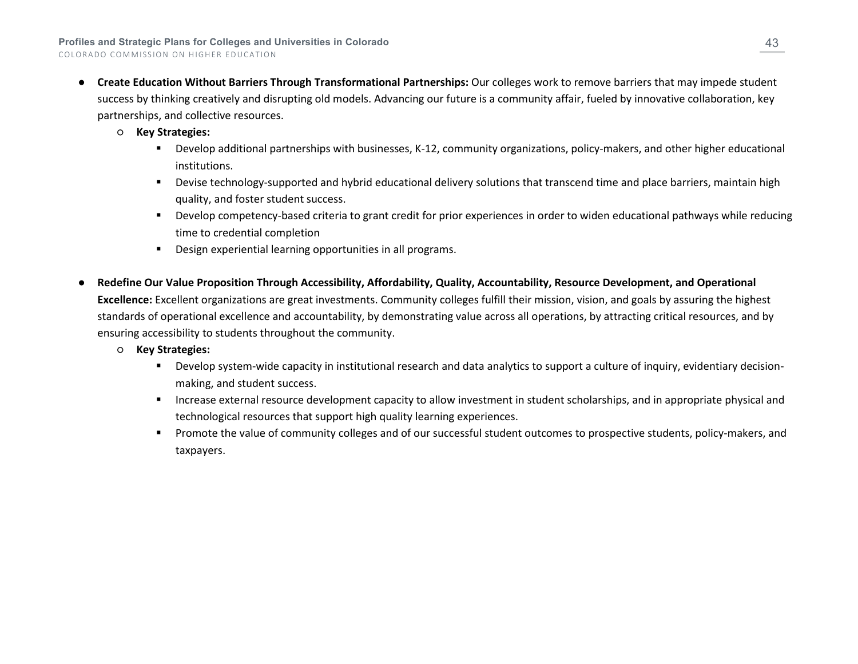- **Create Education Without Barriers Through Transformational Partnerships:** Our colleges work to remove barriers that may impede student success by thinking creatively and disrupting old models. Advancing our future is a community affair, fueled by innovative collaboration, key partnerships, and collective resources.
	- **Key Strategies:**
		- Develop additional partnerships with businesses, K-12, community organizations, policy-makers, and other higher educational institutions.
		- **Devise technology-supported and hybrid educational delivery solutions that transcend time and place barriers, maintain high** quality, and foster student success.
		- Develop competency-based criteria to grant credit for prior experiences in order to widen educational pathways while reducing time to credential completion
		- Design experiential learning opportunities in all programs.
- **Redefine Our Value Proposition Through Accessibility, Affordability, Quality, Accountability, Resource Development, and Operational Excellence:** Excellent organizations are great investments. Community colleges fulfill their mission, vision, and goals by assuring the highest standards of operational excellence and accountability, by demonstrating value across all operations, by attracting critical resources, and by ensuring accessibility to students throughout the community.
	- **Key Strategies:**
		- Develop system-wide capacity in institutional research and data analytics to support a culture of inquiry, evidentiary decisionmaking, and student success.
		- Increase external resource development capacity to allow investment in student scholarships, and in appropriate physical and technological resources that support high quality learning experiences.
		- Promote the value of community colleges and of our successful student outcomes to prospective students, policy-makers, and taxpayers.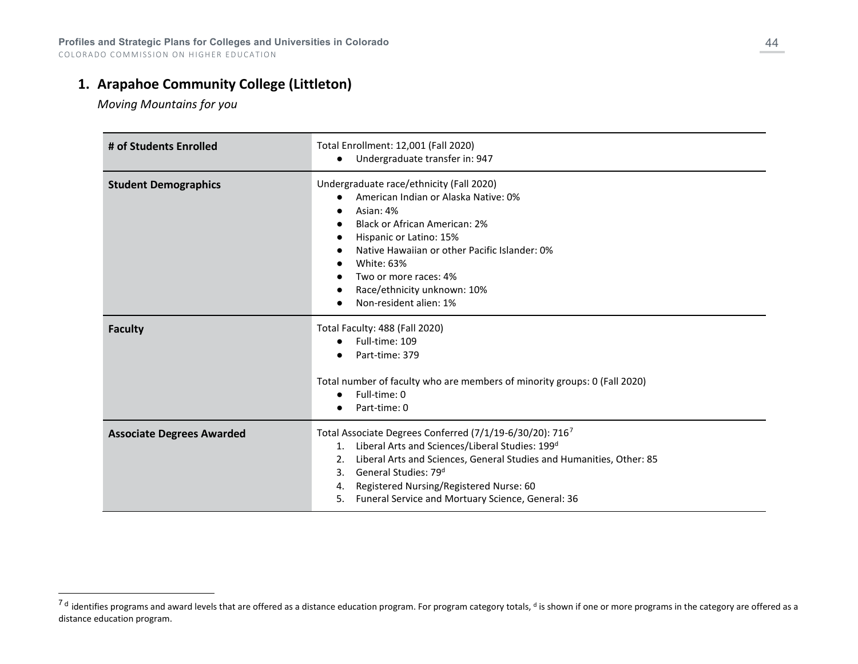## **1. Arapahoe Community College (Littleton)**

<span id="page-43-0"></span>*Moving Mountains for you*

| # of Students Enrolled           | Total Enrollment: 12,001 (Fall 2020)<br>Undergraduate transfer in: 947<br>$\bullet$                                                                                                                                                                                                                                                                               |
|----------------------------------|-------------------------------------------------------------------------------------------------------------------------------------------------------------------------------------------------------------------------------------------------------------------------------------------------------------------------------------------------------------------|
| <b>Student Demographics</b>      | Undergraduate race/ethnicity (Fall 2020)<br>American Indian or Alaska Native: 0%<br>Asian: 4%<br><b>Black or African American: 2%</b><br>Hispanic or Latino: 15%<br>Native Hawaiian or other Pacific Islander: 0%<br><b>White: 63%</b><br>Two or more races: 4%<br>Race/ethnicity unknown: 10%<br>Non-resident alien: 1%                                          |
| <b>Faculty</b>                   | Total Faculty: 488 (Fall 2020)<br>Full-time: 109<br>$\bullet$<br>Part-time: 379<br>Total number of faculty who are members of minority groups: 0 (Fall 2020)<br>Full-time: 0<br>Part-time: 0                                                                                                                                                                      |
| <b>Associate Degrees Awarded</b> | Total Associate Degrees Conferred (7/1/19-6/30/20): 7167<br>Liberal Arts and Sciences/Liberal Studies: 199 <sup>d</sup><br>1.<br>Liberal Arts and Sciences, General Studies and Humanities, Other: 85<br>2.<br>General Studies: 79 <sup>d</sup><br>3.<br>Registered Nursing/Registered Nurse: 60<br>4.<br>Funeral Service and Mortuary Science, General: 36<br>5. |

 $^{7}$ <sup>d</sup> identifies programs and award levels that are offered as a distance education program. For program category totals, <sup>d</sup> is shown if one or more programs in the category are offered as a distance education program.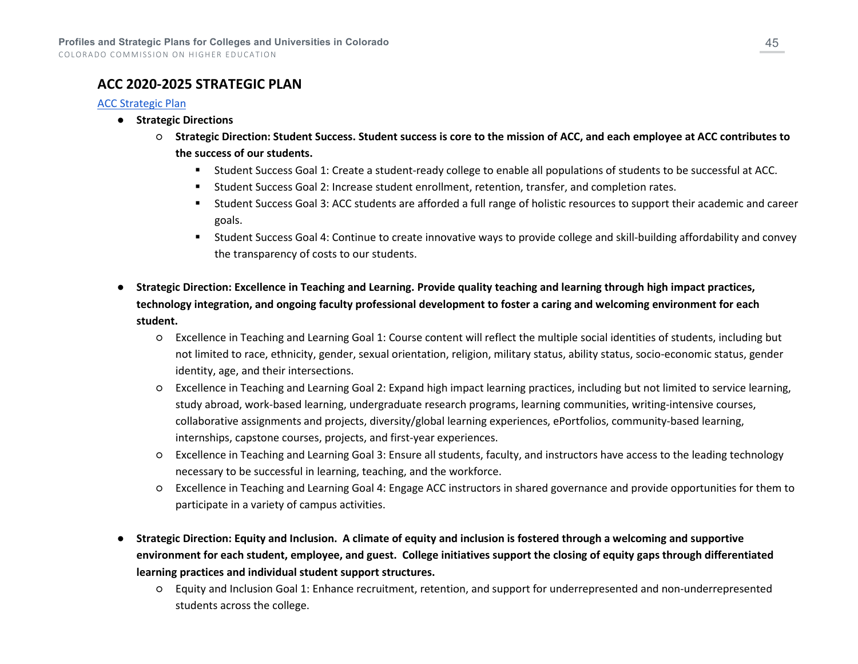### **ACC 2020-2025 STRATEGIC PLAN**

#### [ACC Strategic Plan](https://www.arapahoe.edu/sites/default/files/about-acc/2021-acc-strategic-plan-report-final.pdf)

- **Strategic Directions**
	- **Strategic Direction: Student Success. Student success is core to the mission of ACC, and each employee at ACC contributes to the success of our students.**
		- Student Success Goal 1: Create a student-ready college to enable all populations of students to be successful at ACC.
		- Student Success Goal 2: Increase student enrollment, retention, transfer, and completion rates.
		- Student Success Goal 3: ACC students are afforded a full range of holistic resources to support their academic and career goals.
		- Student Success Goal 4: Continue to create innovative ways to provide college and skill-building affordability and convey the transparency of costs to our students.
- **Strategic Direction: Excellence in Teaching and Learning. Provide quality teaching and learning through high impact practices, technology integration, and ongoing faculty professional development to foster a caring and welcoming environment for each student.**
	- Excellence in Teaching and Learning Goal 1: Course content will reflect the multiple social identities of students, including but not limited to race, ethnicity, gender, sexual orientation, religion, military status, ability status, socio-economic status, gender identity, age, and their intersections.
	- Excellence in Teaching and Learning Goal 2: Expand high impact learning practices, including but not limited to service learning, study abroad, work-based learning, undergraduate research programs, learning communities, writing-intensive courses, collaborative assignments and projects, diversity/global learning experiences, ePortfolios, community-based learning, internships, capstone courses, projects, and first-year experiences.
	- Excellence in Teaching and Learning Goal 3: Ensure all students, faculty, and instructors have access to the leading technology necessary to be successful in learning, teaching, and the workforce.
	- Excellence in Teaching and Learning Goal 4: Engage ACC instructors in shared governance and provide opportunities for them to participate in a variety of campus activities.
- **Strategic Direction: Equity and Inclusion. A climate of equity and inclusion is fostered through a welcoming and supportive environment for each student, employee, and guest. College initiatives support the closing of equity gaps through differentiated learning practices and individual student support structures.**
	- Equity and Inclusion Goal 1: Enhance recruitment, retention, and support for underrepresented and non-underrepresented students across the college.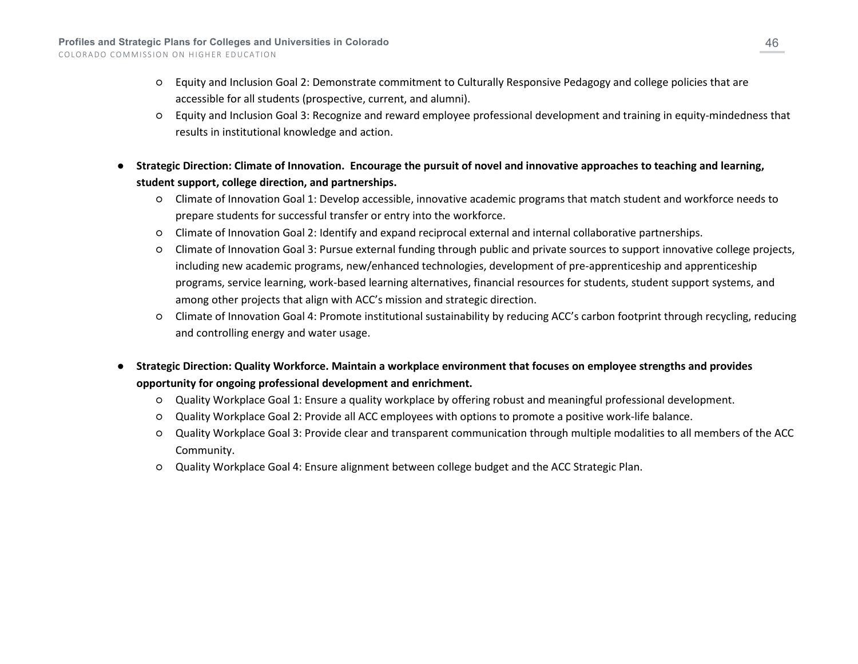- Equity and Inclusion Goal 2: Demonstrate commitment to Culturally Responsive Pedagogy and college policies that are accessible for all students (prospective, current, and alumni).
- Equity and Inclusion Goal 3: Recognize and reward employee professional development and training in equity-mindedness that results in institutional knowledge and action.
- Strategic Direction: Climate of Innovation. Encourage the pursuit of novel and innovative approaches to teaching and learning, **student support, college direction, and partnerships.**
	- Climate of Innovation Goal 1: Develop accessible, innovative academic programs that match student and workforce needs to prepare students for successful transfer or entry into the workforce.
	- Climate of Innovation Goal 2: Identify and expand reciprocal external and internal collaborative partnerships.
	- Climate of Innovation Goal 3: Pursue external funding through public and private sources to support innovative college projects, including new academic programs, new/enhanced technologies, development of pre-apprenticeship and apprenticeship programs, service learning, work-based learning alternatives, financial resources for students, student support systems, and among other projects that align with ACC's mission and strategic direction.
	- Climate of Innovation Goal 4: Promote institutional sustainability by reducing ACC's carbon footprint through recycling, reducing and controlling energy and water usage.
- **Strategic Direction: Quality Workforce. Maintain a workplace environment that focuses on employee strengths and provides opportunity for ongoing professional development and enrichment.**
	- Quality Workplace Goal 1: Ensure a quality workplace by offering robust and meaningful professional development.
	- Quality Workplace Goal 2: Provide all ACC employees with options to promote a positive work-life balance.
	- Quality Workplace Goal 3: Provide clear and transparent communication through multiple modalities to all members of the ACC Community.
	- Quality Workplace Goal 4: Ensure alignment between college budget and the ACC Strategic Plan.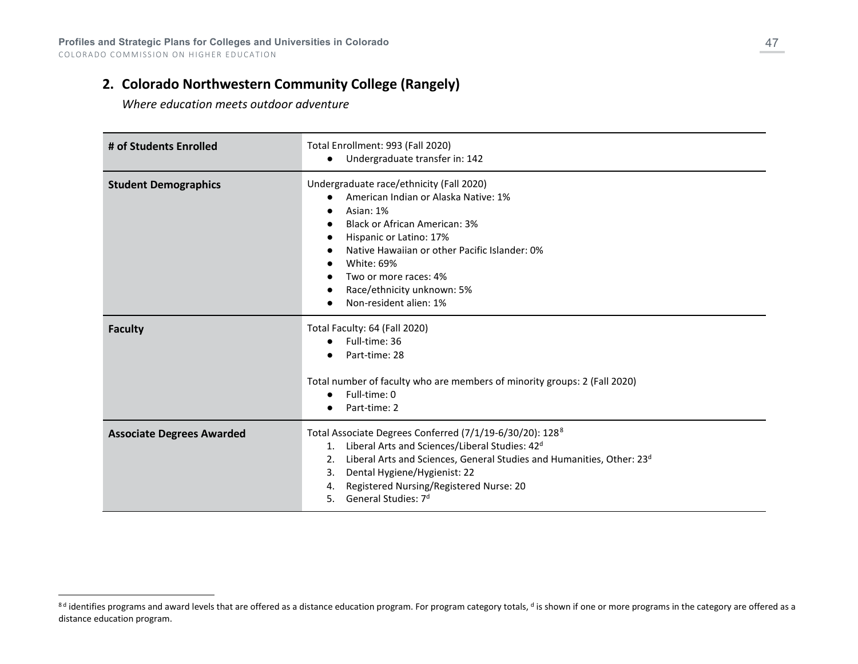## **2. Colorado Northwestern Community College (Rangely)**

<span id="page-46-0"></span>*Where education meets outdoor adventure*

| # of Students Enrolled           | Total Enrollment: 993 (Fall 2020)<br>Undergraduate transfer in: 142<br>$\bullet$                                                                                                                                                                                                                                                                                                    |
|----------------------------------|-------------------------------------------------------------------------------------------------------------------------------------------------------------------------------------------------------------------------------------------------------------------------------------------------------------------------------------------------------------------------------------|
| <b>Student Demographics</b>      | Undergraduate race/ethnicity (Fall 2020)<br>American Indian or Alaska Native: 1%<br>Asian: 1%<br>$\bullet$<br><b>Black or African American: 3%</b><br>$\epsilon$<br>Hispanic or Latino: 17%<br>$\bullet$<br>Native Hawaiian or other Pacific Islander: 0%<br>$\bullet$<br>White: 69%<br>$\epsilon$<br>Two or more races: 4%<br>Race/ethnicity unknown: 5%<br>Non-resident alien: 1% |
| <b>Faculty</b>                   | Total Faculty: 64 (Fall 2020)<br>Full-time: 36<br>$\bullet$<br>Part-time: 28<br>Total number of faculty who are members of minority groups: 2 (Fall 2020)<br>Full-time: 0<br>$\bullet$<br>Part-time: 2                                                                                                                                                                              |
| <b>Associate Degrees Awarded</b> | Total Associate Degrees Conferred (7/1/19-6/30/20): 128 <sup>8</sup><br>Liberal Arts and Sciences/Liberal Studies: 42 <sup>d</sup><br>1.<br>Liberal Arts and Sciences, General Studies and Humanities, Other: 23 <sup>d</sup><br>2.<br>Dental Hygiene/Hygienist: 22<br>3.<br>Registered Nursing/Registered Nurse: 20<br>4.<br>General Studies: 7 <sup>d</sup><br>5.                 |

<sup>&</sup>lt;sup>8d</sup> identifies programs and award levels that are offered as a distance education program. For program category totals, <sup>d</sup> is shown if one or more programs in the category are offered as a distance education program.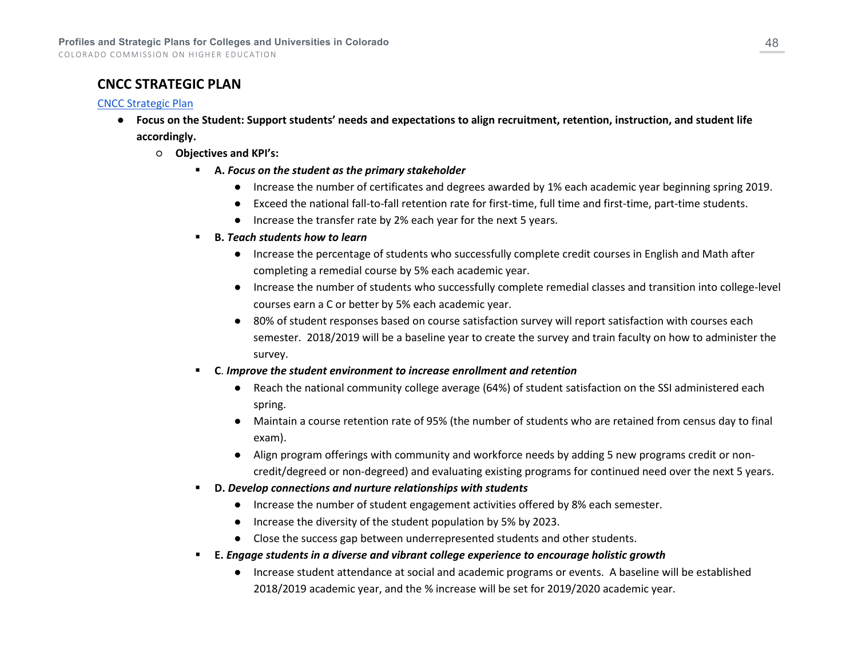## **CNCC STRATEGIC PLAN**

#### [CNCC Strategic Plan](https://www.cncc.edu/home/cncc-strategic-plan)

- **Focus on the Student: Support students' needs and expectations to align recruitment, retention, instruction, and student life accordingly.**
	- **Objectives and KPI's:**
		- **A.** *Focus on the student as the primary stakeholder*
			- Increase the number of certificates and degrees awarded by 1% each academic year beginning spring 2019.
			- Exceed the national fall-to-fall retention rate for first-time, full time and first-time, part-time students.
			- Increase the transfer rate by 2% each year for the next 5 years.
		- **B.** *Teach students how to learn*
			- Increase the percentage of students who successfully complete credit courses in English and Math after completing a remedial course by 5% each academic year.
			- Increase the number of students who successfully complete remedial classes and transition into college-level courses earn a C or better by 5% each academic year.
			- 80% of student responses based on course satisfaction survey will report satisfaction with courses each semester. 2018/2019 will be a baseline year to create the survey and train faculty on how to administer the survey.
		- **C**. *Improve the student environment to increase enrollment and retention*
			- Reach the national community college average (64%) of student satisfaction on the SSI administered each spring.
			- Maintain a course retention rate of 95% (the number of students who are retained from census day to final exam).
			- Align program offerings with community and workforce needs by adding 5 new programs credit or noncredit/degreed or non-degreed) and evaluating existing programs for continued need over the next 5 years.
		- **D.** *Develop connections and nurture relationships with students*
			- Increase the number of student engagement activities offered by 8% each semester.
			- Increase the diversity of the student population by 5% by 2023.
			- Close the success gap between underrepresented students and other students.
		- **E.** *Engage students in a diverse and vibrant college experience to encourage holistic growth*
			- Increase student attendance at social and academic programs or events. A baseline will be established 2018/2019 academic year, and the % increase will be set for 2019/2020 academic year.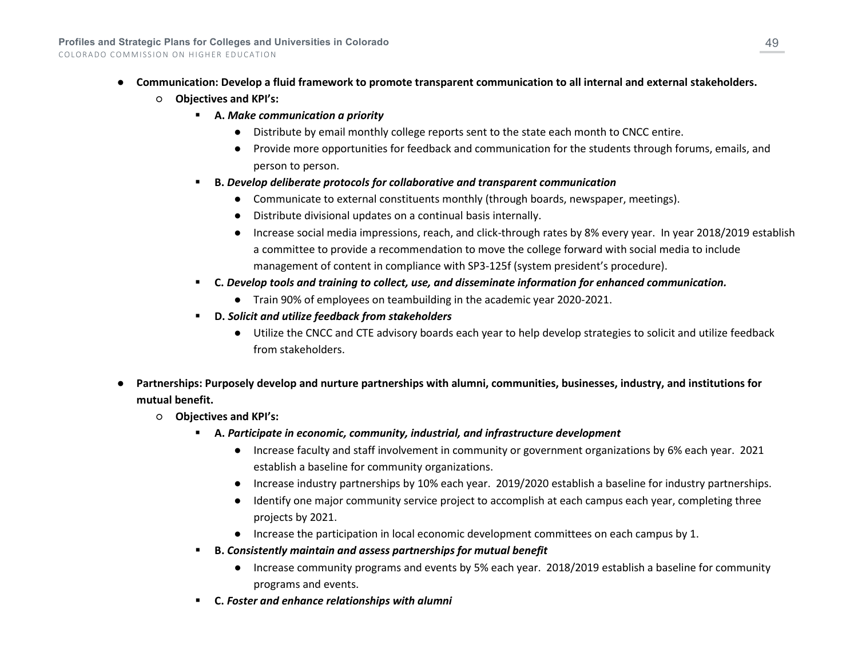- **Communication: Develop a fluid framework to promote transparent communication to all internal and external stakeholders.**
	- **Objectives and KPI's:**
		- **A.** *Make communication a priority*
			- Distribute by email monthly college reports sent to the state each month to CNCC entire.
			- Provide more opportunities for feedback and communication for the students through forums, emails, and person to person.
		- **B.** *Develop deliberate protocols for collaborative and transparent communication*
			- Communicate to external constituents monthly (through boards, newspaper, meetings).
			- Distribute divisional updates on a continual basis internally.
			- Increase social media impressions, reach, and click-through rates by 8% every year. In year 2018/2019 establish a committee to provide a recommendation to move the college forward with social media to include management of content in compliance with SP3-125f (system president's procedure).
		- **C.** *Develop tools and training to collect, use, and disseminate information for enhanced communication.*
			- Train 90% of employees on teambuilding in the academic year 2020-2021.
		- **D.** *Solicit and utilize feedback from stakeholders*
			- Utilize the CNCC and CTE advisory boards each year to help develop strategies to solicit and utilize feedback from stakeholders.
- **Partnerships: Purposely develop and nurture partnerships with alumni, communities, businesses, industry, and institutions for mutual benefit.**
	- **Objectives and KPI's:**
		- **A.** *Participate in economic, community, industrial, and infrastructure development*
			- Increase faculty and staff involvement in community or government organizations by 6% each year. 2021 establish a baseline for community organizations.
			- Increase industry partnerships by 10% each year. 2019/2020 establish a baseline for industry partnerships.
			- Identify one major community service project to accomplish at each campus each year, completing three projects by 2021.
			- Increase the participation in local economic development committees on each campus by 1.
		- **B.** *Consistently maintain and assess partnerships for mutual benefit*
			- Increase community programs and events by 5% each year. 2018/2019 establish a baseline for community programs and events.
		- **C.** *Foster and enhance relationships with alumni*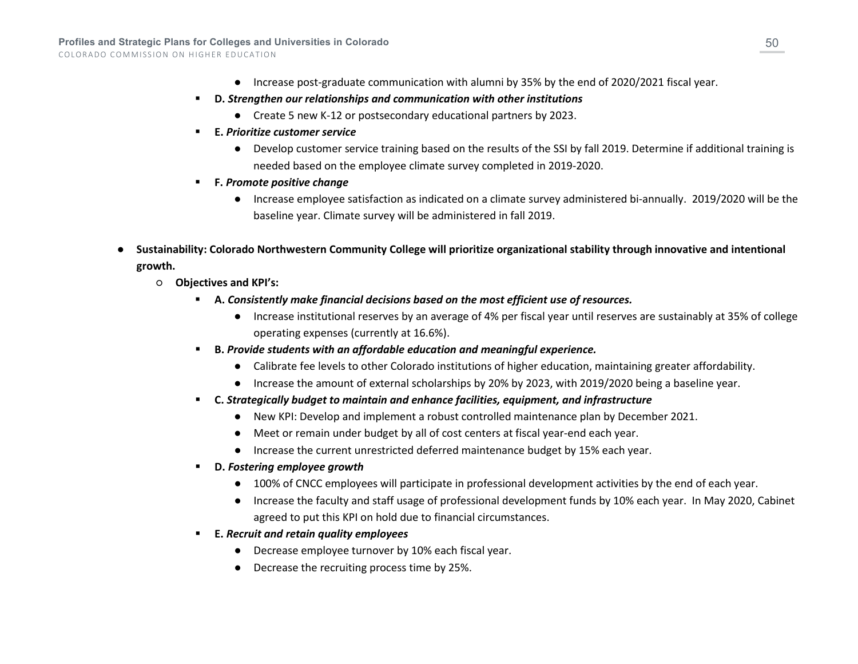- Increase post-graduate communication with alumni by 35% by the end of 2020/2021 fiscal year.
- **D.** *Strengthen our relationships and communication with other institutions*
	- Create 5 new K-12 or postsecondary educational partners by 2023.
- **E.** *Prioritize customer service*
	- Develop customer service training based on the results of the SSI by fall 2019. Determine if additional training is needed based on the employee climate survey completed in 2019-2020.
- **F.** *Promote positive change*
	- Increase employee satisfaction as indicated on a climate survey administered bi-annually. 2019/2020 will be the baseline year. Climate survey will be administered in fall 2019.
- **Sustainability: Colorado Northwestern Community College will prioritize organizational stability through innovative and intentional growth.**
	- **Objectives and KPI's:**
		- **A.** *Consistently make financial decisions based on the most efficient use of resources.*
			- Increase institutional reserves by an average of 4% per fiscal year until reserves are sustainably at 35% of college operating expenses (currently at 16.6%).
		- **B.** *Provide students with an affordable education and meaningful experience.*
			- Calibrate fee levels to other Colorado institutions of higher education, maintaining greater affordability.
			- Increase the amount of external scholarships by 20% by 2023, with 2019/2020 being a baseline year.
		- **C.** *Strategically budget to maintain and enhance facilities, equipment, and infrastructure*
			- New KPI: Develop and implement a robust controlled maintenance plan by December 2021.
			- Meet or remain under budget by all of cost centers at fiscal year-end each year.
			- Increase the current unrestricted deferred maintenance budget by 15% each year.
		- **D.** *Fostering employee growth*
			- 100% of CNCC employees will participate in professional development activities by the end of each year.
			- Increase the faculty and staff usage of professional development funds by 10% each year. In May 2020, Cabinet agreed to put this KPI on hold due to financial circumstances.
		- **E.** *Recruit and retain quality employees*
			- Decrease employee turnover by 10% each fiscal year.
			- Decrease the recruiting process time by 25%.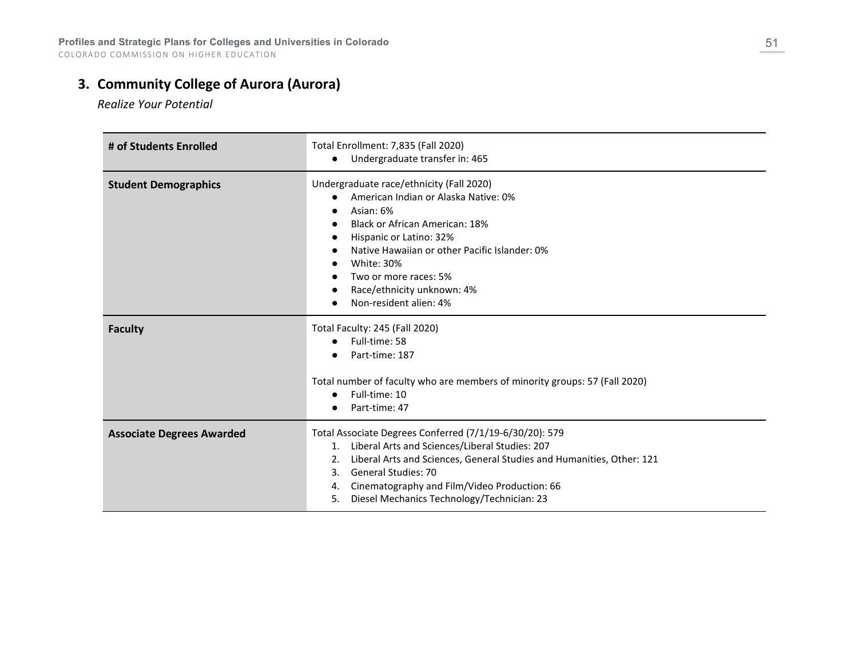# **3. Community College of Aurora (Aurora)**

*Realize Your Potential*

| # of Students Enrolled           | Total Enrollment: 7,835 (Fall 2020)<br>Undergraduate transfer in: 465<br>$\bullet$                                                                                                                                                                                                                                                           |
|----------------------------------|----------------------------------------------------------------------------------------------------------------------------------------------------------------------------------------------------------------------------------------------------------------------------------------------------------------------------------------------|
| <b>Student Demographics</b>      | Undergraduate race/ethnicity (Fall 2020)<br>American Indian or Alaska Native: 0%<br>Asian: 6%<br><b>Black or African American: 18%</b><br>Hispanic or Latino: 32%<br>Native Hawaiian or other Pacific Islander: 0%<br><b>White: 30%</b><br>Two or more races: 5%<br>Race/ethnicity unknown: 4%<br>Non-resident alien: 4%                     |
| <b>Faculty</b>                   | Total Faculty: 245 (Fall 2020)<br>Full-time: 58<br>Part-time: 187<br>Total number of faculty who are members of minority groups: 57 (Fall 2020)<br>Full-time: 10<br>Part-time: 47                                                                                                                                                            |
| <b>Associate Degrees Awarded</b> | Total Associate Degrees Conferred (7/1/19-6/30/20): 579<br>Liberal Arts and Sciences/Liberal Studies: 207<br>1.<br>Liberal Arts and Sciences, General Studies and Humanities, Other: 121<br>2.<br><b>General Studies: 70</b><br>3.<br>Cinematography and Film/Video Production: 66<br>4.<br>Diesel Mechanics Technology/Technician: 23<br>5. |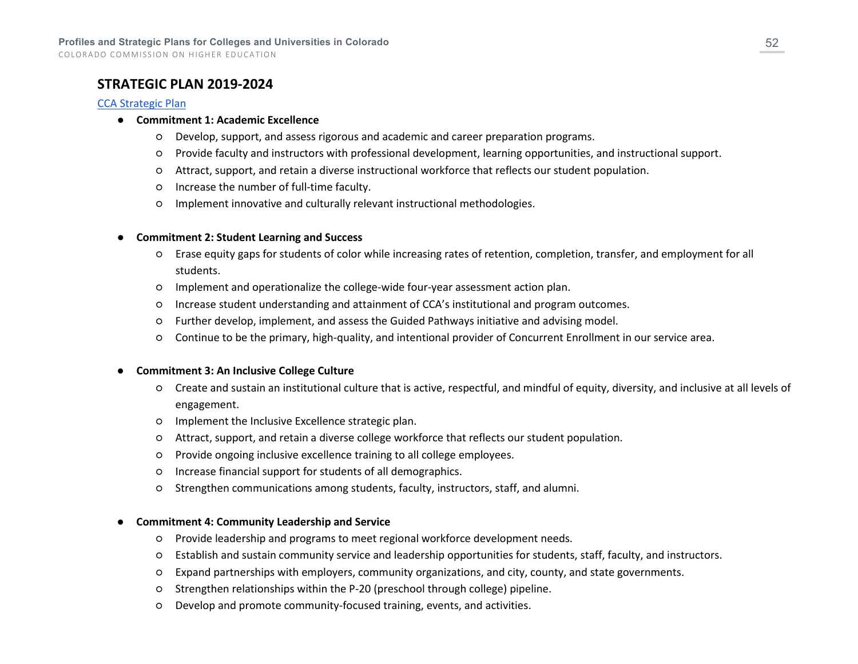COLORADO COMMISSION ON HIGHER EDUCATION

### **STRATEGIC PLAN 2019-2024**

#### [CCA Strategic Plan](https://class.ccaurora.edu/MyCCA/Files/CCA-Strategic-Plan-080619.pdf)

#### ● **Commitment 1: Academic Excellence**

- Develop, support, and assess rigorous and academic and career preparation programs.
- Provide faculty and instructors with professional development, learning opportunities, and instructional support.
- Attract, support, and retain a diverse instructional workforce that reflects our student population.
- Increase the number of full-time faculty.
- Implement innovative and culturally relevant instructional methodologies.

#### ● **Commitment 2: Student Learning and Success**

- Erase equity gaps for students of color while increasing rates of retention, completion, transfer, and employment for all students.
- Implement and operationalize the college-wide four-year assessment action plan.
- Increase student understanding and attainment of CCA's institutional and program outcomes.
- Further develop, implement, and assess the Guided Pathways initiative and advising model.
- Continue to be the primary, high-quality, and intentional provider of Concurrent Enrollment in our service area.

#### ● **Commitment 3: An Inclusive College Culture**

- Create and sustain an institutional culture that is active, respectful, and mindful of equity, diversity, and inclusive at all levels of engagement.
- Implement the Inclusive Excellence strategic plan.
- Attract, support, and retain a diverse college workforce that reflects our student population.
- Provide ongoing inclusive excellence training to all college employees.
- Increase financial support for students of all demographics.
- Strengthen communications among students, faculty, instructors, staff, and alumni.

#### **Commitment 4: Community Leadership and Service**

- Provide leadership and programs to meet regional workforce development needs.
- Establish and sustain community service and leadership opportunities for students, staff, faculty, and instructors.
- Expand partnerships with employers, community organizations, and city, county, and state governments.
- Strengthen relationships within the P-20 (preschool through college) pipeline.
- Develop and promote community-focused training, events, and activities.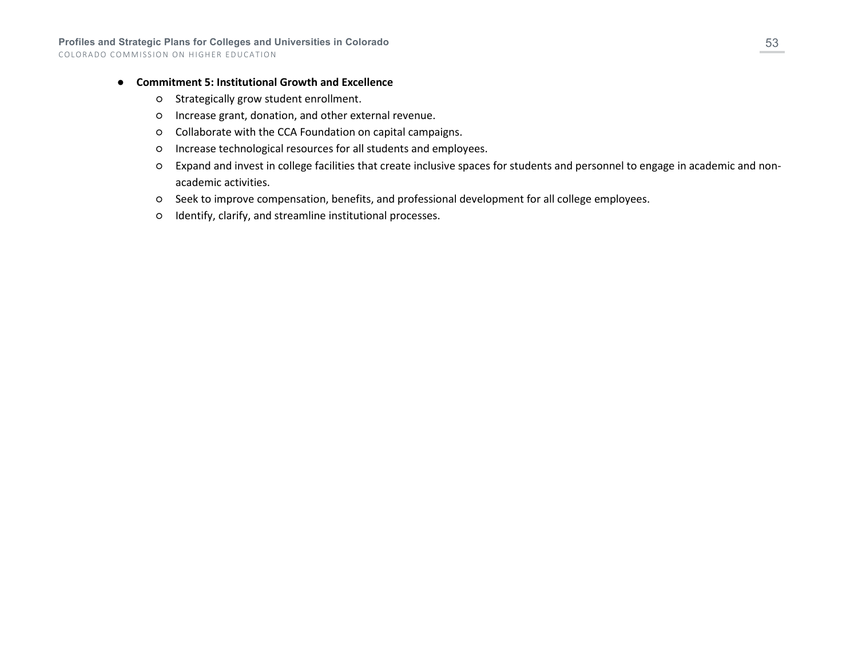#### ● **Commitment 5: Institutional Growth and Excellence**

- Strategically grow student enrollment.
- Increase grant, donation, and other external revenue.
- Collaborate with the CCA Foundation on capital campaigns.
- Increase technological resources for all students and employees.
- Expand and invest in college facilities that create inclusive spaces for students and personnel to engage in academic and nonacademic activities.
- Seek to improve compensation, benefits, and professional development for all college employees.
- Identify, clarify, and streamline institutional processes.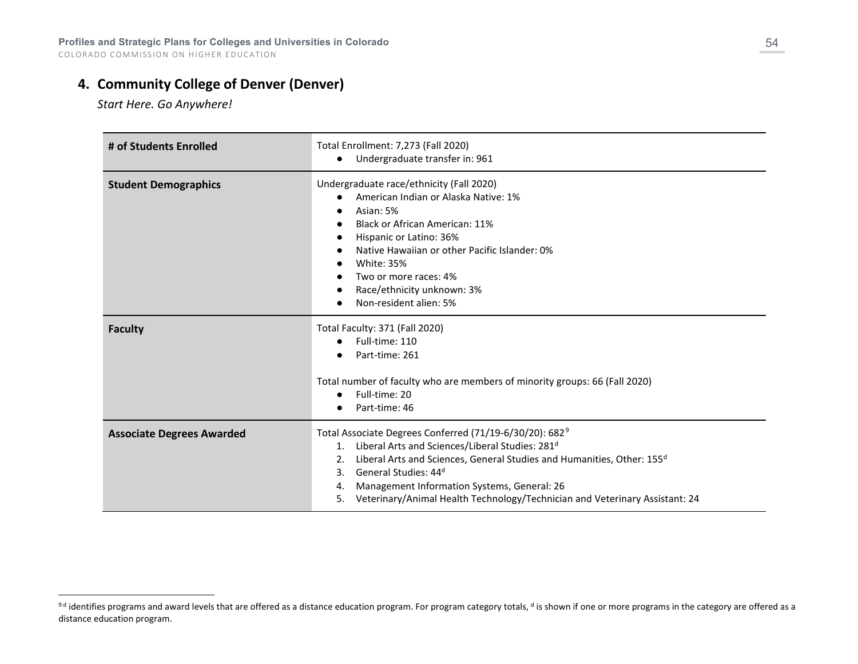## **4. Community College of Denver (Denver)**

<span id="page-53-0"></span>*Start Here. Go Anywhere!*

| # of Students Enrolled           | Total Enrollment: 7,273 (Fall 2020)<br>Undergraduate transfer in: 961<br>$\bullet$                                                                                                                                                                                                                                                                                                                                                   |
|----------------------------------|--------------------------------------------------------------------------------------------------------------------------------------------------------------------------------------------------------------------------------------------------------------------------------------------------------------------------------------------------------------------------------------------------------------------------------------|
| <b>Student Demographics</b>      | Undergraduate race/ethnicity (Fall 2020)<br>American Indian or Alaska Native: 1%<br>Asian: 5%<br>Black or African American: 11%<br>Hispanic or Latino: 36%<br>Native Hawaiian or other Pacific Islander: 0%<br><b>White: 35%</b><br>Two or more races: 4%<br>Race/ethnicity unknown: 3%<br>Non-resident alien: 5%                                                                                                                    |
| <b>Faculty</b>                   | Total Faculty: 371 (Fall 2020)<br>Full-time: 110<br>Part-time: 261<br>Total number of faculty who are members of minority groups: 66 (Fall 2020)<br>Full-time: 20<br>Part-time: 46                                                                                                                                                                                                                                                   |
| <b>Associate Degrees Awarded</b> | Total Associate Degrees Conferred (71/19-6/30/20): 682 <sup>9</sup><br>Liberal Arts and Sciences/Liberal Studies: 281 <sup>d</sup><br>1.<br>Liberal Arts and Sciences, General Studies and Humanities, Other: 155 <sup>d</sup><br>2.<br>General Studies: 44 <sup>d</sup><br>$\mathbf{3}$ .<br>Management Information Systems, General: 26<br>4.<br>Veterinary/Animal Health Technology/Technician and Veterinary Assistant: 24<br>5. |

<sup>&</sup>lt;sup>9d</sup> identifies programs and award levels that are offered as a distance education program. For program category totals, <sup>d</sup> is shown if one or more programs in the category are offered as a distance education program.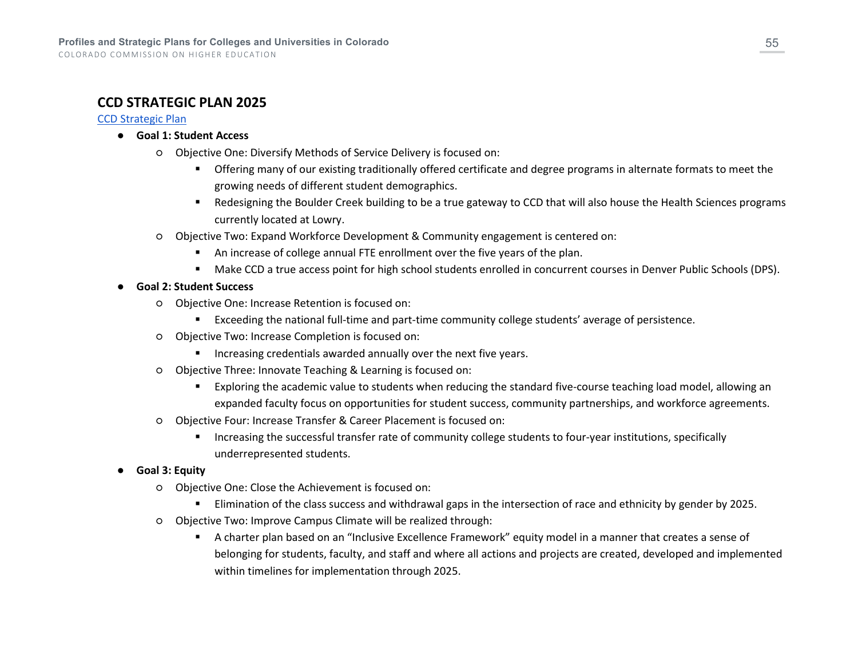### **CCD STRATEGIC PLAN 2025**

#### [CCD Strategic Plan](https://www.ccd.edu/download/file/fid/35856)

- **Goal 1: Student Access**
	- Objective One: Diversify Methods of Service Delivery is focused on:
		- Offering many of our existing traditionally offered certificate and degree programs in alternate formats to meet the growing needs of different student demographics.
		- Redesigning the Boulder Creek building to be a true gateway to CCD that will also house the Health Sciences programs currently located at Lowry.
	- Objective Two: Expand Workforce Development & Community engagement is centered on:
		- An increase of college annual FTE enrollment over the five years of the plan.
		- Make CCD a true access point for high school students enrolled in concurrent courses in Denver Public Schools (DPS).
- **Goal 2: Student Success**
	- Objective One: Increase Retention is focused on:
		- Exceeding the national full-time and part-time community college students' average of persistence.
	- Objective Two: Increase Completion is focused on:
		- **Increasing credentials awarded annually over the next five years.**
	- Objective Three: Innovate Teaching & Learning is focused on:
		- Exploring the academic value to students when reducing the standard five-course teaching load model, allowing an expanded faculty focus on opportunities for student success, community partnerships, and workforce agreements.
	- Objective Four: Increase Transfer & Career Placement is focused on:
		- Increasing the successful transfer rate of community college students to four-year institutions, specifically underrepresented students.
- **Goal 3: Equity** 
	- Objective One: Close the Achievement is focused on:
		- **Elimination of the class success and withdrawal gaps in the intersection of race and ethnicity by gender by 2025.**
	- Objective Two: Improve Campus Climate will be realized through:
		- A charter plan based on an "Inclusive Excellence Framework" equity model in a manner that creates a sense of belonging for students, faculty, and staff and where all actions and projects are created, developed and implemented within timelines for implementation through 2025.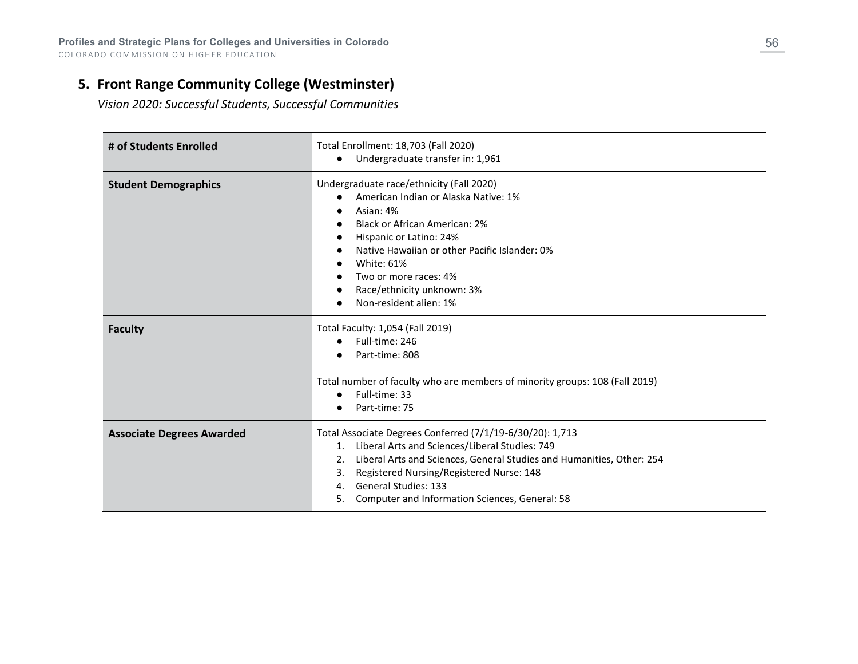## **5. Front Range Community College (Westminster)**

*Vision 2020: Successful Students, Successful Communities*

| # of Students Enrolled           | Total Enrollment: 18,703 (Fall 2020)<br>Undergraduate transfer in: 1,961                                                                                                                                                                                                                                                                        |
|----------------------------------|-------------------------------------------------------------------------------------------------------------------------------------------------------------------------------------------------------------------------------------------------------------------------------------------------------------------------------------------------|
| <b>Student Demographics</b>      | Undergraduate race/ethnicity (Fall 2020)<br>American Indian or Alaska Native: 1%<br>Asian: 4%<br>$\bullet$<br><b>Black or African American: 2%</b><br>Hispanic or Latino: 24%<br>Native Hawaiian or other Pacific Islander: 0%<br><b>White: 61%</b><br>Two or more races: 4%<br>Race/ethnicity unknown: 3%<br>Non-resident alien: 1%            |
| <b>Faculty</b>                   | Total Faculty: 1,054 (Fall 2019)<br>Full-time: 246<br>$\bullet$<br>Part-time: 808<br>Total number of faculty who are members of minority groups: 108 (Fall 2019)<br>Full-time: 33<br>Part-time: 75                                                                                                                                              |
| <b>Associate Degrees Awarded</b> | Total Associate Degrees Conferred (7/1/19-6/30/20): 1,713<br>Liberal Arts and Sciences/Liberal Studies: 749<br>1.<br>Liberal Arts and Sciences, General Studies and Humanities, Other: 254<br>2.<br>Registered Nursing/Registered Nurse: 148<br>3.<br><b>General Studies: 133</b><br>4.<br>Computer and Information Sciences, General: 58<br>5. |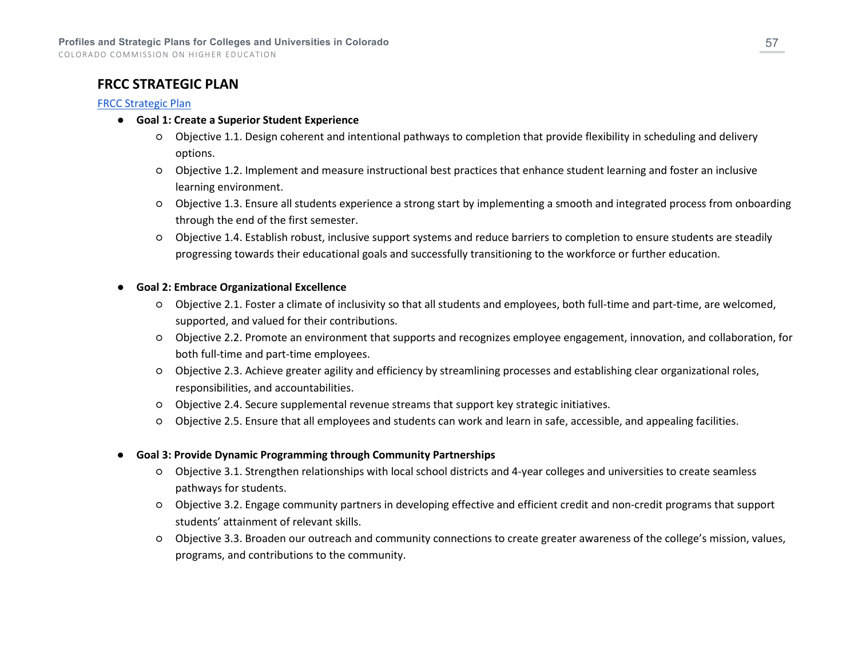### **FRCC STRATEGIC PLAN**

#### [FRCC Strategic Plan](https://www.frontrange.edu/docs/default-source/about-frcc/vision_2020_frcc_strategic_planf5f9f906162069b382b5ff0a00fcf510.pdf?sfvrsn=ee9104a7_51)

- **Goal 1: Create a Superior Student Experience**
	- Objective 1.1. Design coherent and intentional pathways to completion that provide flexibility in scheduling and delivery options.
	- Objective 1.2. Implement and measure instructional best practices that enhance student learning and foster an inclusive learning environment.
	- Objective 1.3. Ensure all students experience a strong start by implementing a smooth and integrated process from onboarding through the end of the first semester.
	- Objective 1.4. Establish robust, inclusive support systems and reduce barriers to completion to ensure students are steadily progressing towards their educational goals and successfully transitioning to the workforce or further education.

#### ● **Goal 2: Embrace Organizational Excellence**

- Objective 2.1. Foster a climate of inclusivity so that all students and employees, both full-time and part-time, are welcomed, supported, and valued for their contributions.
- Objective 2.2. Promote an environment that supports and recognizes employee engagement, innovation, and collaboration, for both full-time and part-time employees.
- Objective 2.3. Achieve greater agility and efficiency by streamlining processes and establishing clear organizational roles, responsibilities, and accountabilities.
- Objective 2.4. Secure supplemental revenue streams that support key strategic initiatives.
- Objective 2.5. Ensure that all employees and students can work and learn in safe, accessible, and appealing facilities.
- **Goal 3: Provide Dynamic Programming through Community Partnerships**
	- Objective 3.1. Strengthen relationships with local school districts and 4-year colleges and universities to create seamless pathways for students.
	- Objective 3.2. Engage community partners in developing effective and efficient credit and non-credit programs that support students' attainment of relevant skills.
	- Objective 3.3. Broaden our outreach and community connections to create greater awareness of the college's mission, values, programs, and contributions to the community.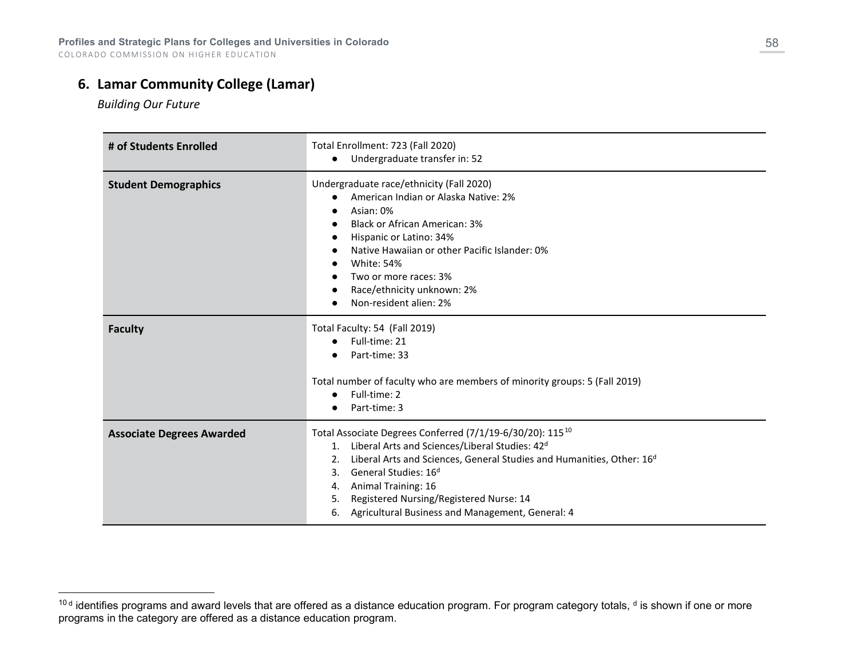## **6. Lamar Community College (Lamar)**

<span id="page-57-0"></span>*Building Our Future*

| # of Students Enrolled           | Total Enrollment: 723 (Fall 2020)<br>Undergraduate transfer in: 52<br>$\bullet$                                                                                                                                                                                                                                                                                                                                        |
|----------------------------------|------------------------------------------------------------------------------------------------------------------------------------------------------------------------------------------------------------------------------------------------------------------------------------------------------------------------------------------------------------------------------------------------------------------------|
| <b>Student Demographics</b>      | Undergraduate race/ethnicity (Fall 2020)<br>American Indian or Alaska Native: 2%<br>$\bullet$<br>Asian: 0%<br><b>Black or African American: 3%</b><br>Hispanic or Latino: 34%<br>Native Hawaiian or other Pacific Islander: 0%<br><b>White: 54%</b><br>Two or more races: 3%<br>Race/ethnicity unknown: 2%<br>Non-resident alien: 2%                                                                                   |
| <b>Faculty</b>                   | Total Faculty: 54 (Fall 2019)<br>Full-time: 21<br>Part-time: 33<br>Total number of faculty who are members of minority groups: 5 (Fall 2019)<br>Full-time: 2<br>Part-time: 3                                                                                                                                                                                                                                           |
| <b>Associate Degrees Awarded</b> | Total Associate Degrees Conferred (7/1/19-6/30/20): 115 <sup>10</sup><br>Liberal Arts and Sciences/Liberal Studies: 42 <sup>d</sup><br>1.<br>Liberal Arts and Sciences, General Studies and Humanities, Other: 16 <sup>d</sup><br>2.<br>General Studies: 16 <sup>d</sup><br>3.<br>Animal Training: 16<br>4.<br>Registered Nursing/Registered Nurse: 14<br>5.<br>Agricultural Business and Management, General: 4<br>6. |

<sup>10</sup>d identifies programs and award levels that are offered as a distance education program. For program category totals, <sup>d</sup> is shown if one or more programs in the category are offered as a distance education program.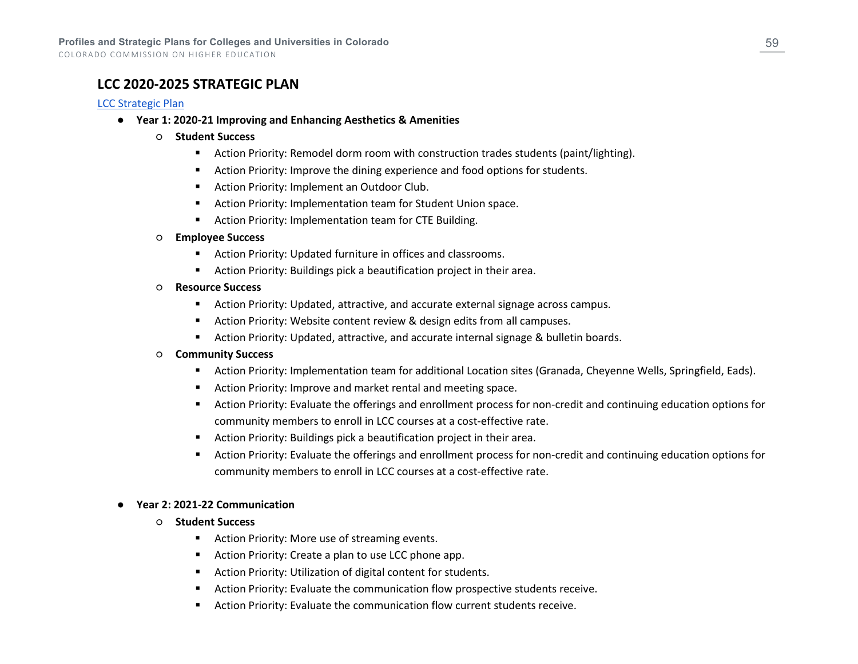COLORADO COMMISSION ON HIGHER EDUCATION

### **LCC 2020-2025 STRATEGIC PLAN**

#### [LCC Strategic Plan](https://lamarcc.edu/wp-content/uploads/2021/10/Lamar_StrategicPlan_FINAL.pdf)

- **Year 1: 2020-21 Improving and Enhancing Aesthetics & Amenities**
	- **Student Success**
		- Action Priority: Remodel dorm room with construction trades students (paint/lighting).
		- **EXECT** Action Priority: Improve the dining experience and food options for students.
		- **Action Priority: Implement an Outdoor Club.**
		- **EXECT** Action Priority: Implementation team for Student Union space.
		- **EXECT:** Action Priority: Implementation team for CTE Building.

#### ○ **Employee Success**

- Action Priority: Updated furniture in offices and classrooms.
- Action Priority: Buildings pick a beautification project in their area.
- **Resource Success**
	- Action Priority: Updated, attractive, and accurate external signage across campus.
	- Action Priority: Website content review & design edits from all campuses.
	- Action Priority: Updated, attractive, and accurate internal signage & bulletin boards.

#### ○ **Community Success**

- Action Priority: Implementation team for additional Location sites (Granada, Cheyenne Wells, Springfield, Eads).
- Action Priority: Improve and market rental and meeting space.
- Action Priority: Evaluate the offerings and enrollment process for non-credit and continuing education options for community members to enroll in LCC courses at a cost-effective rate.
- Action Priority: Buildings pick a beautification project in their area.
- Action Priority: Evaluate the offerings and enrollment process for non-credit and continuing education options for community members to enroll in LCC courses at a cost-effective rate.

#### ● **Year 2: 2021-22 Communication**

#### ○ **Student Success**

- **EXECT:** Action Priority: More use of streaming events.
- Action Priority: Create a plan to use LCC phone app.
- Action Priority: Utilization of digital content for students.
- Action Priority: Evaluate the communication flow prospective students receive.
- Action Priority: Evaluate the communication flow current students receive.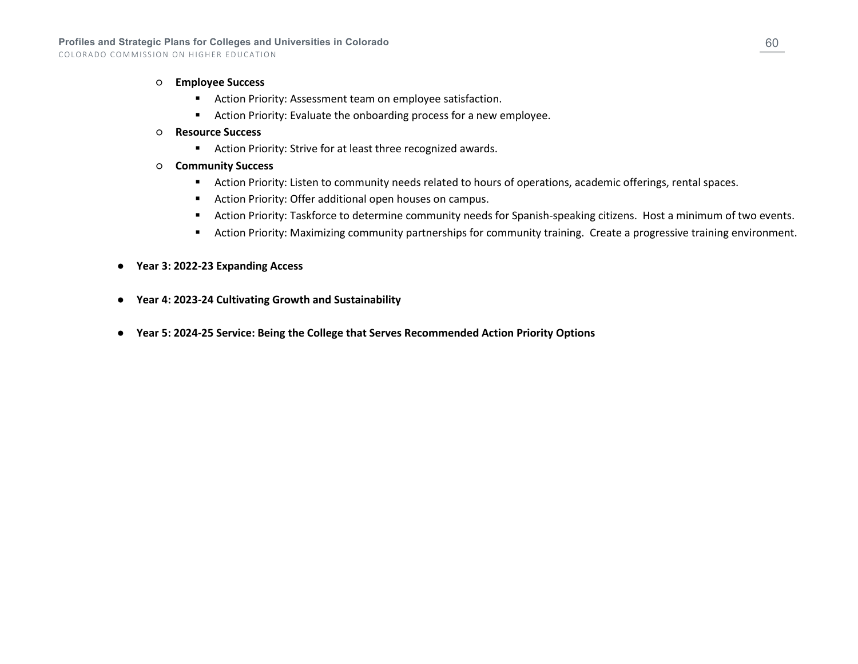- **Employee Success**
	- Action Priority: Assessment team on employee satisfaction.
	- Action Priority: Evaluate the onboarding process for a new employee.
- **Resource Success**
	- Action Priority: Strive for at least three recognized awards.
- **Community Success**
	- Action Priority: Listen to community needs related to hours of operations, academic offerings, rental spaces.
	- **Action Priority: Offer additional open houses on campus.**
	- Action Priority: Taskforce to determine community needs for Spanish-speaking citizens. Host a minimum of two events.
	- Action Priority: Maximizing community partnerships for community training. Create a progressive training environment.
- **Year 3: 2022-23 Expanding Access**
- **Year 4: 2023-24 Cultivating Growth and Sustainability**
- **Year 5: 2024-25 Service: Being the College that Serves Recommended Action Priority Options**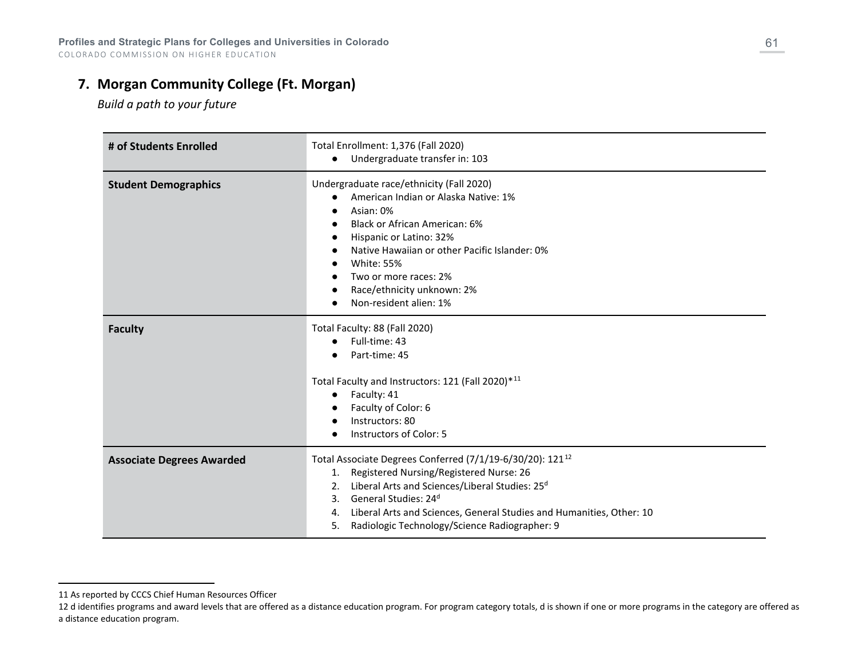## **7. Morgan Community College (Ft. Morgan)**

<span id="page-60-1"></span><span id="page-60-0"></span>*Build a path to your future*

| # of Students Enrolled           | Total Enrollment: 1,376 (Fall 2020)<br>Undergraduate transfer in: 103                                                                                                                                                                                                                                                                                                     |
|----------------------------------|---------------------------------------------------------------------------------------------------------------------------------------------------------------------------------------------------------------------------------------------------------------------------------------------------------------------------------------------------------------------------|
| <b>Student Demographics</b>      | Undergraduate race/ethnicity (Fall 2020)<br>American Indian or Alaska Native: 1%<br>Asian: 0%<br><b>Black or African American: 6%</b><br>Hispanic or Latino: 32%<br>Native Hawaiian or other Pacific Islander: 0%<br><b>White: 55%</b><br>Two or more races: 2%<br>Race/ethnicity unknown: 2%<br>Non-resident alien: 1%                                                   |
| <b>Faculty</b>                   | Total Faculty: 88 (Fall 2020)<br>Full-time: 43<br>Part-time: 45<br>Total Faculty and Instructors: 121 (Fall 2020)*11<br>Faculty: 41<br>$\bullet$<br>Faculty of Color: 6<br>Instructors: 80<br><b>Instructors of Color: 5</b>                                                                                                                                              |
| <b>Associate Degrees Awarded</b> | Total Associate Degrees Conferred (7/1/19-6/30/20): 121 <sup>12</sup><br>Registered Nursing/Registered Nurse: 26<br>1.<br>Liberal Arts and Sciences/Liberal Studies: 25 <sup>d</sup><br>2.<br>General Studies: 24 <sup>d</sup><br>3.<br>Liberal Arts and Sciences, General Studies and Humanities, Other: 10<br>4.<br>Radiologic Technology/Science Radiographer: 9<br>5. |

<sup>11</sup> As reported by CCCS Chief Human Resources Officer

<sup>12</sup> d identifies programs and award levels that are offered as a distance education program. For program category totals, d is shown if one or more programs in the category are offered as a distance education program.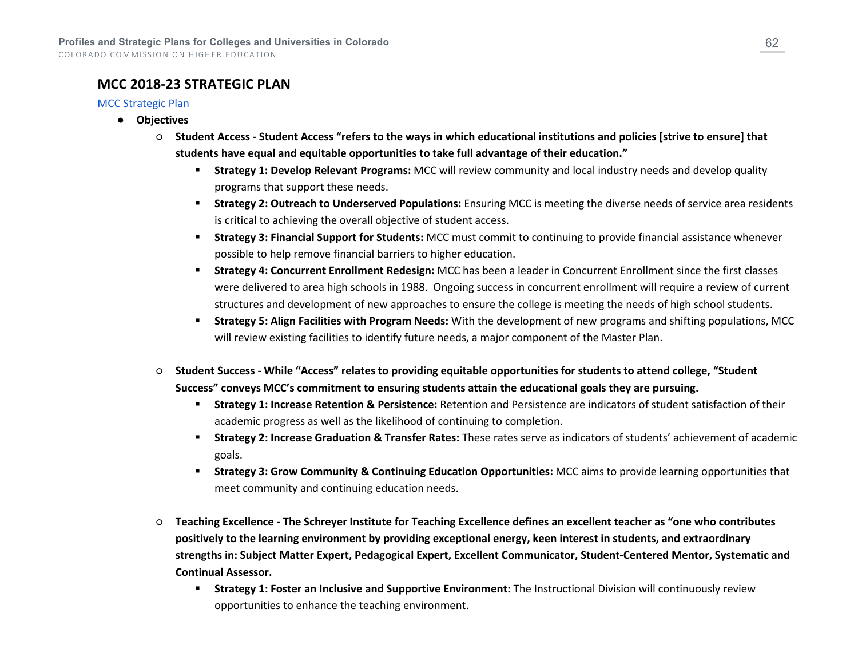### **MCC 2018-23 STRATEGIC PLAN**

#### [MCC Strategic Plan](https://www.morgancc.edu/themencode-pdf-viewer/?file=https://www.morgancc.edu/docs/io/SPT/18-23_Strategic_Plan.pdf)

- **Objectives**
	- **Student Access - Student Access "refers to the ways in which educational institutions and policies [strive to ensure] that students have equal and equitable opportunities to take full advantage of their education."**
		- **Strategy 1: Develop Relevant Programs:** MCC will review community and local industry needs and develop quality programs that support these needs.
		- **Strategy 2: Outreach to Underserved Populations:** Ensuring MCC is meeting the diverse needs of service area residents is critical to achieving the overall objective of student access.
		- **Strategy 3: Financial Support for Students:** MCC must commit to continuing to provide financial assistance whenever possible to help remove financial barriers to higher education.
		- **Strategy 4: Concurrent Enrollment Redesign:** MCC has been a leader in Concurrent Enrollment since the first classes were delivered to area high schools in 1988. Ongoing success in concurrent enrollment will require a review of current structures and development of new approaches to ensure the college is meeting the needs of high school students.
		- **Strategy 5: Align Facilities with Program Needs:** With the development of new programs and shifting populations, MCC will review existing facilities to identify future needs, a major component of the Master Plan.
	- **Student Success - While "Access" relates to providing equitable opportunities for students to attend college, "Student Success" conveys MCC's commitment to ensuring students attain the educational goals they are pursuing.**
		- **Strategy 1: Increase Retention & Persistence:** Retention and Persistence are indicators of student satisfaction of their academic progress as well as the likelihood of continuing to completion.
		- **Strategy 2: Increase Graduation & Transfer Rates:** These rates serve as indicators of students' achievement of academic goals.
		- **Strategy 3: Grow Community & Continuing Education Opportunities:** MCC aims to provide learning opportunities that meet community and continuing education needs.
	- **Teaching Excellence - The Schreyer Institute for Teaching Excellence defines an excellent teacher as "one who contributes positively to the learning environment by providing exceptional energy, keen interest in students, and extraordinary strengths in: Subject Matter Expert, Pedagogical Expert, Excellent Communicator, Student-Centered Mentor, Systematic and Continual Assessor.**
		- **Strategy 1: Foster an Inclusive and Supportive Environment:** The Instructional Division will continuously review opportunities to enhance the teaching environment.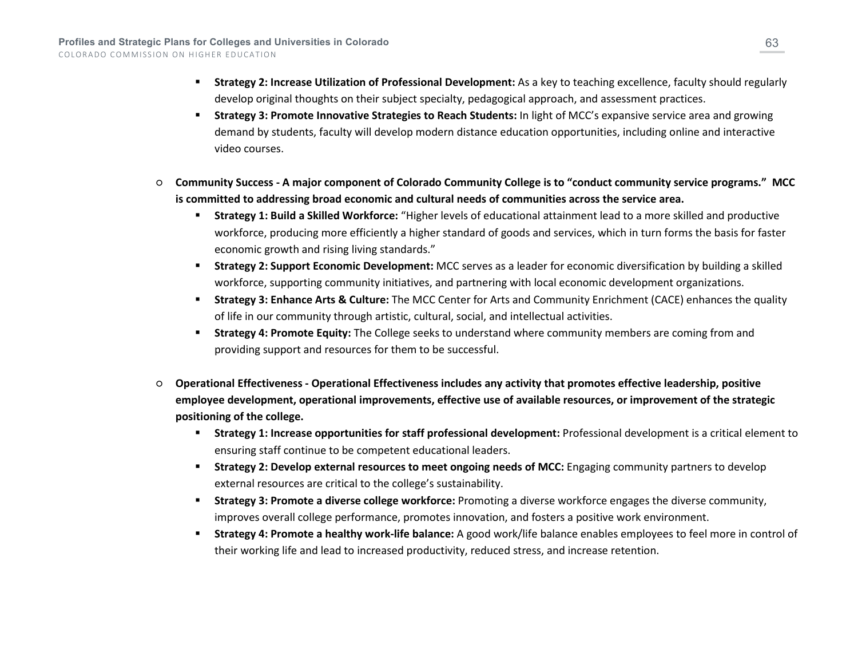- **Strategy 2: Increase Utilization of Professional Development:** As a key to teaching excellence, faculty should regularly develop original thoughts on their subject specialty, pedagogical approach, and assessment practices.
- **Strategy 3: Promote Innovative Strategies to Reach Students:** In light of MCC's expansive service area and growing demand by students, faculty will develop modern distance education opportunities, including online and interactive video courses.
- **Community Success - A major component of Colorado Community College is to "conduct community service programs." MCC is committed to addressing broad economic and cultural needs of communities across the service area.**
	- **Strategy 1: Build a Skilled Workforce:** "Higher levels of educational attainment lead to a more skilled and productive workforce, producing more efficiently a higher standard of goods and services, which in turn forms the basis for faster economic growth and rising living standards."
	- **Strategy 2: Support Economic Development:** MCC serves as a leader for economic diversification by building a skilled workforce, supporting community initiatives, and partnering with local economic development organizations.
	- **Strategy 3: Enhance Arts & Culture:** The MCC Center for Arts and Community Enrichment (CACE) enhances the quality of life in our community through artistic, cultural, social, and intellectual activities.
	- **Strategy 4: Promote Equity:** The College seeks to understand where community members are coming from and providing support and resources for them to be successful.
- **Operational Effectiveness - Operational Effectiveness includes any activity that promotes effective leadership, positive employee development, operational improvements, effective use of available resources, or improvement of the strategic positioning of the college.**
	- **Strategy 1: Increase opportunities for staff professional development:** Professional development is a critical element to ensuring staff continue to be competent educational leaders.
	- **Strategy 2: Develop external resources to meet ongoing needs of MCC:** Engaging community partners to develop external resources are critical to the college's sustainability.
	- **Strategy 3: Promote a diverse college workforce:** Promoting a diverse workforce engages the diverse community, improves overall college performance, promotes innovation, and fosters a positive work environment.
	- **Strategy 4: Promote a healthy work-life balance:** A good work/life balance enables employees to feel more in control of their working life and lead to increased productivity, reduced stress, and increase retention.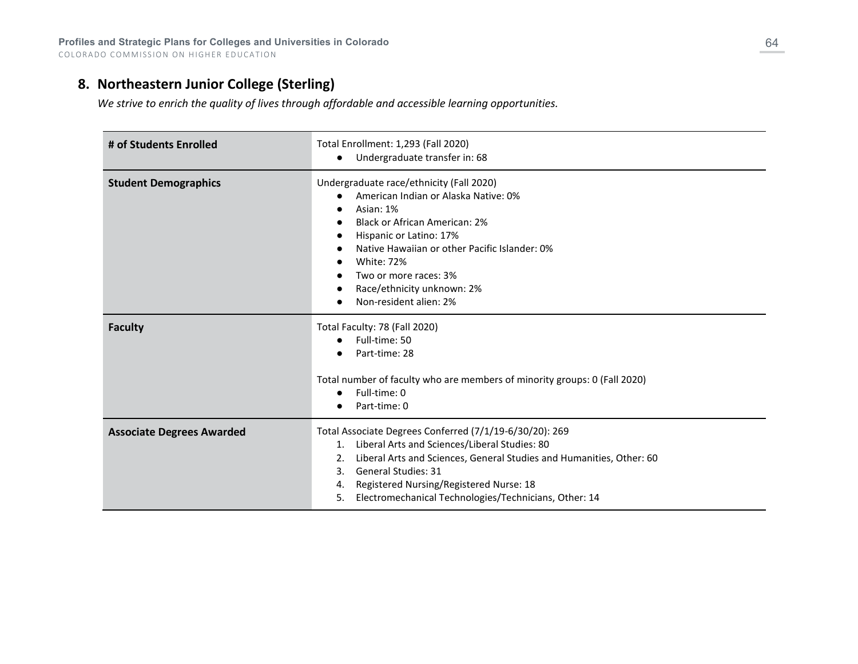## **8. Northeastern Junior College (Sterling)**

*We strive to enrich the quality of lives through affordable and accessible learning opportunities.*

| # of Students Enrolled           | Total Enrollment: 1,293 (Fall 2020)<br>Undergraduate transfer in: 68                                                                                                                                                                                                                                                                             |
|----------------------------------|--------------------------------------------------------------------------------------------------------------------------------------------------------------------------------------------------------------------------------------------------------------------------------------------------------------------------------------------------|
| <b>Student Demographics</b>      | Undergraduate race/ethnicity (Fall 2020)<br>American Indian or Alaska Native: 0%<br>Asian: 1%<br>Black or African American: 2%<br>Hispanic or Latino: 17%<br>Native Hawaiian or other Pacific Islander: 0%<br><b>White: 72%</b><br>Two or more races: 3%<br>Race/ethnicity unknown: 2%<br>Non-resident alien: 2%                                 |
| <b>Faculty</b>                   | Total Faculty: 78 (Fall 2020)<br>Full-time: 50<br>$\bullet$<br>Part-time: 28<br>Total number of faculty who are members of minority groups: 0 (Fall 2020)<br>Full-time: 0<br>Part-time: 0                                                                                                                                                        |
| <b>Associate Degrees Awarded</b> | Total Associate Degrees Conferred (7/1/19-6/30/20): 269<br>Liberal Arts and Sciences/Liberal Studies: 80<br>1.<br>Liberal Arts and Sciences, General Studies and Humanities, Other: 60<br>2.<br><b>General Studies: 31</b><br>3.<br>Registered Nursing/Registered Nurse: 18<br>4.<br>Electromechanical Technologies/Technicians, Other: 14<br>5. |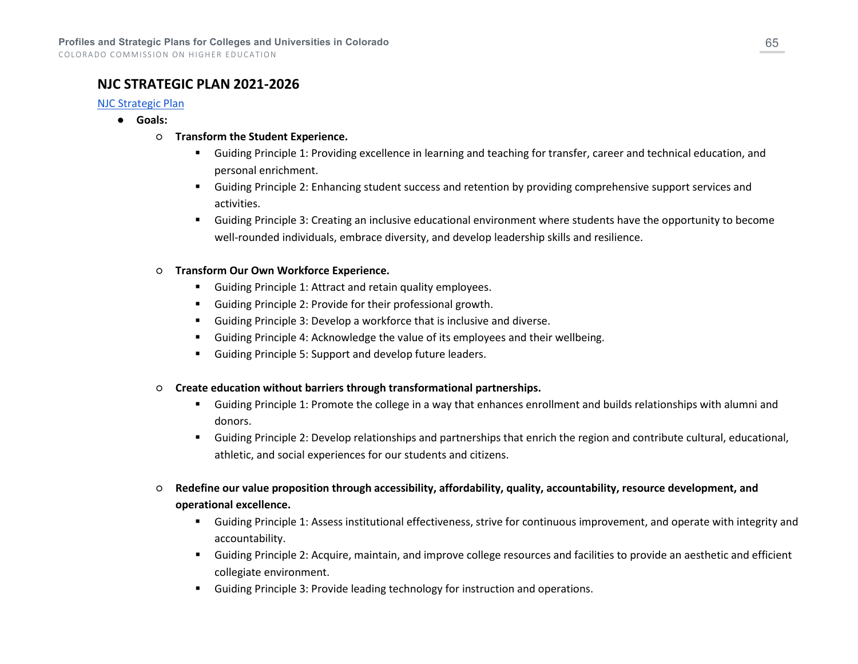### **NJC STRATEGIC PLAN 2021-2026**

#### [NJC Strategic Plan](https://www.njc.edu/about-us/strategic-plan-2021-2026)

- **Goals:**
	- **Transform the Student Experience.**
		- Guiding Principle 1: Providing excellence in learning and teaching for transfer, career and technical education, and personal enrichment.
		- Guiding Principle 2: Enhancing student success and retention by providing comprehensive support services and activities.
		- Guiding Principle 3: Creating an inclusive educational environment where students have the opportunity to become well-rounded individuals, embrace diversity, and develop leadership skills and resilience.

#### ○ **Transform Our Own Workforce Experience.**

- Guiding Principle 1: Attract and retain quality employees.
- Guiding Principle 2: Provide for their professional growth.
- Guiding Principle 3: Develop a workforce that is inclusive and diverse.
- Guiding Principle 4: Acknowledge the value of its employees and their wellbeing.
- Guiding Principle 5: Support and develop future leaders.
- **Create education without barriers through transformational partnerships.**
	- Guiding Principle 1: Promote the college in a way that enhances enrollment and builds relationships with alumni and donors.
	- Guiding Principle 2: Develop relationships and partnerships that enrich the region and contribute cultural, educational, athletic, and social experiences for our students and citizens.
- **Redefine our value proposition through accessibility, affordability, quality, accountability, resource development, and operational excellence.**
	- Guiding Principle 1: Assess institutional effectiveness, strive for continuous improvement, and operate with integrity and accountability.
	- Guiding Principle 2: Acquire, maintain, and improve college resources and facilities to provide an aesthetic and efficient collegiate environment.
	- Guiding Principle 3: Provide leading technology for instruction and operations.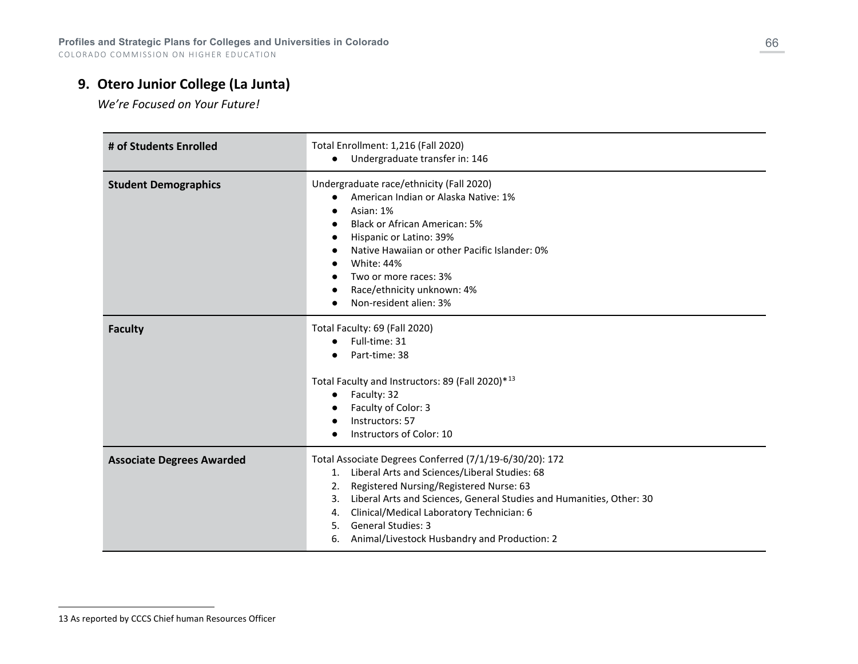## **9. Otero Junior College (La Junta)**

<span id="page-65-0"></span>*We're Focused on Your Future!*

| # of Students Enrolled           | Total Enrollment: 1,216 (Fall 2020)<br>Undergraduate transfer in: 146<br>$\bullet$                                                                                                                                                                                                                                                                                                     |
|----------------------------------|----------------------------------------------------------------------------------------------------------------------------------------------------------------------------------------------------------------------------------------------------------------------------------------------------------------------------------------------------------------------------------------|
| <b>Student Demographics</b>      | Undergraduate race/ethnicity (Fall 2020)<br>American Indian or Alaska Native: 1%<br>Asian: 1%<br><b>Black or African American: 5%</b><br>Hispanic or Latino: 39%<br>Native Hawaiian or other Pacific Islander: 0%<br><b>White: 44%</b><br>Two or more races: 3%<br>Race/ethnicity unknown: 4%<br>Non-resident alien: 3%                                                                |
| <b>Faculty</b>                   | Total Faculty: 69 (Fall 2020)<br>Full-time: 31<br>$\bullet$<br>Part-time: 38<br>Total Faculty and Instructors: 89 (Fall 2020)*13<br>Faculty: 32<br>$\bullet$<br>Faculty of Color: 3<br>Instructors: 57<br>Instructors of Color: 10                                                                                                                                                     |
| <b>Associate Degrees Awarded</b> | Total Associate Degrees Conferred (7/1/19-6/30/20): 172<br>1. Liberal Arts and Sciences/Liberal Studies: 68<br>Registered Nursing/Registered Nurse: 63<br>2.<br>Liberal Arts and Sciences, General Studies and Humanities, Other: 30<br>3.<br>Clinical/Medical Laboratory Technician: 6<br>4.<br><b>General Studies: 3</b><br>5.<br>Animal/Livestock Husbandry and Production: 2<br>6. |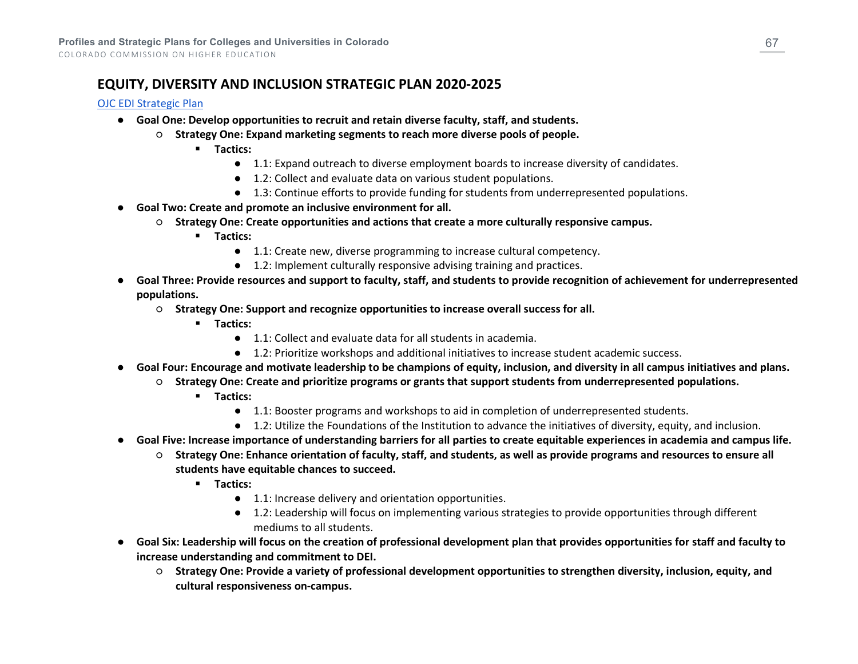## **EQUITY, DIVERSITY AND INCLUSION STRATEGIC PLAN 2020-2025**

#### [OJC EDI Strategic Plan](https://www.otero.edu/about/policies/pdf/OteroJuniorCollege_EDIPlan.pdf)

- **Goal One: Develop opportunities to recruit and retain diverse faculty, staff, and students.**
	- **Strategy One: Expand marketing segments to reach more diverse pools of people.**
		- **Tactics:**
			- 1.1: Expand outreach to diverse employment boards to increase diversity of candidates.
			- 1.2: Collect and evaluate data on various student populations.
			- 1.3: Continue efforts to provide funding for students from underrepresented populations.
- **Goal Two: Create and promote an inclusive environment for all.**
	- **Strategy One: Create opportunities and actions that create a more culturally responsive campus.**
		- **Tactics:**
			- 1.1: Create new, diverse programming to increase cultural competency.
			- 1.2: Implement culturally responsive advising training and practices.
- **Goal Three: Provide resources and support to faculty, staff, and students to provide recognition of achievement for underrepresented populations.**
	- **Strategy One: Support and recognize opportunities to increase overall success for all.**
		- **Tactics:**
			- 1.1: Collect and evaluate data for all students in academia.
			- 1.2: Prioritize workshops and additional initiatives to increase student academic success.
- **Goal Four: Encourage and motivate leadership to be champions of equity, inclusion, and diversity in all campus initiatives and plans.**
	- **Strategy One: Create and prioritize programs or grants that support students from underrepresented populations.**
		- **Tactics:**
			- 1.1: Booster programs and workshops to aid in completion of underrepresented students.
			- 1.2: Utilize the Foundations of the Institution to advance the initiatives of diversity, equity, and inclusion.
- **Goal Five: Increase importance of understanding barriers for all parties to create equitable experiences in academia and campus life.**
	- **Strategy One: Enhance orientation of faculty, staff, and students, as well as provide programs and resources to ensure all students have equitable chances to succeed.**
		- **Tactics:**
			- 1.1: Increase delivery and orientation opportunities.
			- 1.2: Leadership will focus on implementing various strategies to provide opportunities through different mediums to all students.
- **Goal Six: Leadership will focus on the creation of professional development plan that provides opportunities for staff and faculty to increase understanding and commitment to DEI.**
	- **Strategy One: Provide a variety of professional development opportunities to strengthen diversity, inclusion, equity, and cultural responsiveness on-campus.**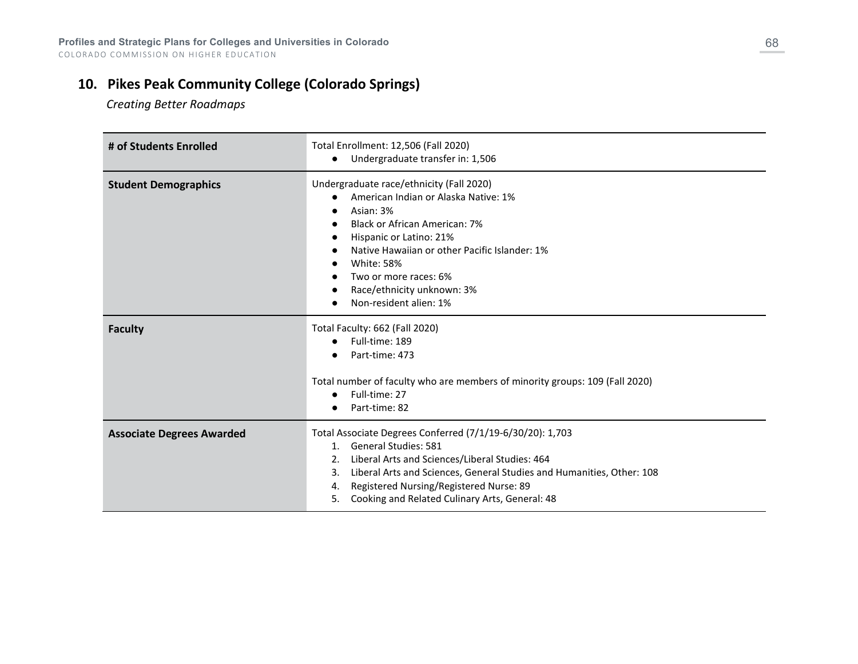# **10. Pikes Peak Community College (Colorado Springs)**

 *Creating Better Roadmaps*

| # of Students Enrolled           | Total Enrollment: 12,506 (Fall 2020)<br>Undergraduate transfer in: 1,506<br>$\bullet$                                                                                                                                                                                                                                                               |
|----------------------------------|-----------------------------------------------------------------------------------------------------------------------------------------------------------------------------------------------------------------------------------------------------------------------------------------------------------------------------------------------------|
| <b>Student Demographics</b>      | Undergraduate race/ethnicity (Fall 2020)<br>American Indian or Alaska Native: 1%<br>Asian: 3%<br>Black or African American: 7%<br>Hispanic or Latino: 21%<br>Native Hawaiian or other Pacific Islander: 1%<br><b>White: 58%</b><br>Two or more races: 6%<br>Race/ethnicity unknown: 3%<br>Non-resident alien: 1%                                    |
| <b>Faculty</b>                   | Total Faculty: 662 (Fall 2020)<br>Full-time: 189<br>Part-time: 473<br>Total number of faculty who are members of minority groups: 109 (Fall 2020)<br>Full-time: 27<br>Part-time: 82                                                                                                                                                                 |
| <b>Associate Degrees Awarded</b> | Total Associate Degrees Conferred (7/1/19-6/30/20): 1,703<br><b>General Studies: 581</b><br>$1_{-}$<br>Liberal Arts and Sciences/Liberal Studies: 464<br>2.<br>Liberal Arts and Sciences, General Studies and Humanities, Other: 108<br>3.<br>Registered Nursing/Registered Nurse: 89<br>4.<br>Cooking and Related Culinary Arts, General: 48<br>5. |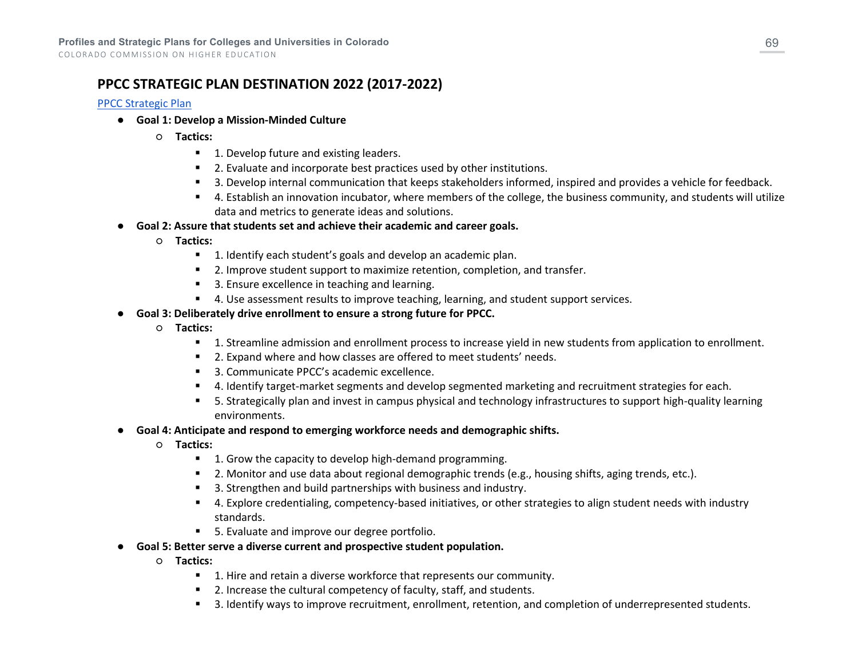## **PPCC STRATEGIC PLAN DESTINATION 2022 (2017-2022)**

#### [PPCC Strategic Plan](https://www.ppcc.edu/strategic-planning)

- **Goal 1: Develop a Mission-Minded Culture**
	- **Tactics:**
		- 1. Develop future and existing leaders.
		- **2.** Evaluate and incorporate best practices used by other institutions.
		- 3. Develop internal communication that keeps stakeholders informed, inspired and provides a vehicle for feedback.
		- 4. Establish an innovation incubator, where members of the college, the business community, and students will utilize data and metrics to generate ideas and solutions.
- **Goal 2: Assure that students set and achieve their academic and career goals.**
	- **Tactics:**
		- **1.** Identify each student's goals and develop an academic plan.
		- **2.** Improve student support to maximize retention, completion, and transfer.
		- 3. Ensure excellence in teaching and learning.
		- **4.** Use assessment results to improve teaching, learning, and student support services.
- **Goal 3: Deliberately drive enrollment to ensure a strong future for PPCC.**
	- **Tactics:**
		- 1. Streamline admission and enrollment process to increase yield in new students from application to enrollment.
		- 2. Expand where and how classes are offered to meet students' needs.
		- 3. Communicate PPCC's academic excellence.
		- 4. Identify target-market segments and develop segmented marketing and recruitment strategies for each.
		- 5. Strategically plan and invest in campus physical and technology infrastructures to support high-quality learning environments.
- **Goal 4: Anticipate and respond to emerging workforce needs and demographic shifts.**
	- **Tactics:**
		- 1. Grow the capacity to develop high-demand programming.
		- 2. Monitor and use data about regional demographic trends (e.g., housing shifts, aging trends, etc.).
		- 3. Strengthen and build partnerships with business and industry.
		- 4. Explore credentialing, competency-based initiatives, or other strategies to align student needs with industry standards.
		- 5. Evaluate and improve our degree portfolio.
- **Goal 5: Better serve a diverse current and prospective student population.**
	- **Tactics:**
		- 1. Hire and retain a diverse workforce that represents our community.
		- **2.** Increase the cultural competency of faculty, staff, and students.
		- 3. Identify ways to improve recruitment, enrollment, retention, and completion of underrepresented students.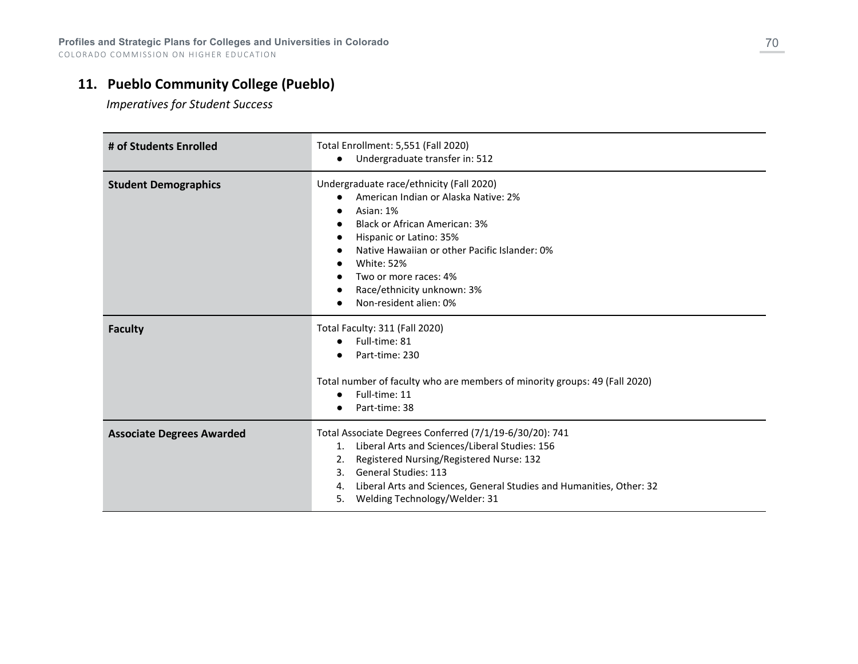# **11. Pueblo Community College (Pueblo)**

 *Imperatives for Student Success*

| # of Students Enrolled           | Total Enrollment: 5,551 (Fall 2020)<br>Undergraduate transfer in: 512<br>$\bullet$                                                                                                                                                                                                                                                   |
|----------------------------------|--------------------------------------------------------------------------------------------------------------------------------------------------------------------------------------------------------------------------------------------------------------------------------------------------------------------------------------|
| <b>Student Demographics</b>      | Undergraduate race/ethnicity (Fall 2020)<br>American Indian or Alaska Native: 2%<br>Asian: 1%<br><b>Black or African American: 3%</b><br>Hispanic or Latino: 35%<br>$\bullet$<br>Native Hawaiian or other Pacific Islander: 0%<br><b>White: 52%</b><br>Two or more races: 4%<br>Race/ethnicity unknown: 3%<br>Non-resident alien: 0% |
| <b>Faculty</b>                   | Total Faculty: 311 (Fall 2020)<br>Full-time: 81<br>$\bullet$<br>Part-time: 230<br>Total number of faculty who are members of minority groups: 49 (Fall 2020)<br>Full-time: 11<br>$\bullet$<br>Part-time: 38                                                                                                                          |
| <b>Associate Degrees Awarded</b> | Total Associate Degrees Conferred (7/1/19-6/30/20): 741<br>Liberal Arts and Sciences/Liberal Studies: 156<br>1.<br>Registered Nursing/Registered Nurse: 132<br>2.<br><b>General Studies: 113</b><br>3.<br>Liberal Arts and Sciences, General Studies and Humanities, Other: 32<br>4.<br>Welding Technology/Welder: 31<br>5.          |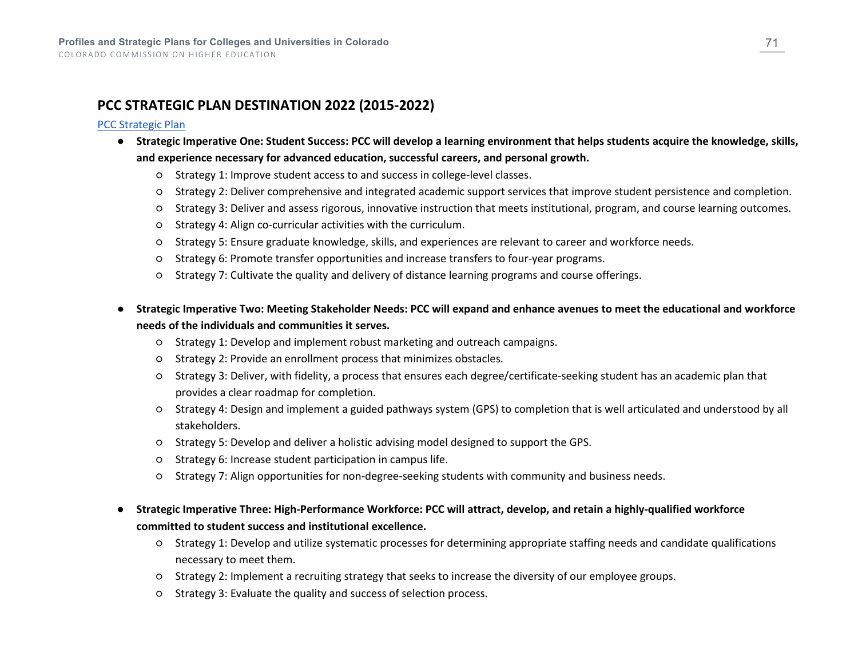## **PCC STRATEGIC PLAN DESTINATION 2022 (2015-2022)**

#### [PCC Strategic Plan](https://www.pueblocc.edu/sites/default/files/2021-03/Destination%202022%20-%20Web%20Document.pdf)

- **Strategic Imperative One: Student Success: PCC will develop a learning environment that helps students acquire the knowledge, skills, and experience necessary for advanced education, successful careers, and personal growth.**
	- Strategy 1: Improve student access to and success in college-level classes.
	- Strategy 2: Deliver comprehensive and integrated academic support services that improve student persistence and completion.
	- Strategy 3: Deliver and assess rigorous, innovative instruction that meets institutional, program, and course learning outcomes.
	- Strategy 4: Align co-curricular activities with the curriculum.
	- Strategy 5: Ensure graduate knowledge, skills, and experiences are relevant to career and workforce needs.
	- Strategy 6: Promote transfer opportunities and increase transfers to four-year programs.
	- Strategy 7: Cultivate the quality and delivery of distance learning programs and course offerings.
- **Strategic Imperative Two: Meeting Stakeholder Needs: PCC will expand and enhance avenues to meet the educational and workforce needs of the individuals and communities it serves.**
	- Strategy 1: Develop and implement robust marketing and outreach campaigns.
	- Strategy 2: Provide an enrollment process that minimizes obstacles.
	- Strategy 3: Deliver, with fidelity, a process that ensures each degree/certificate-seeking student has an academic plan that provides a clear roadmap for completion.
	- Strategy 4: Design and implement a guided pathways system (GPS) to completion that is well articulated and understood by all stakeholders.
	- Strategy 5: Develop and deliver a holistic advising model designed to support the GPS.
	- Strategy 6: Increase student participation in campus life.
	- Strategy 7: Align opportunities for non-degree-seeking students with community and business needs.
- **Strategic Imperative Three: High-Performance Workforce: PCC will attract, develop, and retain a highly-qualified workforce committed to student success and institutional excellence.**
	- Strategy 1: Develop and utilize systematic processes for determining appropriate staffing needs and candidate qualifications necessary to meet them.
	- Strategy 2: Implement a recruiting strategy that seeks to increase the diversity of our employee groups.
	- Strategy 3: Evaluate the quality and success of selection process.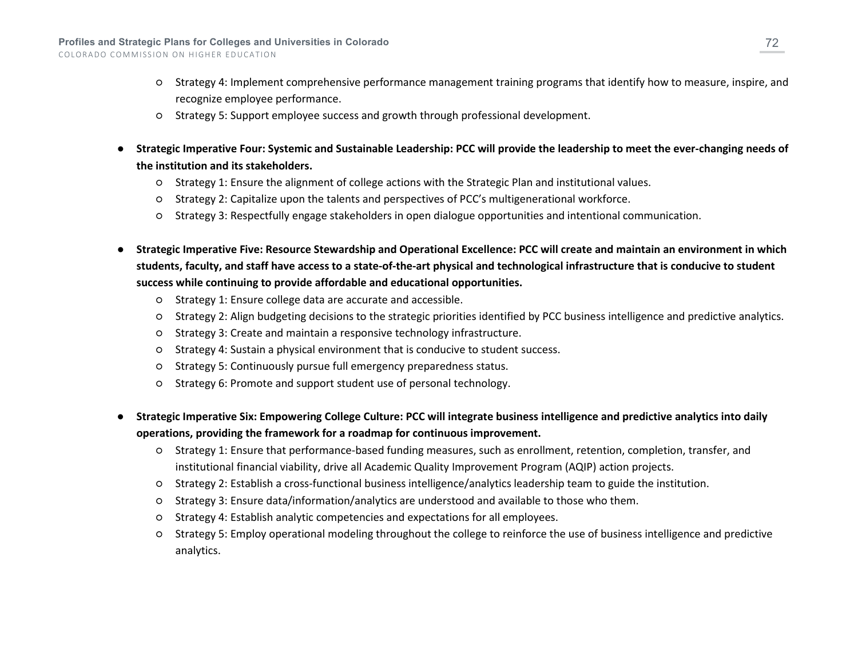- Strategy 4: Implement comprehensive performance management training programs that identify how to measure, inspire, and recognize employee performance.
- Strategy 5: Support employee success and growth through professional development.
- **Strategic Imperative Four: Systemic and Sustainable Leadership: PCC will provide the leadership to meet the ever-changing needs of the institution and its stakeholders.**
	- Strategy 1: Ensure the alignment of college actions with the Strategic Plan and institutional values.
	- Strategy 2: Capitalize upon the talents and perspectives of PCC's multigenerational workforce.
	- Strategy 3: Respectfully engage stakeholders in open dialogue opportunities and intentional communication.
- **Strategic Imperative Five: Resource Stewardship and Operational Excellence: PCC will create and maintain an environment in which students, faculty, and staff have access to a state-of-the-art physical and technological infrastructure that is conducive to student success while continuing to provide affordable and educational opportunities.**
	- Strategy 1: Ensure college data are accurate and accessible.
	- Strategy 2: Align budgeting decisions to the strategic priorities identified by PCC business intelligence and predictive analytics.
	- Strategy 3: Create and maintain a responsive technology infrastructure.
	- Strategy 4: Sustain a physical environment that is conducive to student success.
	- Strategy 5: Continuously pursue full emergency preparedness status.
	- Strategy 6: Promote and support student use of personal technology.
- **Strategic Imperative Six: Empowering College Culture: PCC will integrate business intelligence and predictive analytics into daily operations, providing the framework for a roadmap for continuous improvement.**
	- Strategy 1: Ensure that performance-based funding measures, such as enrollment, retention, completion, transfer, and institutional financial viability, drive all Academic Quality Improvement Program (AQIP) action projects.
	- Strategy 2: Establish a cross-functional business intelligence/analytics leadership team to guide the institution.
	- Strategy 3: Ensure data/information/analytics are understood and available to those who them.
	- Strategy 4: Establish analytic competencies and expectations for all employees.
	- Strategy 5: Employ operational modeling throughout the college to reinforce the use of business intelligence and predictive analytics.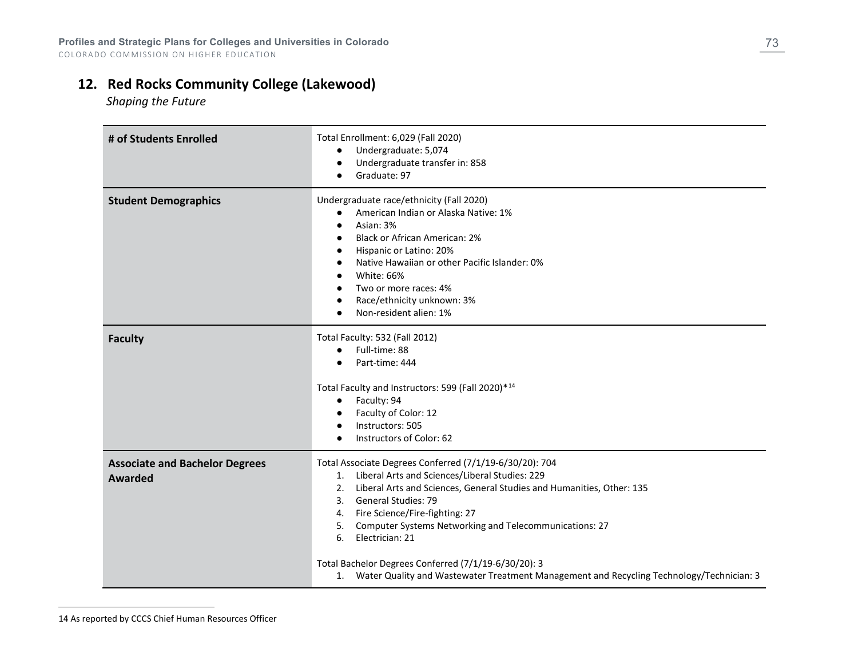# **12. Red Rocks Community College (Lakewood)**

<span id="page-72-0"></span> *Shaping the Future*

| # of Students Enrolled                           | Total Enrollment: 6,029 (Fall 2020)<br>Undergraduate: 5,074<br>Undergraduate transfer in: 858<br>Graduate: 97                                                                                                                                                                                                                                                                                                                                                                                                 |
|--------------------------------------------------|---------------------------------------------------------------------------------------------------------------------------------------------------------------------------------------------------------------------------------------------------------------------------------------------------------------------------------------------------------------------------------------------------------------------------------------------------------------------------------------------------------------|
| <b>Student Demographics</b>                      | Undergraduate race/ethnicity (Fall 2020)<br>American Indian or Alaska Native: 1%<br>Asian: 3%<br><b>Black or African American: 2%</b><br>Hispanic or Latino: 20%<br>Native Hawaiian or other Pacific Islander: 0%<br>White: 66%<br>Two or more races: 4%<br>Race/ethnicity unknown: 3%<br>Non-resident alien: 1%                                                                                                                                                                                              |
| <b>Faculty</b>                                   | Total Faculty: 532 (Fall 2012)<br>Full-time: 88<br>Part-time: 444<br>Total Faculty and Instructors: 599 (Fall 2020)*14<br>Faculty: 94<br>$\bullet$<br>Faculty of Color: 12<br>Instructors: 505<br>$\bullet$<br>Instructors of Color: 62                                                                                                                                                                                                                                                                       |
| <b>Associate and Bachelor Degrees</b><br>Awarded | Total Associate Degrees Conferred (7/1/19-6/30/20): 704<br>Liberal Arts and Sciences/Liberal Studies: 229<br>1.<br>Liberal Arts and Sciences, General Studies and Humanities, Other: 135<br>2.<br>3. General Studies: 79<br>4. Fire Science/Fire-fighting: 27<br>Computer Systems Networking and Telecommunications: 27<br>5.<br>Electrician: 21<br>6.<br>Total Bachelor Degrees Conferred (7/1/19-6/30/20): 3<br>1. Water Quality and Wastewater Treatment Management and Recycling Technology/Technician: 3 |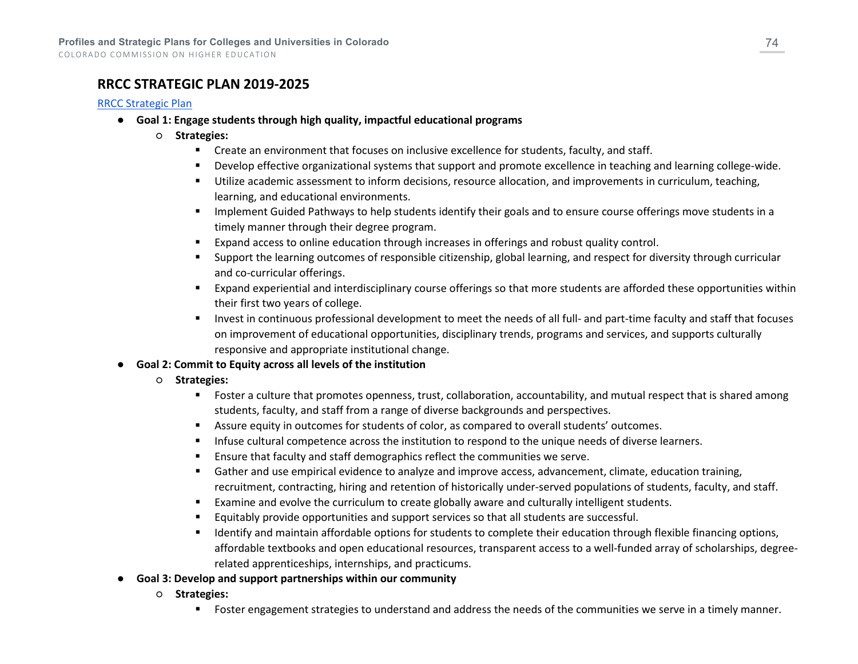### **RRCC STRATEGIC PLAN 2019-2025**

### [RRCC Strategic Plan](https://www.rrcc.edu/sites/default/files/u198/RRCC%20Strategic%20Plan%20October%2011%202019%20Complete%20Final%20Draft.pdf)

- **Goal 1: Engage students through high quality, impactful educational programs**
	- **Strategies:**
		- **EXECT** Create an environment that focuses on inclusive excellence for students, faculty, and staff.
		- Develop effective organizational systems that support and promote excellence in teaching and learning college-wide.
		- Utilize academic assessment to inform decisions, resource allocation, and improvements in curriculum, teaching, learning, and educational environments.
		- **IMPLEMENT ATTLE INTERST IN A THE STARK IS STARK IN A THE STARK IS A THE STARK IS A THE STARK IS A THE STARK IS A THE STARK IS A THE STARK IS A THE STARK IS A THE STARK IS A THE STARK IS A THE STARK IS A THE STARK IS A THE** timely manner through their degree program.
		- Expand access to online education through increases in offerings and robust quality control.
		- Support the learning outcomes of responsible citizenship, global learning, and respect for diversity through curricular and co-curricular offerings.
		- Expand experiential and interdisciplinary course offerings so that more students are afforded these opportunities within their first two years of college.
		- Invest in continuous professional development to meet the needs of all full- and part-time faculty and staff that focuses on improvement of educational opportunities, disciplinary trends, programs and services, and supports culturally responsive and appropriate institutional change.
- **Goal 2: Commit to Equity across all levels of the institution**
	- **Strategies:**
		- Foster a culture that promotes openness, trust, collaboration, accountability, and mutual respect that is shared among students, faculty, and staff from a range of diverse backgrounds and perspectives.
		- Assure equity in outcomes for students of color, as compared to overall students' outcomes.
		- **Infuse cultural competence across the institution to respond to the unique needs of diverse learners.**
		- Ensure that faculty and staff demographics reflect the communities we serve.
		- Gather and use empirical evidence to analyze and improve access, advancement, climate, education training, recruitment, contracting, hiring and retention of historically under-served populations of students, faculty, and staff.
		- **Examine and evolve the curriculum to create globally aware and culturally intelligent students.**
		- Equitably provide opportunities and support services so that all students are successful.
		- **If all identify and maintain affordable options for students to complete their education through flexible financing options,** affordable textbooks and open educational resources, transparent access to a well-funded array of scholarships, degreerelated apprenticeships, internships, and practicums.
- **Goal 3: Develop and support partnerships within our community**
	- **Strategies:**
		- Foster engagement strategies to understand and address the needs of the communities we serve in a timely manner.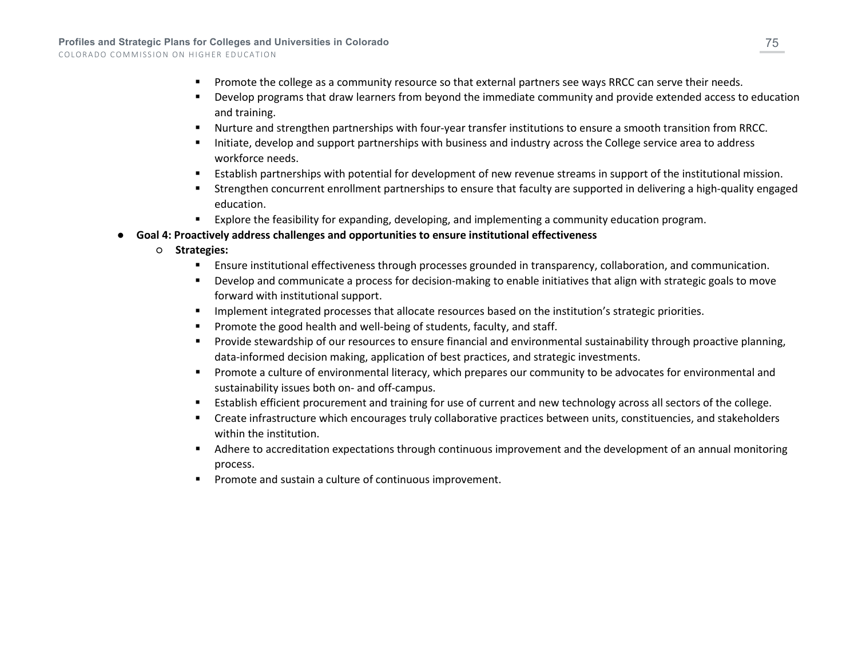- **Promote the college as a community resource so that external partners see ways RRCC can serve their needs.**
- Develop programs that draw learners from beyond the immediate community and provide extended access to education and training.
- Nurture and strengthen partnerships with four-year transfer institutions to ensure a smooth transition from RRCC.
- Initiate, develop and support partnerships with business and industry across the College service area to address workforce needs.
- Establish partnerships with potential for development of new revenue streams in support of the institutional mission.
- Strengthen concurrent enrollment partnerships to ensure that faculty are supported in delivering a high-quality engaged education.
- Explore the feasibility for expanding, developing, and implementing a community education program.
- **Goal 4: Proactively address challenges and opportunities to ensure institutional effectiveness** 
	- **Strategies:**
		- Ensure institutional effectiveness through processes grounded in transparency, collaboration, and communication.
		- Develop and communicate a process for decision-making to enable initiatives that align with strategic goals to move forward with institutional support.
		- **IMPLEMENT INTEGRATE:** Implement integrated processes that allocate resources based on the institution's strategic priorities.
		- Promote the good health and well-being of students, faculty, and staff.
		- **Provide stewardship of our resources to ensure financial and environmental sustainability through proactive planning,** data-informed decision making, application of best practices, and strategic investments.
		- **Promote a culture of environmental literacy, which prepares our community to be advocates for environmental and** sustainability issues both on- and off-campus.
		- Establish efficient procurement and training for use of current and new technology across all sectors of the college.
		- Create infrastructure which encourages truly collaborative practices between units, constituencies, and stakeholders within the institution.
		- Adhere to accreditation expectations through continuous improvement and the development of an annual monitoring process.
		- Promote and sustain a culture of continuous improvement.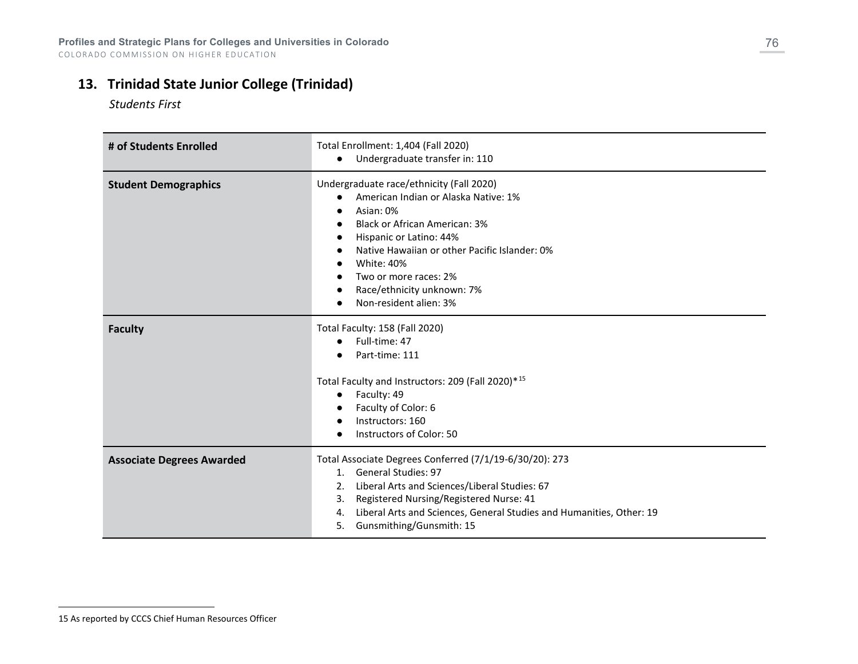## **13. Trinidad State Junior College (Trinidad)**

<span id="page-75-0"></span> *Students First*

| # of Students Enrolled           | Total Enrollment: 1,404 (Fall 2020)<br>Undergraduate transfer in: 110                                                                                                                                                                                                                                                   |
|----------------------------------|-------------------------------------------------------------------------------------------------------------------------------------------------------------------------------------------------------------------------------------------------------------------------------------------------------------------------|
| <b>Student Demographics</b>      | Undergraduate race/ethnicity (Fall 2020)<br>American Indian or Alaska Native: 1%<br>Asian: 0%<br><b>Black or African American: 3%</b><br>Hispanic or Latino: 44%<br>Native Hawaiian or other Pacific Islander: 0%<br><b>White: 40%</b><br>Two or more races: 2%<br>Race/ethnicity unknown: 7%<br>Non-resident alien: 3% |
| <b>Faculty</b>                   | Total Faculty: 158 (Fall 2020)<br>Full-time: 47<br>Part-time: 111<br>Total Faculty and Instructors: 209 (Fall 2020)*15<br>Faculty: 49<br>$\bullet$<br>Faculty of Color: 6<br>Instructors: 160<br>Instructors of Color: 50                                                                                               |
| <b>Associate Degrees Awarded</b> | Total Associate Degrees Conferred (7/1/19-6/30/20): 273<br>1. General Studies: 97<br>Liberal Arts and Sciences/Liberal Studies: 67<br>2.<br>Registered Nursing/Registered Nurse: 41<br>3.<br>Liberal Arts and Sciences, General Studies and Humanities, Other: 19<br>4.<br>Gunsmithing/Gunsmith: 15<br>5.               |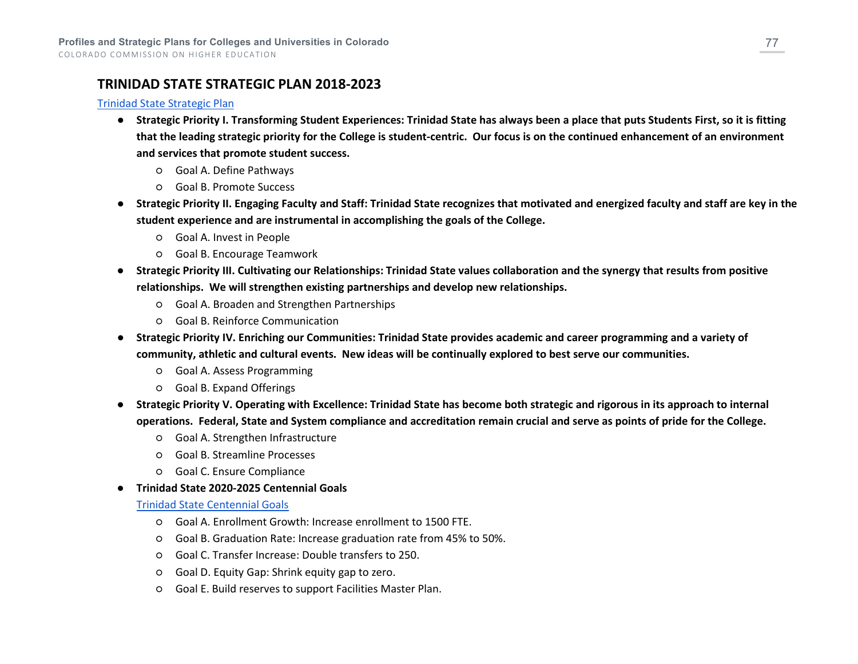## **TRINIDAD STATE STRATEGIC PLAN 2018-2023**

### [Trinidad State Strategic Plan](https://trinidadstate.edu/strategic/pdf/strategic_plan18-23.pdf)

- **Strategic Priority I. Transforming Student Experiences: Trinidad State has always been a place that puts Students First, so it is fitting that the leading strategic priority for the College is student-centric. Our focus is on the continued enhancement of an environment and services that promote student success.**
	- Goal A. Define Pathways
	- Goal B. Promote Success
- **Strategic Priority II. Engaging Faculty and Staff: Trinidad State recognizes that motivated and energized faculty and staff are key in the student experience and are instrumental in accomplishing the goals of the College.**
	- Goal A. Invest in People
	- Goal B. Encourage Teamwork
- **Strategic Priority III. Cultivating our Relationships: Trinidad State values collaboration and the synergy that results from positive relationships. We will strengthen existing partnerships and develop new relationships.**
	- Goal A. Broaden and Strengthen Partnerships
	- Goal B. Reinforce Communication
- **Strategic Priority IV. Enriching our Communities: Trinidad State provides academic and career programming and a variety of community, athletic and cultural events. New ideas will be continually explored to best serve our communities.**
	- Goal A. Assess Programming
	- Goal B. Expand Offerings
- **Strategic Priority V. Operating with Excellence: Trinidad State has become both strategic and rigorous in its approach to internal operations. Federal, State and System compliance and accreditation remain crucial and serve as points of pride for the College.**
	- Goal A. Strengthen Infrastructure
	- Goal B. Streamline Processes
	- Goal C. Ensure Compliance
- **Trinidad State 2020-2025 Centennial Goals**

### [Trinidad State Centennial Goals](https://trinidadstate.edu/strategic/pdf/goals_centennial.pdf)

- Goal A. Enrollment Growth: Increase enrollment to 1500 FTE.
- Goal B. Graduation Rate: Increase graduation rate from 45% to 50%.
- Goal C. Transfer Increase: Double transfers to 250.
- Goal D. Equity Gap: Shrink equity gap to zero.
- Goal E. Build reserves to support Facilities Master Plan.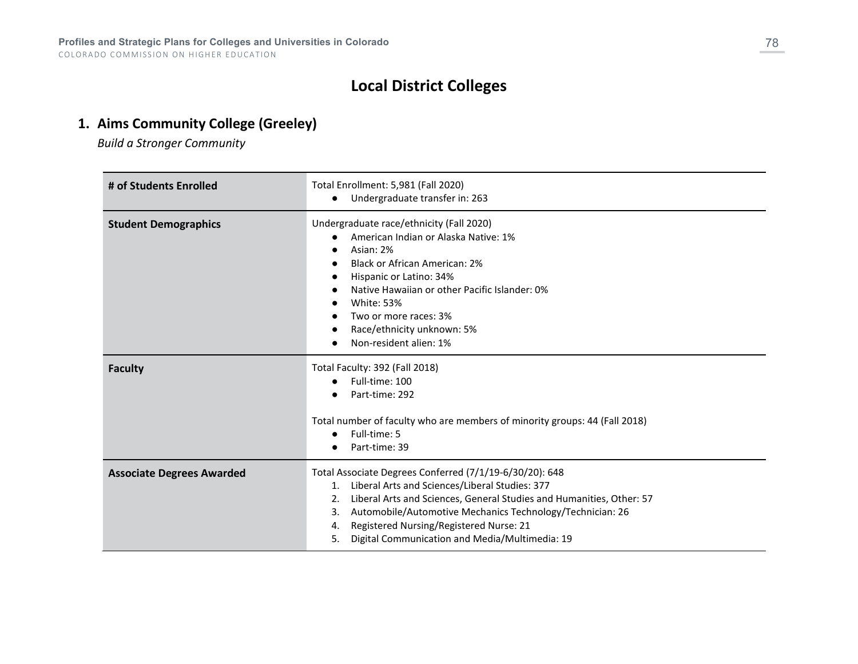# **Local District Colleges**

# **1. Aims Community College (Greeley)**

*Build a Stronger Community*

| # of Students Enrolled           | Total Enrollment: 5,981 (Fall 2020)<br>Undergraduate transfer in: 263                                                                                                                                                                                                                                                                                                  |
|----------------------------------|------------------------------------------------------------------------------------------------------------------------------------------------------------------------------------------------------------------------------------------------------------------------------------------------------------------------------------------------------------------------|
| <b>Student Demographics</b>      | Undergraduate race/ethnicity (Fall 2020)<br>American Indian or Alaska Native: 1%<br>Asian: 2%<br>Black or African American: 2%<br>Hispanic or Latino: 34%<br>Native Hawaiian or other Pacific Islander: 0%<br><b>White: 53%</b><br>Two or more races: 3%<br>Race/ethnicity unknown: 5%<br>Non-resident alien: 1%                                                       |
| <b>Faculty</b>                   | Total Faculty: 392 (Fall 2018)<br>Full-time: 100<br>Part-time: 292<br>Total number of faculty who are members of minority groups: 44 (Fall 2018)<br>Full-time: 5<br>$\bullet$<br>Part-time: 39                                                                                                                                                                         |
| <b>Associate Degrees Awarded</b> | Total Associate Degrees Conferred (7/1/19-6/30/20): 648<br>1. Liberal Arts and Sciences/Liberal Studies: 377<br>Liberal Arts and Sciences, General Studies and Humanities, Other: 57<br>2.<br>Automobile/Automotive Mechanics Technology/Technician: 26<br>3.<br>Registered Nursing/Registered Nurse: 21<br>4.<br>Digital Communication and Media/Multimedia: 19<br>5. |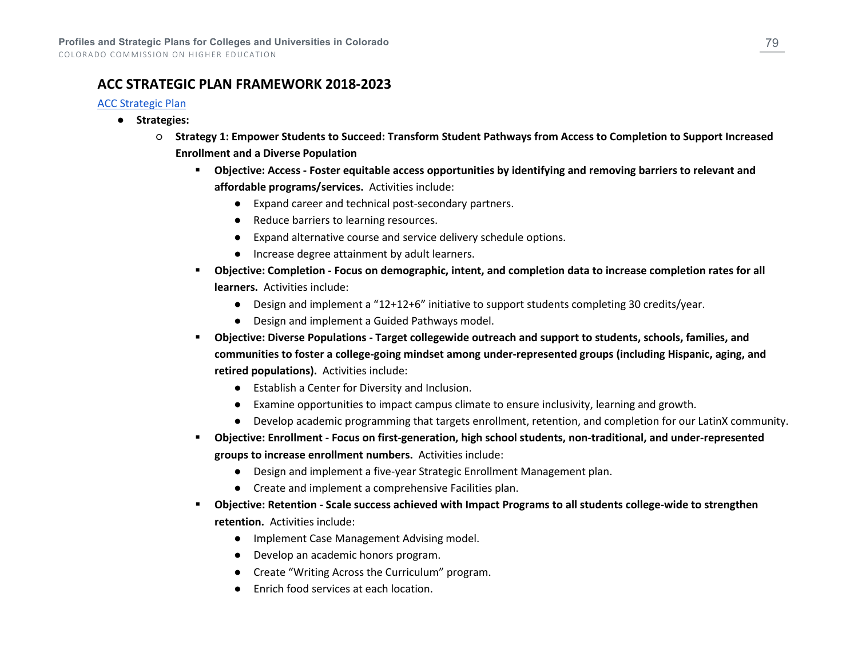## **ACC STRATEGIC PLAN FRAMEWORK 2018-2023**

### [ACC Strategic Plan](https://www.aims.edu/system/files/resource/aims-strategic-plan-2018-2023.pdf)

- **Strategies:**
	- **Strategy 1: Empower Students to Succeed: Transform Student Pathways from Access to Completion to Support Increased Enrollment and a Diverse Population**
		- **Objective: Access - Foster equitable access opportunities by identifying and removing barriers to relevant and affordable programs/services.** Activities include:
			- Expand career and technical post-secondary partners.
			- Reduce barriers to learning resources.
			- Expand alternative course and service delivery schedule options.
			- Increase degree attainment by adult learners.
		- **Objective: Completion - Focus on demographic, intent, and completion data to increase completion rates for all learners.** Activities include:
			- Design and implement a "12+12+6" initiative to support students completing 30 credits/year.
			- Design and implement a Guided Pathways model.
		- **Objective: Diverse Populations - Target collegewide outreach and support to students, schools, families, and communities to foster a college-going mindset among under-represented groups (including Hispanic, aging, and retired populations).** Activities include:
			- Establish a Center for Diversity and Inclusion.
			- Examine opportunities to impact campus climate to ensure inclusivity, learning and growth.
			- Develop academic programming that targets enrollment, retention, and completion for our LatinX community.
		- **Objective: Enrollment - Focus on first-generation, high school students, non-traditional, and under-represented groups to increase enrollment numbers.** Activities include:
			- Design and implement a five-year Strategic Enrollment Management plan.
			- Create and implement a comprehensive Facilities plan.
		- **Objective: Retention - Scale success achieved with Impact Programs to all students college-wide to strengthen retention.** Activities include:
			- Implement Case Management Advising model.
			- Develop an academic honors program.
			- Create "Writing Across the Curriculum" program.
			- Enrich food services at each location.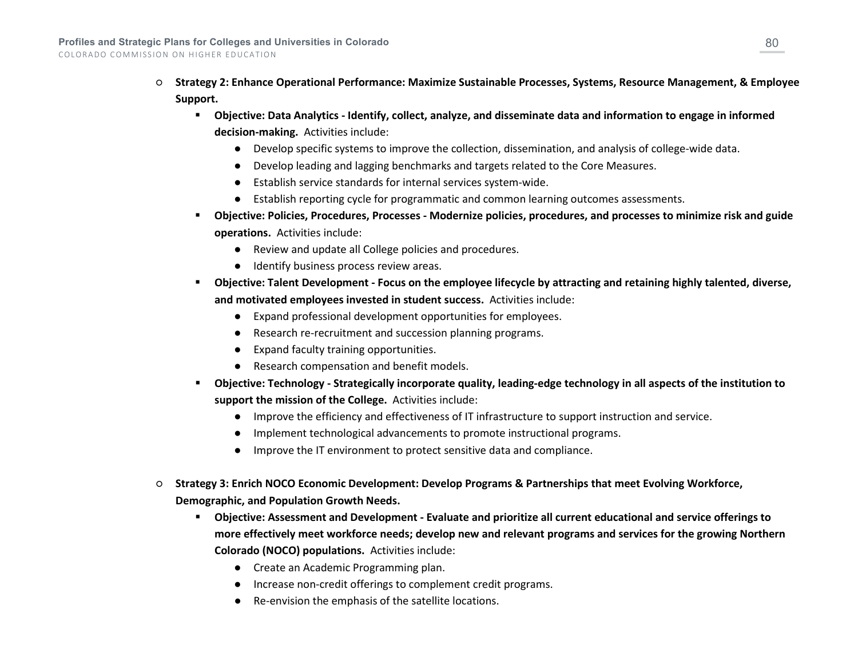- **Strategy 2: Enhance Operational Performance: Maximize Sustainable Processes, Systems, Resource Management, & Employee Support.**
	- **Objective: Data Analytics - Identify, collect, analyze, and disseminate data and information to engage in informed decision-making.** Activities include:
		- Develop specific systems to improve the collection, dissemination, and analysis of college-wide data.
		- Develop leading and lagging benchmarks and targets related to the Core Measures.
		- Establish service standards for internal services system-wide.
		- Establish reporting cycle for programmatic and common learning outcomes assessments.
	- **Objective: Policies, Procedures, Processes - Modernize policies, procedures, and processes to minimize risk and guide operations.** Activities include:
		- Review and update all College policies and procedures.
		- Identify business process review areas.
	- **Objective: Talent Development - Focus on the employee lifecycle by attracting and retaining highly talented, diverse, and motivated employees invested in student success.** Activities include:
		- Expand professional development opportunities for employees.
		- Research re-recruitment and succession planning programs.
		- Expand faculty training opportunities.
		- Research compensation and benefit models.
	- **Objective: Technology - Strategically incorporate quality, leading-edge technology in all aspects of the institution to support the mission of the College.** Activities include:
		- Improve the efficiency and effectiveness of IT infrastructure to support instruction and service.
		- Implement technological advancements to promote instructional programs.
		- Improve the IT environment to protect sensitive data and compliance.
- **Strategy 3: Enrich NOCO Economic Development: Develop Programs & Partnerships that meet Evolving Workforce, Demographic, and Population Growth Needs.**
	- **Objective: Assessment and Development - Evaluate and prioritize all current educational and service offerings to more effectively meet workforce needs; develop new and relevant programs and services for the growing Northern Colorado (NOCO) populations.** Activities include:
		- Create an Academic Programming plan.
		- Increase non-credit offerings to complement credit programs.
		- Re-envision the emphasis of the satellite locations.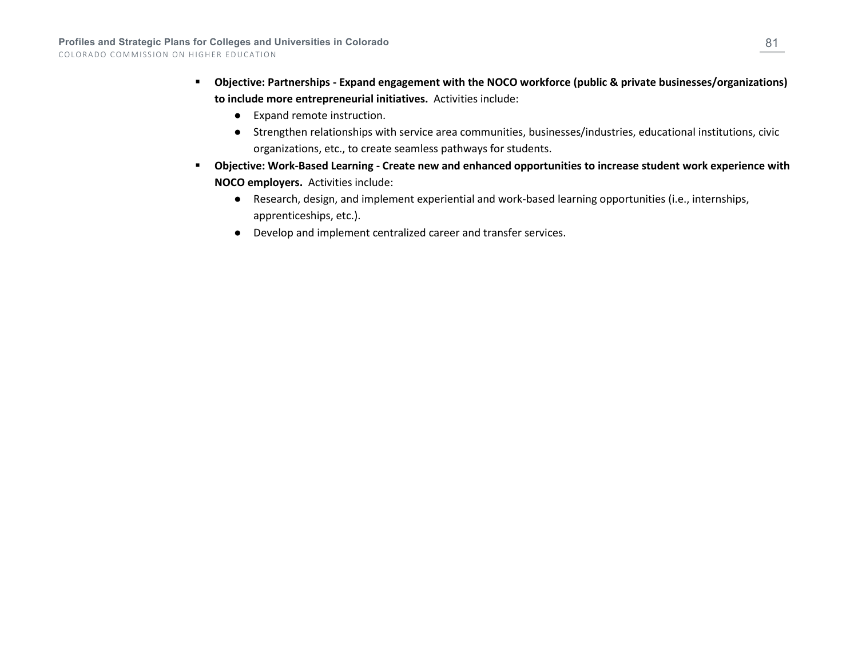- **Objective: Partnerships - Expand engagement with the NOCO workforce (public & private businesses/organizations) to include more entrepreneurial initiatives.** Activities include:
	- Expand remote instruction.
	- Strengthen relationships with service area communities, businesses/industries, educational institutions, civic organizations, etc., to create seamless pathways for students.
- **Objective: Work-Based Learning - Create new and enhanced opportunities to increase student work experience with NOCO employers.** Activities include:
	- Research, design, and implement experiential and work-based learning opportunities (i.e., internships, apprenticeships, etc.).
	- Develop and implement centralized career and transfer services.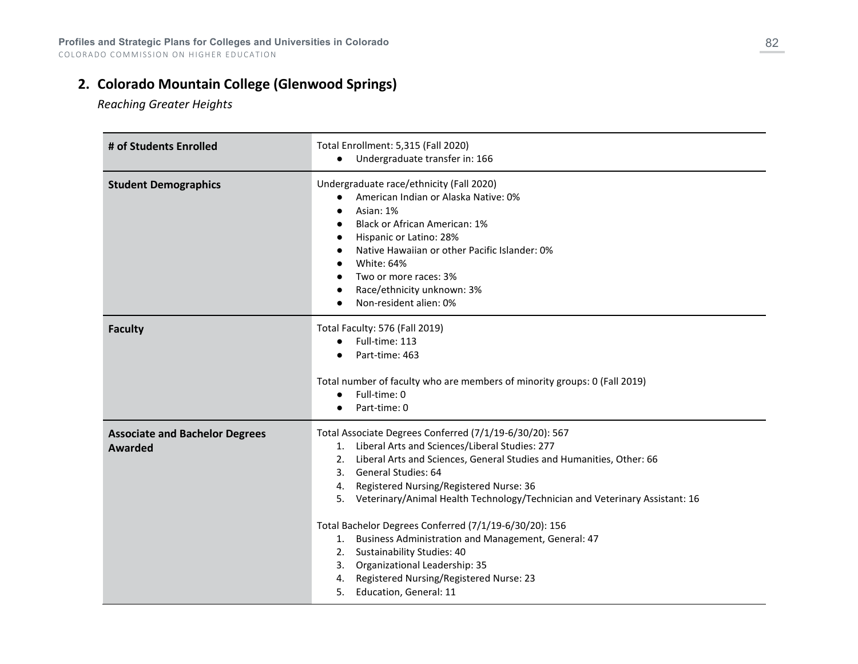# **2. Colorado Mountain College (Glenwood Springs)**

*Reaching Greater Heights*

| # of Students Enrolled                                  | Total Enrollment: 5,315 (Fall 2020)<br>Undergraduate transfer in: 166                                                                                                                                                                                                                                                                                                                                                                                                                                                                                                                                                             |
|---------------------------------------------------------|-----------------------------------------------------------------------------------------------------------------------------------------------------------------------------------------------------------------------------------------------------------------------------------------------------------------------------------------------------------------------------------------------------------------------------------------------------------------------------------------------------------------------------------------------------------------------------------------------------------------------------------|
| <b>Student Demographics</b>                             | Undergraduate race/ethnicity (Fall 2020)<br>American Indian or Alaska Native: 0%<br>$\bullet$<br>Asian: 1%<br>$\bullet$<br><b>Black or African American: 1%</b><br>$\bullet$<br>Hispanic or Latino: 28%<br>Native Hawaiian or other Pacific Islander: 0%<br><b>White: 64%</b><br>Two or more races: 3%<br>Race/ethnicity unknown: 3%<br>Non-resident alien: 0%                                                                                                                                                                                                                                                                    |
| <b>Faculty</b>                                          | Total Faculty: 576 (Fall 2019)<br>Full-time: 113<br>$\bullet$<br>Part-time: 463<br>Total number of faculty who are members of minority groups: 0 (Fall 2019)<br>Full-time: 0<br>$\bullet$<br>Part-time: 0                                                                                                                                                                                                                                                                                                                                                                                                                         |
| <b>Associate and Bachelor Degrees</b><br><b>Awarded</b> | Total Associate Degrees Conferred (7/1/19-6/30/20): 567<br>1. Liberal Arts and Sciences/Liberal Studies: 277<br>2. Liberal Arts and Sciences, General Studies and Humanities, Other: 66<br>3. General Studies: 64<br>Registered Nursing/Registered Nurse: 36<br>4.<br>5. Veterinary/Animal Health Technology/Technician and Veterinary Assistant: 16<br>Total Bachelor Degrees Conferred (7/1/19-6/30/20): 156<br>Business Administration and Management, General: 47<br>1.<br>2. Sustainability Studies: 40<br>3. Organizational Leadership: 35<br>Registered Nursing/Registered Nurse: 23<br>4.<br>Education, General: 11<br>5. |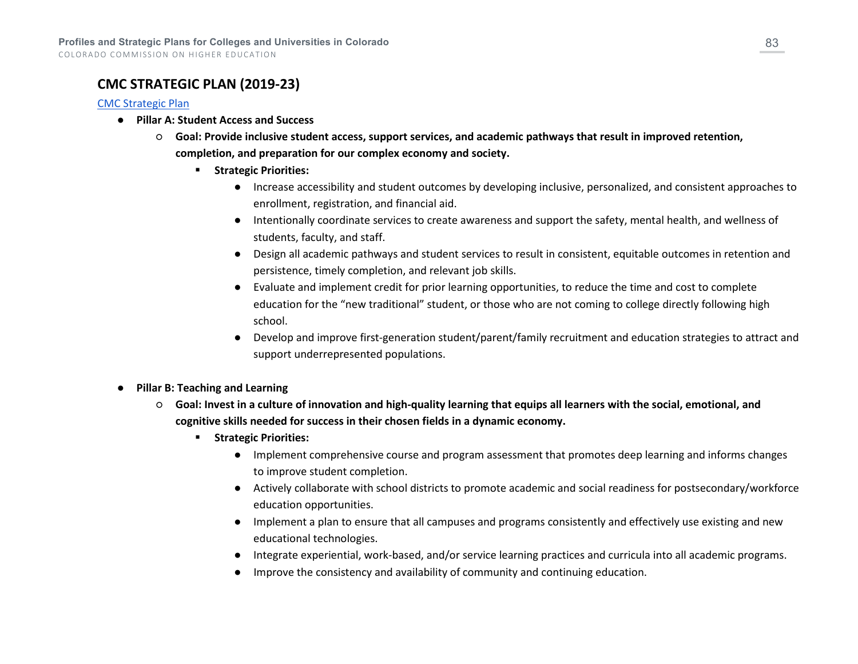## **CMC STRATEGIC PLAN (2019-23)**

### [CMC Strategic Plan](https://cmc-wpengine.netdna-ssl.com/wp-content/uploads/2019/01/StrategicPlan-ReachingGreaterHeights2019-Jan8-Proof1.pdf)

- **Pillar A: Student Access and Success**
	- **Goal: Provide inclusive student access, support services, and academic pathways that result in improved retention, completion, and preparation for our complex economy and society.**
		- **F** Strategic Priorities:
			- Increase accessibility and student outcomes by developing inclusive, personalized, and consistent approaches to enrollment, registration, and financial aid.
			- Intentionally coordinate services to create awareness and support the safety, mental health, and wellness of students, faculty, and staff.
			- Design all academic pathways and student services to result in consistent, equitable outcomes in retention and persistence, timely completion, and relevant job skills.
			- Evaluate and implement credit for prior learning opportunities, to reduce the time and cost to complete education for the "new traditional" student, or those who are not coming to college directly following high school.
			- Develop and improve first-generation student/parent/family recruitment and education strategies to attract and support underrepresented populations.
- **Pillar B: Teaching and Learning**
	- **Goal: Invest in a culture of innovation and high-quality learning that equips all learners with the social, emotional, and cognitive skills needed for success in their chosen fields in a dynamic economy.**
		- **Fig. 3 Strategic Priorities:** 
			- Implement comprehensive course and program assessment that promotes deep learning and informs changes to improve student completion.
			- Actively collaborate with school districts to promote academic and social readiness for postsecondary/workforce education opportunities.
			- Implement a plan to ensure that all campuses and programs consistently and effectively use existing and new educational technologies.
			- Integrate experiential, work-based, and/or service learning practices and curricula into all academic programs.
			- Improve the consistency and availability of community and continuing education.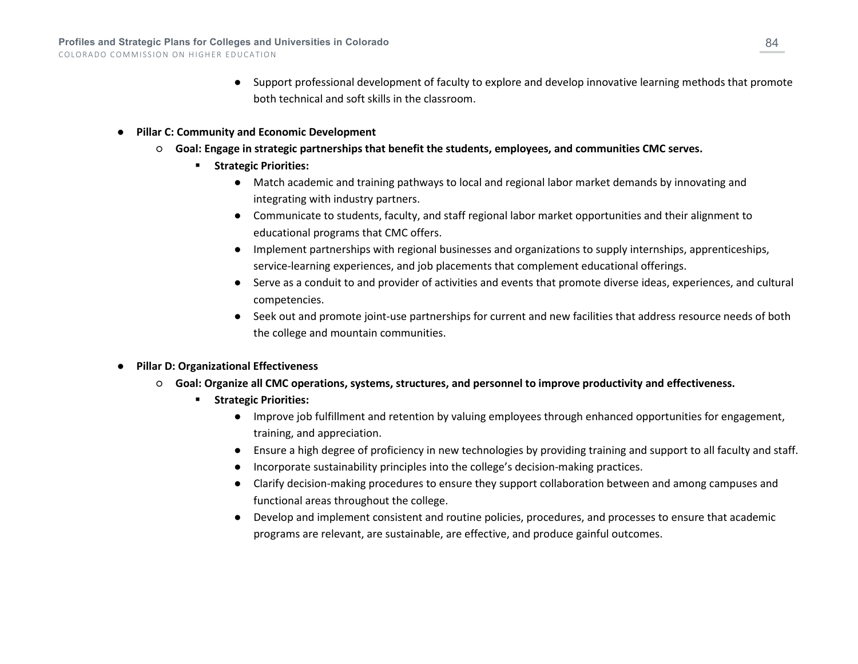- Support professional development of faculty to explore and develop innovative learning methods that promote both technical and soft skills in the classroom.
- **Pillar C: Community and Economic Development**
	- **Goal: Engage in strategic partnerships that benefit the students, employees, and communities CMC serves.**
		- **F** Strategic Priorities:
			- Match academic and training pathways to local and regional labor market demands by innovating and integrating with industry partners.
			- Communicate to students, faculty, and staff regional labor market opportunities and their alignment to educational programs that CMC offers.
			- Implement partnerships with regional businesses and organizations to supply internships, apprenticeships, service-learning experiences, and job placements that complement educational offerings.
			- Serve as a conduit to and provider of activities and events that promote diverse ideas, experiences, and cultural competencies.
			- Seek out and promote joint-use partnerships for current and new facilities that address resource needs of both the college and mountain communities.
- **Pillar D: Organizational Effectiveness**
	- **Goal: Organize all CMC operations, systems, structures, and personnel to improve productivity and effectiveness.**
		- **Fig. 3 Strategic Priorities:** 
			- Improve job fulfillment and retention by valuing employees through enhanced opportunities for engagement, training, and appreciation.
			- Ensure a high degree of proficiency in new technologies by providing training and support to all faculty and staff.
			- Incorporate sustainability principles into the college's decision-making practices.
			- Clarify decision-making procedures to ensure they support collaboration between and among campuses and functional areas throughout the college.
			- Develop and implement consistent and routine policies, procedures, and processes to ensure that academic programs are relevant, are sustainable, are effective, and produce gainful outcomes.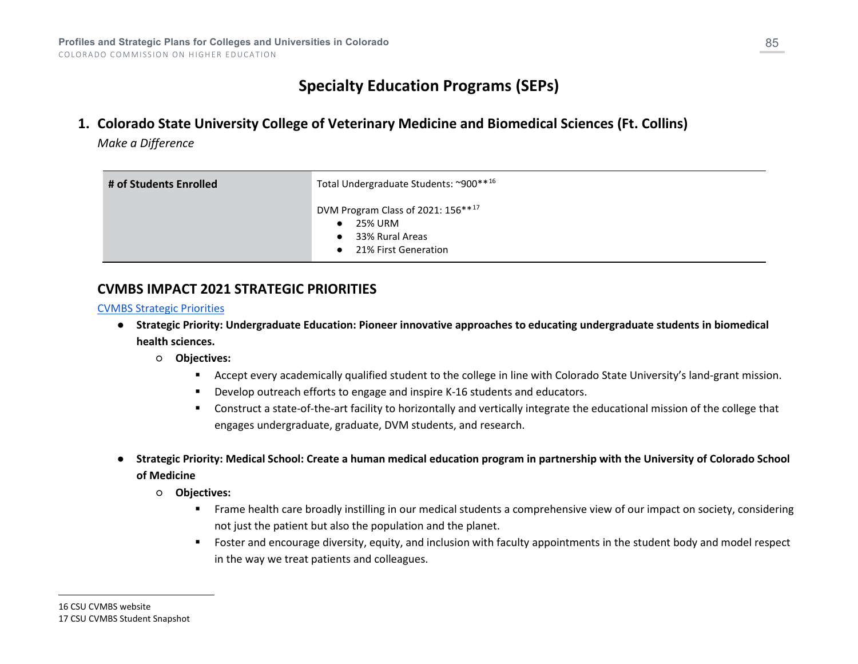# <span id="page-84-1"></span><span id="page-84-0"></span>**Specialty Education Programs (SEPs)**

**1. Colorado State University College of Veterinary Medicine and Biomedical Sciences (Ft. Collins)**

*Make a Difference*

| # of Students Enrolled | Total Undergraduate Students: ~900 ** 16                                                 |
|------------------------|------------------------------------------------------------------------------------------|
|                        | DVM Program Class of 2021: 156**17<br>25% URM<br>33% Rural Areas<br>21% First Generation |

## **CVMBS IMPACT 2021 STRATEGIC PRIORITIES**

### [CVMBS Strategic Priorities](https://cvmbs.source.colostate.edu/impact-2021-an-update-on-college-strategic-priorities/)

- **Strategic Priority: Undergraduate Education: Pioneer innovative approaches to educating undergraduate students in biomedical health sciences.**
	- **Objectives:**
		- Accept every academically qualified student to the college in line with Colorado State University's land-grant mission.
		- Develop outreach efforts to engage and inspire K-16 students and educators.
		- Construct a state-of-the-art facility to horizontally and vertically integrate the educational mission of the college that engages undergraduate, graduate, DVM students, and research.
- **Strategic Priority: Medical School: Create a human medical education program in partnership with the University of Colorado School of Medicine**
	- **Objectives:**
		- **Frame health care broadly instilling in our medical students a comprehensive view of our impact on society, considering** not just the patient but also the population and the planet.
		- Foster and encourage diversity, equity, and inclusion with faculty appointments in the student body and model respect in the way we treat patients and colleagues.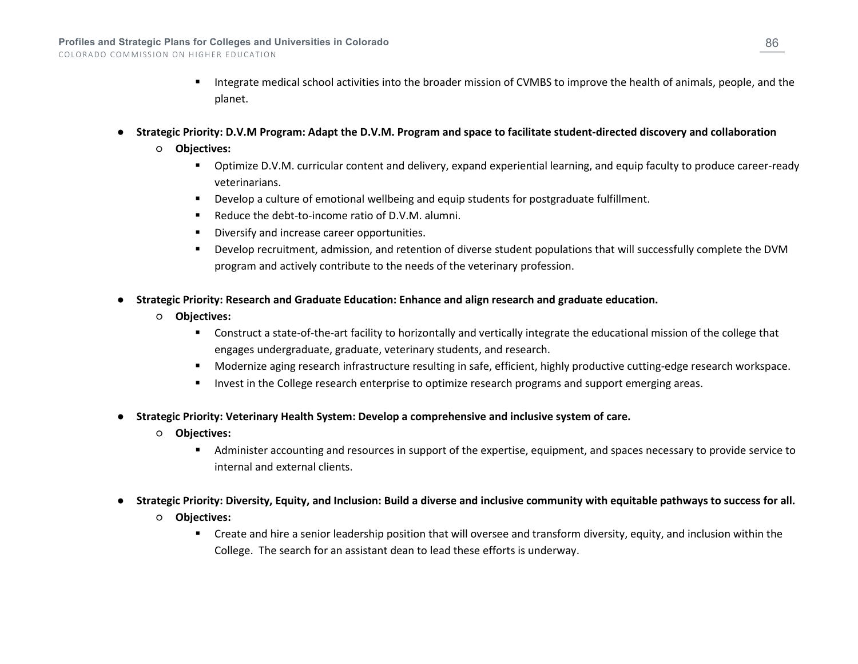- Integrate medical school activities into the broader mission of CVMBS to improve the health of animals, people, and the planet.
- **Strategic Priority: D.V.M Program: Adapt the D.V.M. Program and space to facilitate student-directed discovery and collaboration**
	- **Objectives:**
		- Optimize D.V.M. curricular content and delivery, expand experiential learning, and equip faculty to produce career-ready veterinarians.
		- **Develop a culture of emotional wellbeing and equip students for postgraduate fulfillment.**
		- Reduce the debt-to-income ratio of D.V.M. alumni.
		- Diversify and increase career opportunities.
		- Develop recruitment, admission, and retention of diverse student populations that will successfully complete the DVM program and actively contribute to the needs of the veterinary profession.
- **Strategic Priority: Research and Graduate Education: Enhance and align research and graduate education.**
	- **Objectives:**
		- Construct a state-of-the-art facility to horizontally and vertically integrate the educational mission of the college that engages undergraduate, graduate, veterinary students, and research.
		- Modernize aging research infrastructure resulting in safe, efficient, highly productive cutting-edge research workspace.
		- **Invest in the College research enterprise to optimize research programs and support emerging areas.**
- **Strategic Priority: Veterinary Health System: Develop a comprehensive and inclusive system of care.**
	- **Objectives:**
		- Administer accounting and resources in support of the expertise, equipment, and spaces necessary to provide service to internal and external clients.
- **Strategic Priority: Diversity, Equity, and Inclusion: Build a diverse and inclusive community with equitable pathways to success for all.**
	- **Objectives:**
		- Create and hire a senior leadership position that will oversee and transform diversity, equity, and inclusion within the College. The search for an assistant dean to lead these efforts is underway.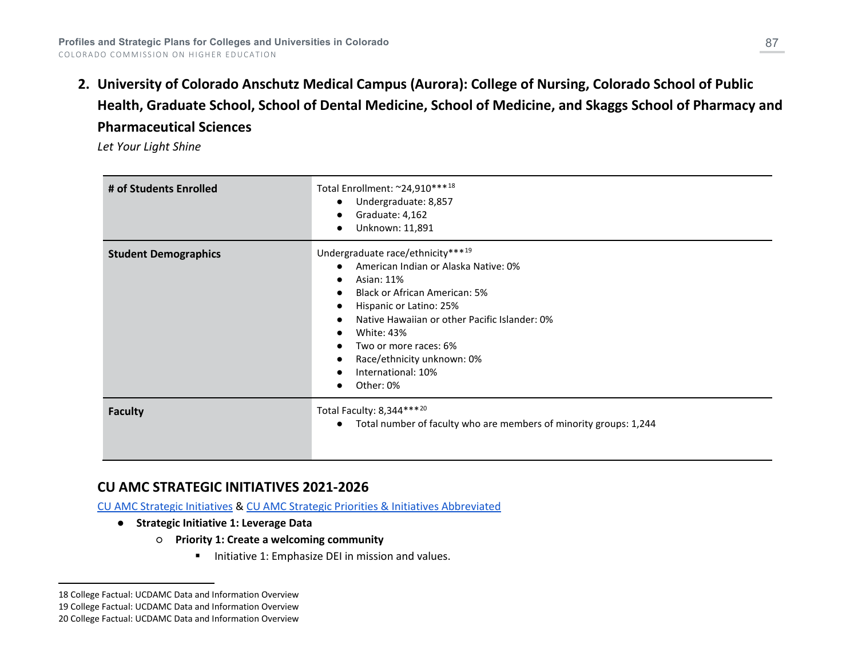<span id="page-86-2"></span><span id="page-86-1"></span><span id="page-86-0"></span>**2. University of Colorado Anschutz Medical Campus (Aurora): College of Nursing, Colorado School of Public Health, Graduate School, School of Dental Medicine, School of Medicine, and Skaggs School of Pharmacy and Pharmaceutical Sciences**

*Let Your Light Shine*

| # of Students Enrolled      | Total Enrollment: ~24,910 *** 18<br>Undergraduate: 8,857<br>$\bullet$<br>Graduate: 4,162<br>Unknown: 11,891<br>$\bullet$                                                                                                                                                                                                                                                                                 |
|-----------------------------|----------------------------------------------------------------------------------------------------------------------------------------------------------------------------------------------------------------------------------------------------------------------------------------------------------------------------------------------------------------------------------------------------------|
| <b>Student Demographics</b> | Undergraduate race/ethnicity***19<br>American Indian or Alaska Native: 0%<br>$\bullet$<br>Asian: 11%<br><b>Black or African American: 5%</b><br>$\bullet$<br>Hispanic or Latino: 25%<br>$\bullet$<br>Native Hawaiian or other Pacific Islander: 0%<br>$\bullet$<br><b>White: 43%</b><br>$\bullet$<br>Two or more races: 6%<br>Race/ethnicity unknown: 0%<br>$\bullet$<br>International: 10%<br>Other: 0% |
| <b>Faculty</b>              | Total Faculty: 8,344*** <sup>20</sup><br>Total number of faculty who are members of minority groups: 1,244<br>$\bullet$                                                                                                                                                                                                                                                                                  |

## **CU AMC STRATEGIC INITIATIVES 2021-2026**

[CU AMC Strategic Initiatives](https://www.cuanschutz.edu/docs/librariesprovider305/default-document-library/strategic-initiatives-report-web-102621.pdf?sfvrsn=a836d3ba_2) & [CU AMC Strategic Priorities & Initiatives Abbreviated](https://www.cuanschutz.edu/docs/librariesprovider305/default-document-library/sp-abbreviated-mapping-10-27-21.pdf?sfvrsn=d840d3ba_2) 

- **Strategic Initiative 1: Leverage Data**
	- **Priority 1: Create a welcoming community**
		- Initiative 1: Emphasize DEI in mission and values.

<sup>18</sup> College Factual: UCDAMC Data and Information Overview

<sup>19</sup> College Factual: UCDAMC Data and Information Overview

<sup>20</sup> College Factual: UCDAMC Data and Information Overview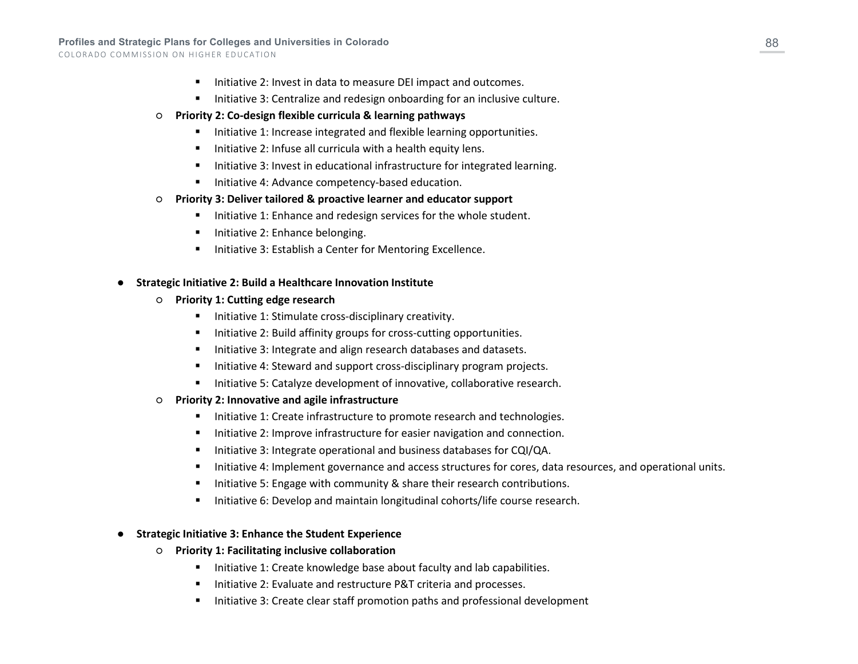- Initiative 2: Invest in data to measure DEI impact and outcomes.
- Initiative 3: Centralize and redesign onboarding for an inclusive culture.
- **Priority 2: Co-design flexible curricula & learning pathways**
	- **Initiative 1: Increase integrated and flexible learning opportunities.**
	- $\blacksquare$  Initiative 2: Infuse all curricula with a health equity lens.
	- **Initiative 3: Invest in educational infrastructure for integrated learning.**
	- **Initiative 4: Advance competency-based education.**

### ○ **Priority 3: Deliver tailored & proactive learner and educator support**

- $\blacksquare$  Initiative 1: Enhance and redesign services for the whole student.
- Initiative 2: Enhance belonging.
- Initiative 3: Establish a Center for Mentoring Excellence.

### **Strategic Initiative 2: Build a Healthcare Innovation Institute**

- **Priority 1: Cutting edge research**
	- $\blacksquare$  Initiative 1: Stimulate cross-disciplinary creativity.
	- Initiative 2: Build affinity groups for cross-cutting opportunities.
	- Initiative 3: Integrate and align research databases and datasets.
	- Initiative 4: Steward and support cross-disciplinary program projects.
	- Initiative 5: Catalyze development of innovative, collaborative research.
- **Priority 2: Innovative and agile infrastructure**
	- Initiative 1: Create infrastructure to promote research and technologies.
	- Initiative 2: Improve infrastructure for easier navigation and connection.
	- Initiative 3: Integrate operational and business databases for CQI/QA.
	- Initiative 4: Implement governance and access structures for cores, data resources, and operational units.
	- Initiative 5: Engage with community & share their research contributions.
	- Initiative 6: Develop and maintain longitudinal cohorts/life course research.

### ● **Strategic Initiative 3: Enhance the Student Experience**

- **Priority 1: Facilitating inclusive collaboration**
	- Initiative 1: Create knowledge base about faculty and lab capabilities.
	- Initiative 2: Evaluate and restructure P&T criteria and processes.
	- Initiative 3: Create clear staff promotion paths and professional development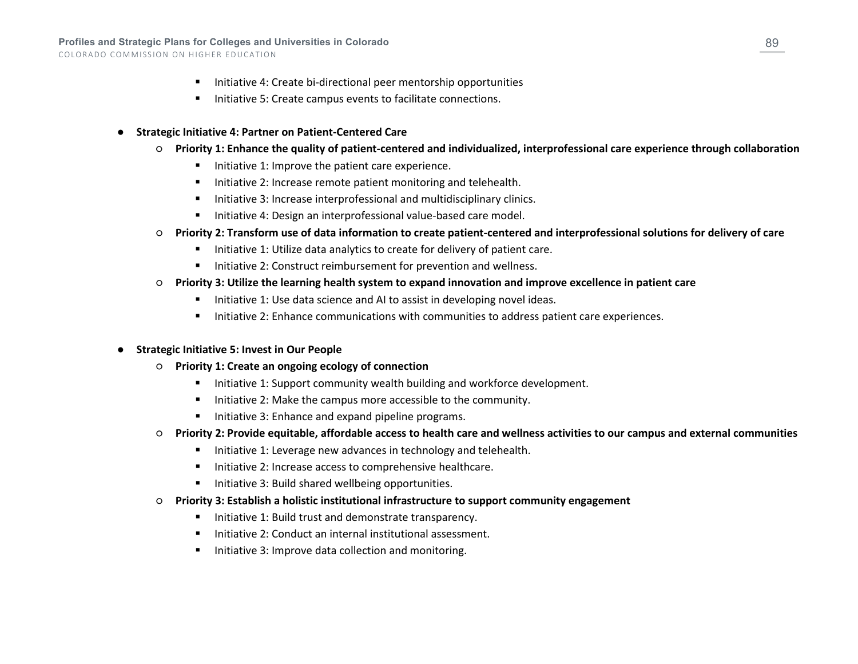- **Initiative 4: Create bi-directional peer mentorship opportunities**
- Initiative 5: Create campus events to facilitate connections.
- **Strategic Initiative 4: Partner on Patient-Centered Care** 
	- **Priority 1: Enhance the quality of patient-centered and individualized, interprofessional care experience through collaboration**
		- Initiative 1: Improve the patient care experience.
		- Initiative 2: Increase remote patient monitoring and telehealth.
		- Initiative 3: Increase interprofessional and multidisciplinary clinics.
		- **Initiative 4: Design an interprofessional value-based care model.**
	- **Priority 2: Transform use of data information to create patient-centered and interprofessional solutions for delivery of care**
		- Initiative 1: Utilize data analytics to create for delivery of patient care.
		- Initiative 2: Construct reimbursement for prevention and wellness.
	- **Priority 3: Utilize the learning health system to expand innovation and improve excellence in patient care**
		- Initiative 1: Use data science and AI to assist in developing novel ideas.
		- Initiative 2: Enhance communications with communities to address patient care experiences.
- **Strategic Initiative 5: Invest in Our People**
	- **Priority 1: Create an ongoing ecology of connection**
		- Initiative 1: Support community wealth building and workforce development.
		- Initiative 2: Make the campus more accessible to the community.
		- Initiative 3: Enhance and expand pipeline programs.
	- **Priority 2: Provide equitable, affordable access to health care and wellness activities to our campus and external communities**
		- Initiative 1: Leverage new advances in technology and telehealth.
		- Initiative 2: Increase access to comprehensive healthcare.
		- Initiative 3: Build shared wellbeing opportunities.
	- **Priority 3: Establish a holistic institutional infrastructure to support community engagement**
		- Initiative 1: Build trust and demonstrate transparency.
		- Initiative 2: Conduct an internal institutional assessment.
		- **Initiative 3: Improve data collection and monitoring.**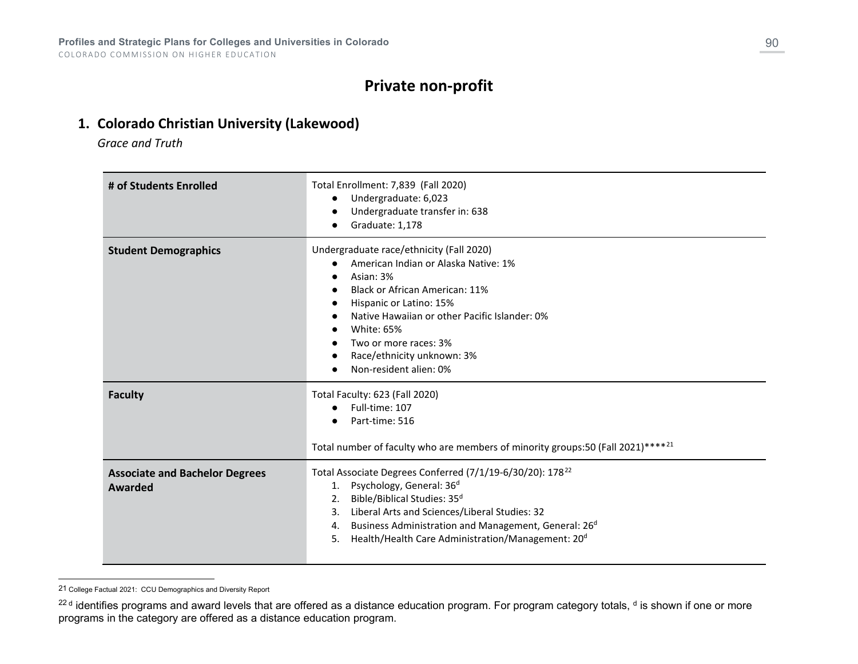## <span id="page-89-1"></span><span id="page-89-0"></span>**Private non-profit**

## **1. Colorado Christian University (Lakewood)**

*Grace and Truth*

| # of Students Enrolled                           | Total Enrollment: 7,839 (Fall 2020)<br>Undergraduate: 6,023<br>$\bullet$<br>Undergraduate transfer in: 638<br>Graduate: 1,178                                                                                                                                                                                                                                             |
|--------------------------------------------------|---------------------------------------------------------------------------------------------------------------------------------------------------------------------------------------------------------------------------------------------------------------------------------------------------------------------------------------------------------------------------|
| <b>Student Demographics</b>                      | Undergraduate race/ethnicity (Fall 2020)<br>American Indian or Alaska Native: 1%<br>$\bullet$<br>Asian: 3%<br>Black or African American: 11%<br>Hispanic or Latino: 15%<br>Native Hawaiian or other Pacific Islander: 0%<br>White: 65%<br>Two or more races: 3%<br>Race/ethnicity unknown: 3%<br>Non-resident alien: 0%                                                   |
| <b>Faculty</b>                                   | Total Faculty: 623 (Fall 2020)<br>Full-time: 107<br>Part-time: 516<br>Total number of faculty who are members of minority groups:50 (Fall 2021)**** <sup>21</sup>                                                                                                                                                                                                         |
| <b>Associate and Bachelor Degrees</b><br>Awarded | Total Associate Degrees Conferred (7/1/19-6/30/20): 178 <sup>22</sup><br>Psychology, General: 36 <sup>d</sup><br>1.<br>Bible/Biblical Studies: 35 <sup>d</sup><br>2.<br>3. Liberal Arts and Sciences/Liberal Studies: 32<br>Business Administration and Management, General: 26 <sup>d</sup><br>4.<br>Health/Health Care Administration/Management: 20 <sup>d</sup><br>5. |

<sup>21</sup> College Factual 2021: CCU Demographics and Diversity Report

<sup>&</sup>lt;sup>22 d</sup> identifies programs and award levels that are offered as a distance education program. For program category totals, <sup>d</sup> is shown if one or more programs in the category are offered as a distance education program.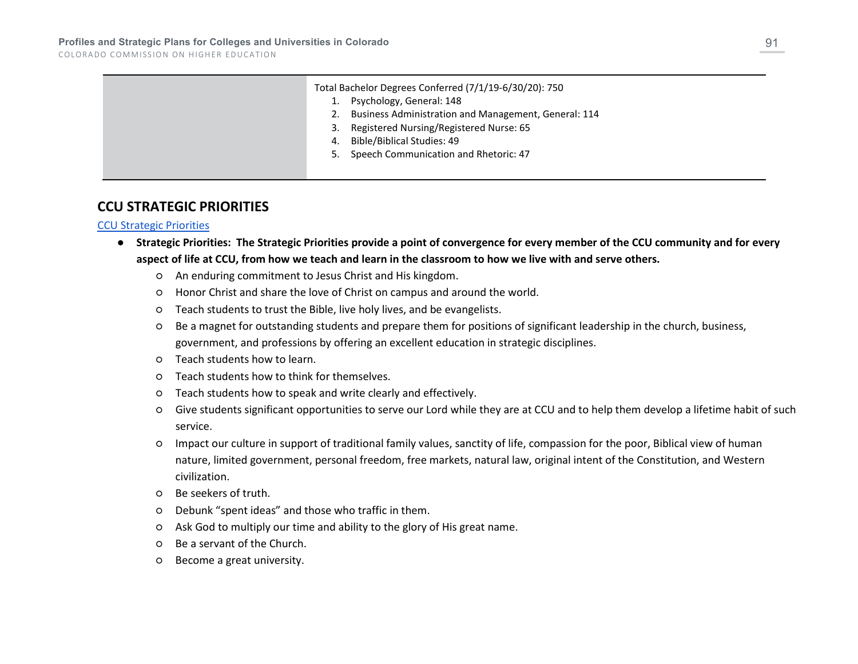COLORADO COMMISSION ON HIGHER EDUCATION

|  | Total Bachelor Degrees Conferred (7/1/19-6/30/20): 750<br>Psychology, General: 148<br>Business Administration and Management, General: 114<br>2.<br>Registered Nursing/Registered Nurse: 65<br>3.<br>Bible/Biblical Studies: 49<br>4. |
|--|---------------------------------------------------------------------------------------------------------------------------------------------------------------------------------------------------------------------------------------|
|  | Speech Communication and Rhetoric: 47<br>5.                                                                                                                                                                                           |
|  |                                                                                                                                                                                                                                       |

### **CCU STRATEGIC PRIORITIES**

### [CCU Strategic Priorities](https://www.ccu.edu/_files/documents/about/difference/ccu-mission-and-strategic-priorities.pdf)

- **Strategic Priorities: The Strategic Priorities provide a point of convergence for every member of the CCU community and for every aspect of life at CCU, from how we teach and learn in the classroom to how we live with and serve others.**
	- An enduring commitment to Jesus Christ and His kingdom.
	- Honor Christ and share the love of Christ on campus and around the world.
	- Teach students to trust the Bible, live holy lives, and be evangelists.
	- Be a magnet for outstanding students and prepare them for positions of significant leadership in the church, business, government, and professions by offering an excellent education in strategic disciplines.
	- Teach students how to learn.
	- Teach students how to think for themselves.
	- Teach students how to speak and write clearly and effectively.
	- Give students significant opportunities to serve our Lord while they are at CCU and to help them develop a lifetime habit of such service.
	- Impact our culture in support of traditional family values, sanctity of life, compassion for the poor, Biblical view of human nature, limited government, personal freedom, free markets, natural law, original intent of the Constitution, and Western civilization.
	- Be seekers of truth.
	- Debunk "spent ideas" and those who traffic in them.
	- Ask God to multiply our time and ability to the glory of His great name.
	- Be a servant of the Church.
	- Become a great university.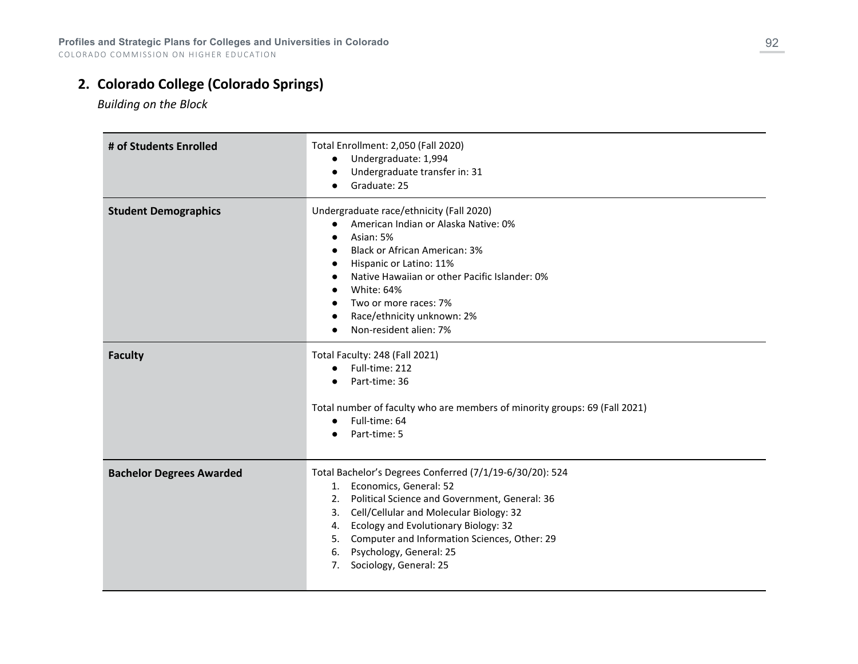# **2. Colorado College (Colorado Springs)**

*Building on the Block*

| # of Students Enrolled          | Total Enrollment: 2,050 (Fall 2020)<br>Undergraduate: 1,994<br>Undergraduate transfer in: 31<br>Graduate: 25                                                                                                                                                                                                                                                 |
|---------------------------------|--------------------------------------------------------------------------------------------------------------------------------------------------------------------------------------------------------------------------------------------------------------------------------------------------------------------------------------------------------------|
| <b>Student Demographics</b>     | Undergraduate race/ethnicity (Fall 2020)<br>American Indian or Alaska Native: 0%<br>Asian: 5%<br><b>Black or African American: 3%</b><br>Hispanic or Latino: 11%<br>Native Hawaiian or other Pacific Islander: 0%<br>White: 64%<br>Two or more races: 7%<br>Race/ethnicity unknown: 2%<br>Non-resident alien: 7%                                             |
| <b>Faculty</b>                  | Total Faculty: 248 (Fall 2021)<br>Full-time: 212<br>$\bullet$<br>Part-time: 36<br>$\bullet$<br>Total number of faculty who are members of minority groups: 69 (Fall 2021)<br>Full-time: 64<br>Part-time: 5                                                                                                                                                   |
| <b>Bachelor Degrees Awarded</b> | Total Bachelor's Degrees Conferred (7/1/19-6/30/20): 524<br>1. Economics, General: 52<br>2. Political Science and Government, General: 36<br>3. Cell/Cellular and Molecular Biology: 32<br>Ecology and Evolutionary Biology: 32<br>4.<br>Computer and Information Sciences, Other: 29<br>5.<br>Psychology, General: 25<br>6.<br>Sociology, General: 25<br>7. |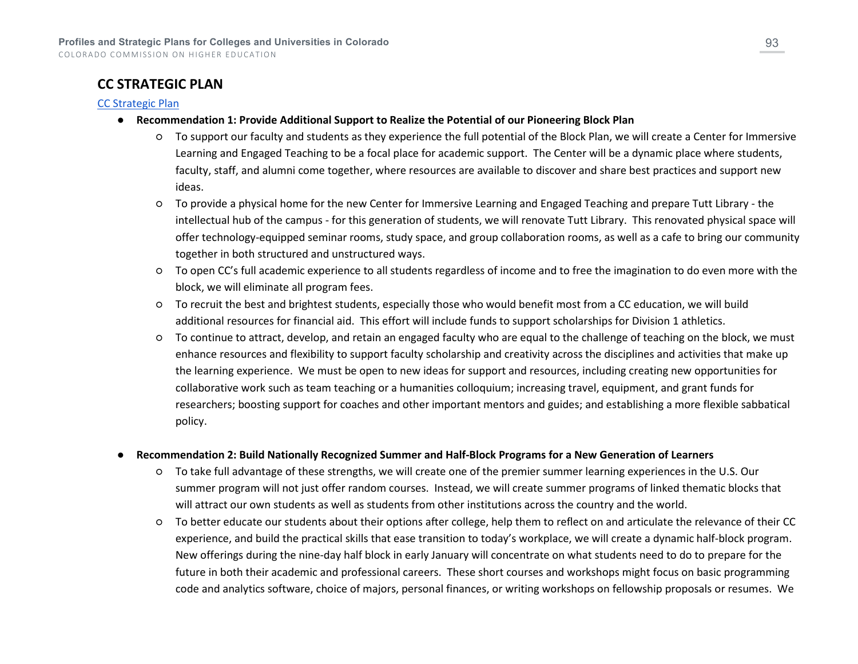## **CC STRATEGIC PLAN**

### [CC Strategic Plan](https://www.coloradocollege.edu/other/strategicplan/doc/YEAROFPLANNING-2013-StrategicPlan.pdf)

- **Recommendation 1: Provide Additional Support to Realize the Potential of our Pioneering Block Plan**
	- To support our faculty and students as they experience the full potential of the Block Plan, we will create a Center for Immersive Learning and Engaged Teaching to be a focal place for academic support. The Center will be a dynamic place where students, faculty, staff, and alumni come together, where resources are available to discover and share best practices and support new ideas.
	- To provide a physical home for the new Center for Immersive Learning and Engaged Teaching and prepare Tutt Library the intellectual hub of the campus - for this generation of students, we will renovate Tutt Library. This renovated physical space will offer technology-equipped seminar rooms, study space, and group collaboration rooms, as well as a cafe to bring our community together in both structured and unstructured ways.
	- To open CC's full academic experience to all students regardless of income and to free the imagination to do even more with the block, we will eliminate all program fees.
	- To recruit the best and brightest students, especially those who would benefit most from a CC education, we will build additional resources for financial aid. This effort will include funds to support scholarships for Division 1 athletics.
	- To continue to attract, develop, and retain an engaged faculty who are equal to the challenge of teaching on the block, we must enhance resources and flexibility to support faculty scholarship and creativity across the disciplines and activities that make up the learning experience. We must be open to new ideas for support and resources, including creating new opportunities for collaborative work such as team teaching or a humanities colloquium; increasing travel, equipment, and grant funds for researchers; boosting support for coaches and other important mentors and guides; and establishing a more flexible sabbatical policy.

### ● **Recommendation 2: Build Nationally Recognized Summer and Half-Block Programs for a New Generation of Learners**

- To take full advantage of these strengths, we will create one of the premier summer learning experiences in the U.S. Our summer program will not just offer random courses. Instead, we will create summer programs of linked thematic blocks that will attract our own students as well as students from other institutions across the country and the world.
- To better educate our students about their options after college, help them to reflect on and articulate the relevance of their CC experience, and build the practical skills that ease transition to today's workplace, we will create a dynamic half-block program. New offerings during the nine-day half block in early January will concentrate on what students need to do to prepare for the future in both their academic and professional careers. These short courses and workshops might focus on basic programming code and analytics software, choice of majors, personal finances, or writing workshops on fellowship proposals or resumes. We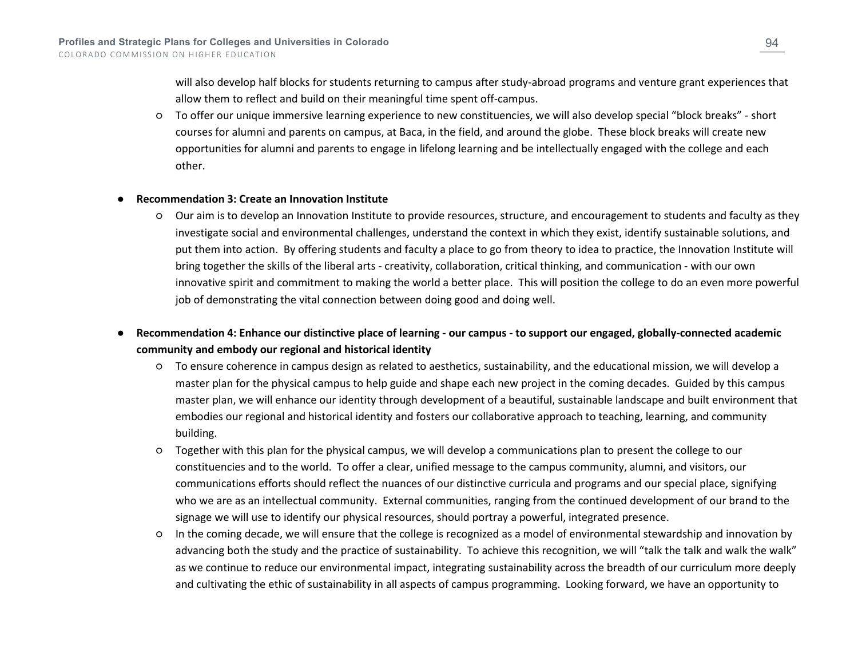will also develop half blocks for students returning to campus after study-abroad programs and venture grant experiences that allow them to reflect and build on their meaningful time spent off-campus.

○ To offer our unique immersive learning experience to new constituencies, we will also develop special "block breaks" - short courses for alumni and parents on campus, at Baca, in the field, and around the globe. These block breaks will create new opportunities for alumni and parents to engage in lifelong learning and be intellectually engaged with the college and each other.

#### ● **Recommendation 3: Create an Innovation Institute**

- Our aim is to develop an Innovation Institute to provide resources, structure, and encouragement to students and faculty as they investigate social and environmental challenges, understand the context in which they exist, identify sustainable solutions, and put them into action. By offering students and faculty a place to go from theory to idea to practice, the Innovation Institute will bring together the skills of the liberal arts - creativity, collaboration, critical thinking, and communication - with our own innovative spirit and commitment to making the world a better place. This will position the college to do an even more powerful job of demonstrating the vital connection between doing good and doing well.
- **Recommendation 4: Enhance our distinctive place of learning - our campus - to support our engaged, globally-connected academic community and embody our regional and historical identity**
	- To ensure coherence in campus design as related to aesthetics, sustainability, and the educational mission, we will develop a master plan for the physical campus to help guide and shape each new project in the coming decades. Guided by this campus master plan, we will enhance our identity through development of a beautiful, sustainable landscape and built environment that embodies our regional and historical identity and fosters our collaborative approach to teaching, learning, and community building.
	- Together with this plan for the physical campus, we will develop a communications plan to present the college to our constituencies and to the world. To offer a clear, unified message to the campus community, alumni, and visitors, our communications efforts should reflect the nuances of our distinctive curricula and programs and our special place, signifying who we are as an intellectual community. External communities, ranging from the continued development of our brand to the signage we will use to identify our physical resources, should portray a powerful, integrated presence.
	- In the coming decade, we will ensure that the college is recognized as a model of environmental stewardship and innovation by advancing both the study and the practice of sustainability. To achieve this recognition, we will "talk the talk and walk the walk" as we continue to reduce our environmental impact, integrating sustainability across the breadth of our curriculum more deeply and cultivating the ethic of sustainability in all aspects of campus programming. Looking forward, we have an opportunity to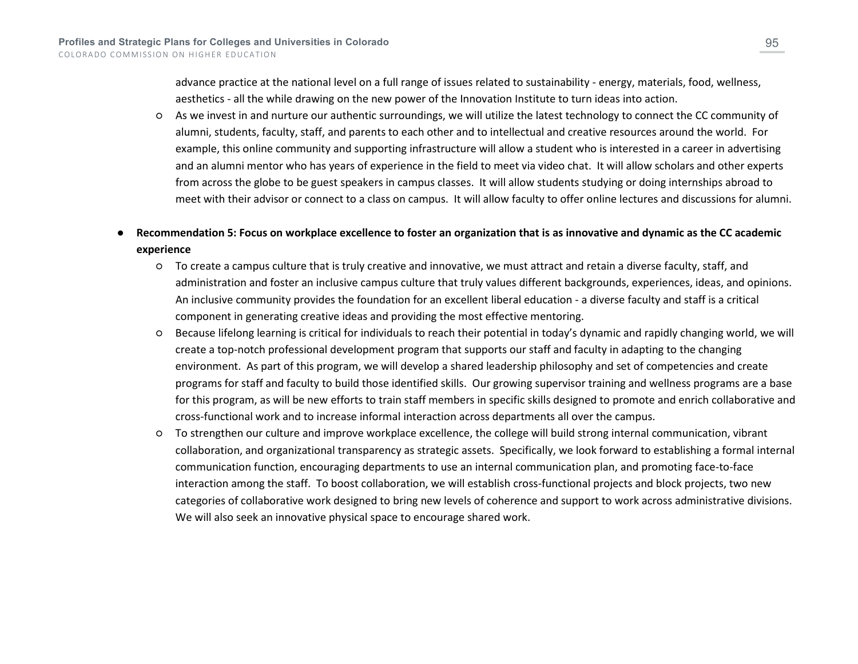advance practice at the national level on a full range of issues related to sustainability - energy, materials, food, wellness, aesthetics - all the while drawing on the new power of the Innovation Institute to turn ideas into action.

○ As we invest in and nurture our authentic surroundings, we will utilize the latest technology to connect the CC community of alumni, students, faculty, staff, and parents to each other and to intellectual and creative resources around the world. For example, this online community and supporting infrastructure will allow a student who is interested in a career in advertising and an alumni mentor who has years of experience in the field to meet via video chat. It will allow scholars and other experts from across the globe to be guest speakers in campus classes. It will allow students studying or doing internships abroad to meet with their advisor or connect to a class on campus. It will allow faculty to offer online lectures and discussions for alumni.

### ● **Recommendation 5: Focus on workplace excellence to foster an organization that is as innovative and dynamic as the CC academic experience**

- To create a campus culture that is truly creative and innovative, we must attract and retain a diverse faculty, staff, and administration and foster an inclusive campus culture that truly values different backgrounds, experiences, ideas, and opinions. An inclusive community provides the foundation for an excellent liberal education - a diverse faculty and staff is a critical component in generating creative ideas and providing the most effective mentoring.
- Because lifelong learning is critical for individuals to reach their potential in today's dynamic and rapidly changing world, we will create a top-notch professional development program that supports our staff and faculty in adapting to the changing environment. As part of this program, we will develop a shared leadership philosophy and set of competencies and create programs for staff and faculty to build those identified skills. Our growing supervisor training and wellness programs are a base for this program, as will be new efforts to train staff members in specific skills designed to promote and enrich collaborative and cross-functional work and to increase informal interaction across departments all over the campus.
- To strengthen our culture and improve workplace excellence, the college will build strong internal communication, vibrant collaboration, and organizational transparency as strategic assets. Specifically, we look forward to establishing a formal internal communication function, encouraging departments to use an internal communication plan, and promoting face-to-face interaction among the staff. To boost collaboration, we will establish cross-functional projects and block projects, two new categories of collaborative work designed to bring new levels of coherence and support to work across administrative divisions. We will also seek an innovative physical space to encourage shared work.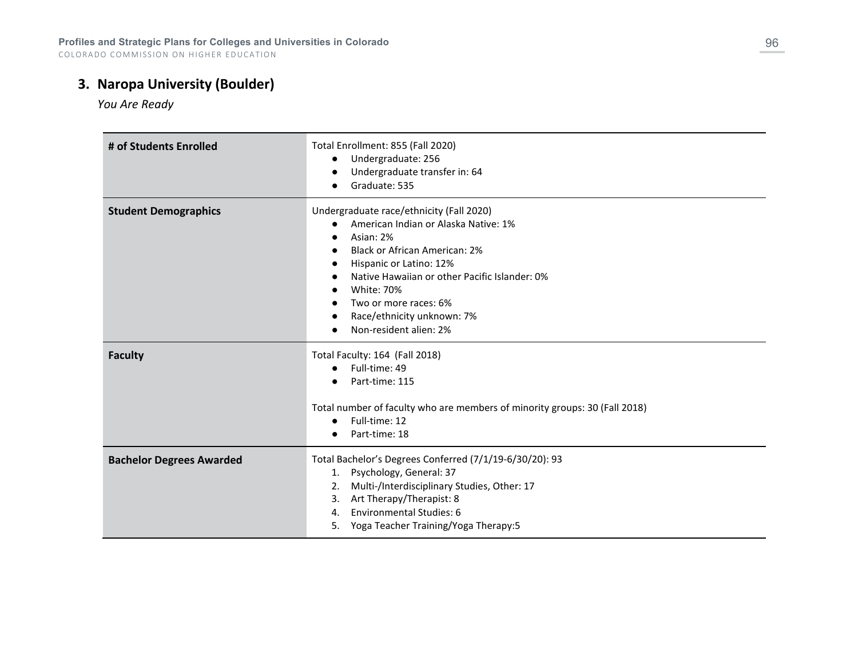COLORADO COMMISSION ON HIGHER EDUCATION

# **3. Naropa University (Boulder)**

*You Are Ready*

| # of Students Enrolled          | Total Enrollment: 855 (Fall 2020)<br>Undergraduate: 256<br>$\bullet$<br>Undergraduate transfer in: 64<br>Graduate: 535                                                                                                                                                                                                  |
|---------------------------------|-------------------------------------------------------------------------------------------------------------------------------------------------------------------------------------------------------------------------------------------------------------------------------------------------------------------------|
| <b>Student Demographics</b>     | Undergraduate race/ethnicity (Fall 2020)<br>American Indian or Alaska Native: 1%<br>Asian: 2%<br><b>Black or African American: 2%</b><br>Hispanic or Latino: 12%<br>Native Hawaiian or other Pacific Islander: 0%<br><b>White: 70%</b><br>Two or more races: 6%<br>Race/ethnicity unknown: 7%<br>Non-resident alien: 2% |
| <b>Faculty</b>                  | Total Faculty: 164 (Fall 2018)<br>Full-time: 49<br>Part-time: 115<br>Total number of faculty who are members of minority groups: 30 (Fall 2018)<br>Full-time: 12<br>Part-time: 18                                                                                                                                       |
| <b>Bachelor Degrees Awarded</b> | Total Bachelor's Degrees Conferred (7/1/19-6/30/20): 93<br>Psychology, General: 37<br>1.<br>Multi-/Interdisciplinary Studies, Other: 17<br>2.<br>Art Therapy/Therapist: 8<br>3.<br><b>Environmental Studies: 6</b><br>4.<br>Yoga Teacher Training/Yoga Therapy:5<br>5.                                                  |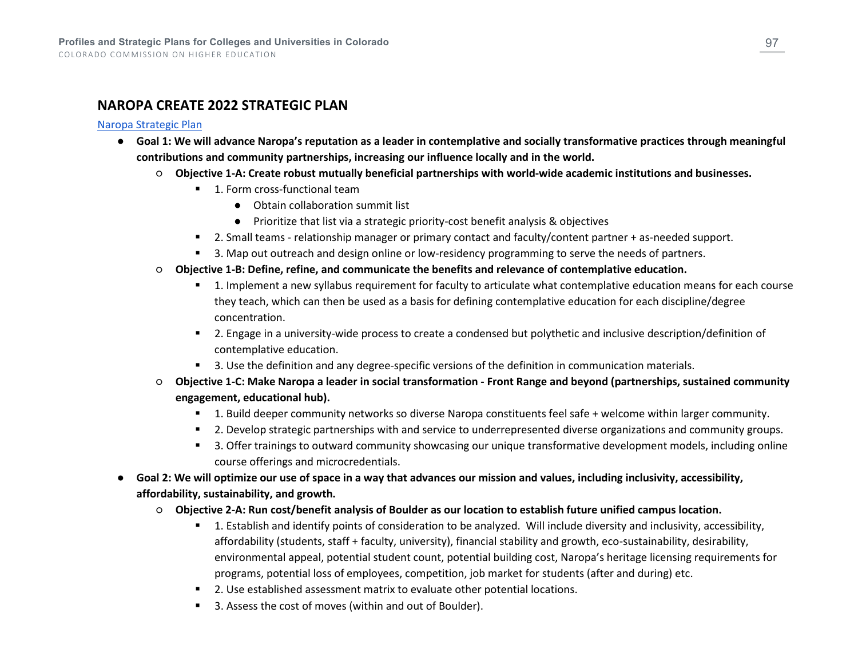### **NAROPA CREATE 2022 STRATEGIC PLAN**

#### [Naropa Strategic Plan](https://www.naropa.edu/wp-content/uploads/2021/03/Create-2022-Strategic-Plan.pdf)

- **Goal 1: We will advance Naropa's reputation as a leader in contemplative and socially transformative practices through meaningful contributions and community partnerships, increasing our influence locally and in the world.**
	- **Objective 1-A: Create robust mutually beneficial partnerships with world-wide academic institutions and businesses.**
		- 1. Form cross-functional team
			- Obtain collaboration summit list
			- Prioritize that list via a strategic priority-cost benefit analysis & objectives
		- **2.** Small teams relationship manager or primary contact and faculty/content partner + as-needed support.
		- **3.** Map out outreach and design online or low-residency programming to serve the needs of partners.
	- **Objective 1-B: Define, refine, and communicate the benefits and relevance of contemplative education.**
		- 1. Implement a new syllabus requirement for faculty to articulate what contemplative education means for each course they teach, which can then be used as a basis for defining contemplative education for each discipline/degree concentration.
		- 2. Engage in a university-wide process to create a condensed but polythetic and inclusive description/definition of contemplative education.
		- 3. Use the definition and any degree-specific versions of the definition in communication materials.
	- **Objective 1-C: Make Naropa a leader in social transformation - Front Range and beyond (partnerships, sustained community engagement, educational hub).**
		- 1. Build deeper community networks so diverse Naropa constituents feel safe + welcome within larger community.
		- **2.** Develop strategic partnerships with and service to underrepresented diverse organizations and community groups.
		- <sup>5</sup> 3. Offer trainings to outward community showcasing our unique transformative development models, including online course offerings and microcredentials.
- **Goal 2: We will optimize our use of space in a way that advances our mission and values, including inclusivity, accessibility, affordability, sustainability, and growth.**
	- **Objective 2-A: Run cost/benefit analysis of Boulder as our location to establish future unified campus location.**
		- 1. Establish and identify points of consideration to be analyzed. Will include diversity and inclusivity, accessibility, affordability (students, staff + faculty, university), financial stability and growth, eco-sustainability, desirability, environmental appeal, potential student count, potential building cost, Naropa's heritage licensing requirements for programs, potential loss of employees, competition, job market for students (after and during) etc.
		- 2. Use established assessment matrix to evaluate other potential locations.
		- 3. Assess the cost of moves (within and out of Boulder).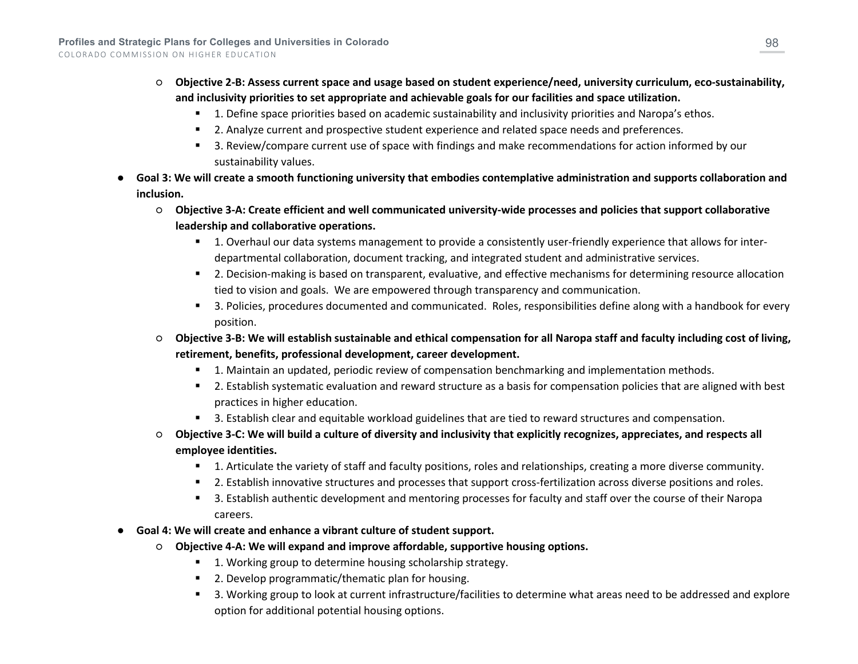- **Objective 2-B: Assess current space and usage based on student experience/need, university curriculum, eco-sustainability, and inclusivity priorities to set appropriate and achievable goals for our facilities and space utilization.**
	- **1.** Define space priorities based on academic sustainability and inclusivity priorities and Naropa's ethos.
	- **2.** Analyze current and prospective student experience and related space needs and preferences.
	- 3. Review/compare current use of space with findings and make recommendations for action informed by our sustainability values.
- Goal 3: We will create a smooth functioning university that embodies contemplative administration and supports collaboration and **inclusion.**
	- **Objective 3-A: Create efficient and well communicated university-wide processes and policies that support collaborative leadership and collaborative operations.**
		- 1. Overhaul our data systems management to provide a consistently user-friendly experience that allows for interdepartmental collaboration, document tracking, and integrated student and administrative services.
		- 2. Decision-making is based on transparent, evaluative, and effective mechanisms for determining resource allocation tied to vision and goals. We are empowered through transparency and communication.
		- 3. Policies, procedures documented and communicated. Roles, responsibilities define along with a handbook for every position.
	- **Objective 3-B: We will establish sustainable and ethical compensation for all Naropa staff and faculty including cost of living, retirement, benefits, professional development, career development.**
		- 1. Maintain an updated, periodic review of compensation benchmarking and implementation methods.
		- 2. Establish systematic evaluation and reward structure as a basis for compensation policies that are aligned with best practices in higher education.
		- 3. Establish clear and equitable workload guidelines that are tied to reward structures and compensation.
	- **Objective 3-C: We will build a culture of diversity and inclusivity that explicitly recognizes, appreciates, and respects all employee identities.**
		- 1. Articulate the variety of staff and faculty positions, roles and relationships, creating a more diverse community.
		- **2.** Establish innovative structures and processes that support cross-fertilization across diverse positions and roles.
		- **5** 3. Establish authentic development and mentoring processes for faculty and staff over the course of their Naropa careers.
- **Goal 4: We will create and enhance a vibrant culture of student support.**
	- **Objective 4-A: We will expand and improve affordable, supportive housing options.**
		- **1.** Working group to determine housing scholarship strategy.
		- 2. Develop programmatic/thematic plan for housing.
		- 3. Working group to look at current infrastructure/facilities to determine what areas need to be addressed and explore option for additional potential housing options.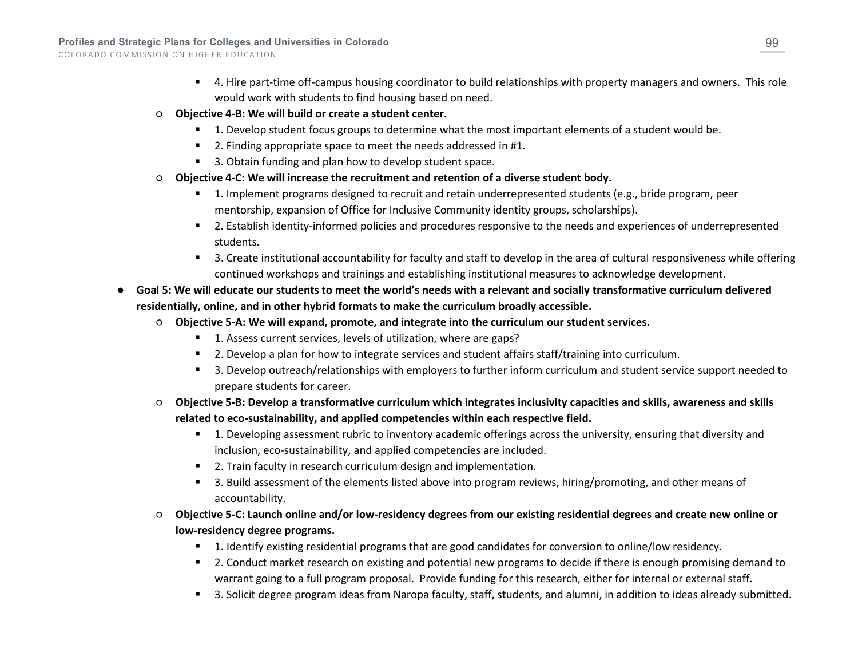- 4. Hire part-time off-campus housing coordinator to build relationships with property managers and owners. This role would work with students to find housing based on need.
- **Objective 4-B: We will build or create a student center.**
	- **1.** Develop student focus groups to determine what the most important elements of a student would be.
	- **2. Finding appropriate space to meet the needs addressed in #1.**
	- 3. Obtain funding and plan how to develop student space.
- **Objective 4-C: We will increase the recruitment and retention of a diverse student body.**
	- 1. Implement programs designed to recruit and retain underrepresented students (e.g., bride program, peer mentorship, expansion of Office for Inclusive Community identity groups, scholarships).
	- 2. Establish identity-informed policies and procedures responsive to the needs and experiences of underrepresented students.
	- 3. Create institutional accountability for faculty and staff to develop in the area of cultural responsiveness while offering continued workshops and trainings and establishing institutional measures to acknowledge development.
- **Goal 5: We will educate our students to meet the world's needs with a relevant and socially transformative curriculum delivered residentially, online, and in other hybrid formats to make the curriculum broadly accessible.**
	- **Objective 5-A: We will expand, promote, and integrate into the curriculum our student services.**
		- 1. Assess current services, levels of utilization, where are gaps?
		- **2.** Develop a plan for how to integrate services and student affairs staff/training into curriculum.
		- 3. Develop outreach/relationships with employers to further inform curriculum and student service support needed to prepare students for career.
	- **Objective 5-B: Develop a transformative curriculum which integrates inclusivity capacities and skills, awareness and skills related to eco-sustainability, and applied competencies within each respective field.**
		- 1. Developing assessment rubric to inventory academic offerings across the university, ensuring that diversity and inclusion, eco-sustainability, and applied competencies are included.
		- 2. Train faculty in research curriculum design and implementation.
		- 3. Build assessment of the elements listed above into program reviews, hiring/promoting, and other means of accountability.
	- **Objective 5-C: Launch online and/or low-residency degrees from our existing residential degrees and create new online or low-residency degree programs.**
		- 1. Identify existing residential programs that are good candidates for conversion to online/low residency.
		- **2.** Conduct market research on existing and potential new programs to decide if there is enough promising demand to warrant going to a full program proposal. Provide funding for this research, either for internal or external staff.
		- 3. Solicit degree program ideas from Naropa faculty, staff, students, and alumni, in addition to ideas already submitted.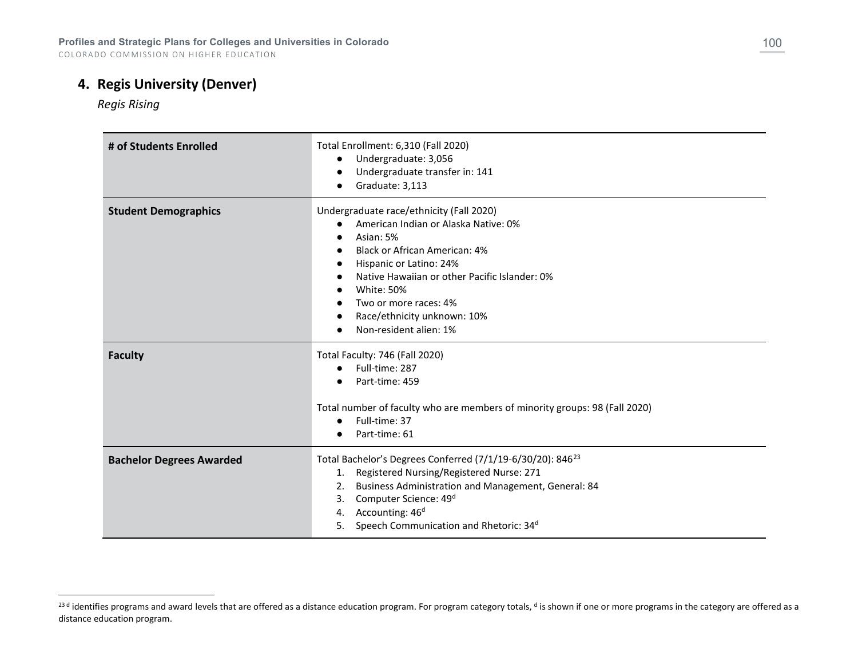COLORADO COMMISSION ON HIGHER EDUCATION

## **4. Regis University (Denver)**

<span id="page-99-0"></span>*Regis Rising* 

| # of Students Enrolled          | Total Enrollment: 6,310 (Fall 2020)<br>Undergraduate: 3,056<br>$\bullet$<br>Undergraduate transfer in: 141<br>$\bullet$<br>Graduate: 3,113                                                                                                                                                                                                  |
|---------------------------------|---------------------------------------------------------------------------------------------------------------------------------------------------------------------------------------------------------------------------------------------------------------------------------------------------------------------------------------------|
| <b>Student Demographics</b>     | Undergraduate race/ethnicity (Fall 2020)<br>American Indian or Alaska Native: 0%<br>Asian: 5%<br>$\bullet$<br><b>Black or African American: 4%</b><br>Hispanic or Latino: 24%<br>$\bullet$<br>Native Hawaiian or other Pacific Islander: 0%<br>White: 50%<br>Two or more races: 4%<br>Race/ethnicity unknown: 10%<br>Non-resident alien: 1% |
| <b>Faculty</b>                  | Total Faculty: 746 (Fall 2020)<br>Full-time: 287<br>$\bullet$<br>Part-time: 459<br>Total number of faculty who are members of minority groups: 98 (Fall 2020)<br>Full-time: 37<br>$\bullet$<br>Part-time: 61                                                                                                                                |
| <b>Bachelor Degrees Awarded</b> | Total Bachelor's Degrees Conferred (7/1/19-6/30/20): 846 <sup>23</sup><br>Registered Nursing/Registered Nurse: 271<br>1.<br>Business Administration and Management, General: 84<br>2.<br>Computer Science: 49 <sup>d</sup><br>3.<br>Accounting: 46 <sup>d</sup><br>4.<br>Speech Communication and Rhetoric: 34 <sup>d</sup><br>5.           |

<sup>&</sup>lt;sup>23 d</sup> identifies programs and award levels that are offered as a distance education program. For program category totals, <sup>d</sup> is shown if one or more programs in the category are offered as a distance education program.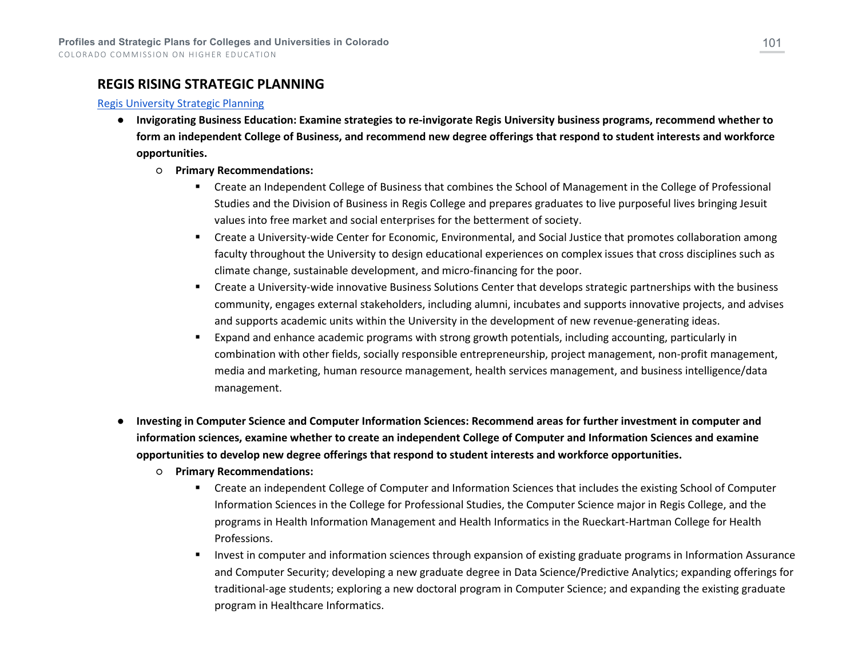### **REGIS RISING STRATEGIC PLANNING**

#### [Regis University Strategic Planning](https://www.regis.edu/_documents/about/Regis_StrategicPlan_ExecutiveSummary_2014.pdf)

- **Invigorating Business Education: Examine strategies to re-invigorate Regis University business programs, recommend whether to form an independent College of Business, and recommend new degree offerings that respond to student interests and workforce opportunities.**
	- **Primary Recommendations:**
		- **EXP** Create an Independent College of Business that combines the School of Management in the College of Professional Studies and the Division of Business in Regis College and prepares graduates to live purposeful lives bringing Jesuit values into free market and social enterprises for the betterment of society.
		- Create a University-wide Center for Economic, Environmental, and Social Justice that promotes collaboration among faculty throughout the University to design educational experiences on complex issues that cross disciplines such as climate change, sustainable development, and micro-financing for the poor.
		- Create a University-wide innovative Business Solutions Center that develops strategic partnerships with the business community, engages external stakeholders, including alumni, incubates and supports innovative projects, and advises and supports academic units within the University in the development of new revenue-generating ideas.
		- Expand and enhance academic programs with strong growth potentials, including accounting, particularly in combination with other fields, socially responsible entrepreneurship, project management, non-profit management, media and marketing, human resource management, health services management, and business intelligence/data management.
- **Investing in Computer Science and Computer Information Sciences: Recommend areas for further investment in computer and information sciences, examine whether to create an independent College of Computer and Information Sciences and examine opportunities to develop new degree offerings that respond to student interests and workforce opportunities.**
	- **Primary Recommendations:**
		- Create an independent College of Computer and Information Sciences that includes the existing School of Computer Information Sciences in the College for Professional Studies, the Computer Science major in Regis College, and the programs in Health Information Management and Health Informatics in the Rueckart-Hartman College for Health Professions.
		- Invest in computer and information sciences through expansion of existing graduate programs in Information Assurance and Computer Security; developing a new graduate degree in Data Science/Predictive Analytics; expanding offerings for traditional-age students; exploring a new doctoral program in Computer Science; and expanding the existing graduate program in Healthcare Informatics.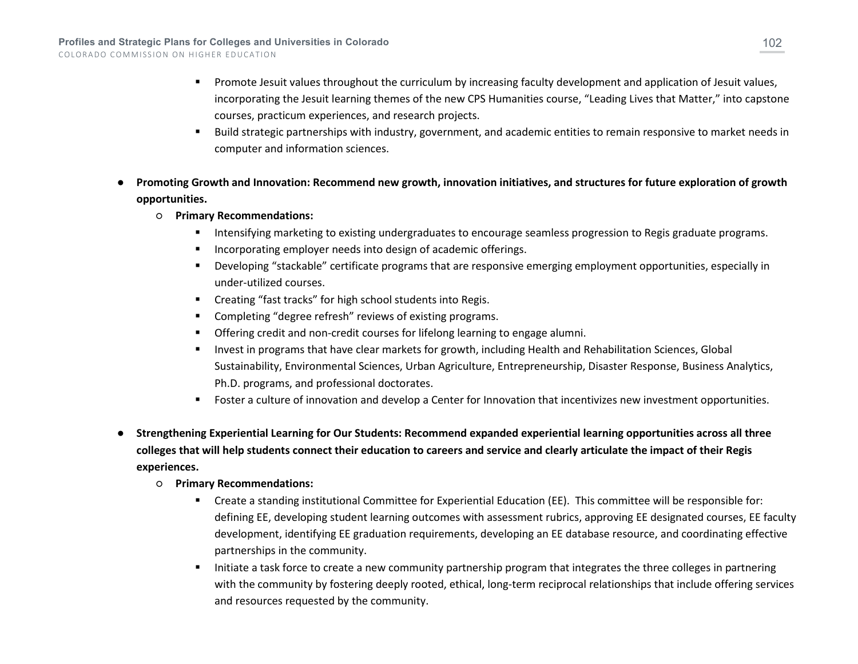- **Promote Jesuit values throughout the curriculum by increasing faculty development and application of Jesuit values,** incorporating the Jesuit learning themes of the new CPS Humanities course, "Leading Lives that Matter," into capstone courses, practicum experiences, and research projects.
- Build strategic partnerships with industry, government, and academic entities to remain responsive to market needs in computer and information sciences.
- **Promoting Growth and Innovation: Recommend new growth, innovation initiatives, and structures for future exploration of growth opportunities.**
	- **Primary Recommendations:**
		- **Intensifying marketing to existing undergraduates to encourage seamless progression to Regis graduate programs.**
		- **Incorporating employer needs into design of academic offerings.**
		- Developing "stackable" certificate programs that are responsive emerging employment opportunities, especially in under-utilized courses.
		- Creating "fast tracks" for high school students into Regis.
		- Completing "degree refresh" reviews of existing programs.
		- Offering credit and non-credit courses for lifelong learning to engage alumni.
		- Invest in programs that have clear markets for growth, including Health and Rehabilitation Sciences, Global Sustainability, Environmental Sciences, Urban Agriculture, Entrepreneurship, Disaster Response, Business Analytics, Ph.D. programs, and professional doctorates.
		- Foster a culture of innovation and develop a Center for Innovation that incentivizes new investment opportunities.
- **Strengthening Experiential Learning for Our Students: Recommend expanded experiential learning opportunities across all three colleges that will help students connect their education to careers and service and clearly articulate the impact of their Regis experiences.**
	- **Primary Recommendations:**
		- Create a standing institutional Committee for Experiential Education (EE). This committee will be responsible for: defining EE, developing student learning outcomes with assessment rubrics, approving EE designated courses, EE faculty development, identifying EE graduation requirements, developing an EE database resource, and coordinating effective partnerships in the community.
		- Initiate a task force to create a new community partnership program that integrates the three colleges in partnering with the community by fostering deeply rooted, ethical, long-term reciprocal relationships that include offering services and resources requested by the community.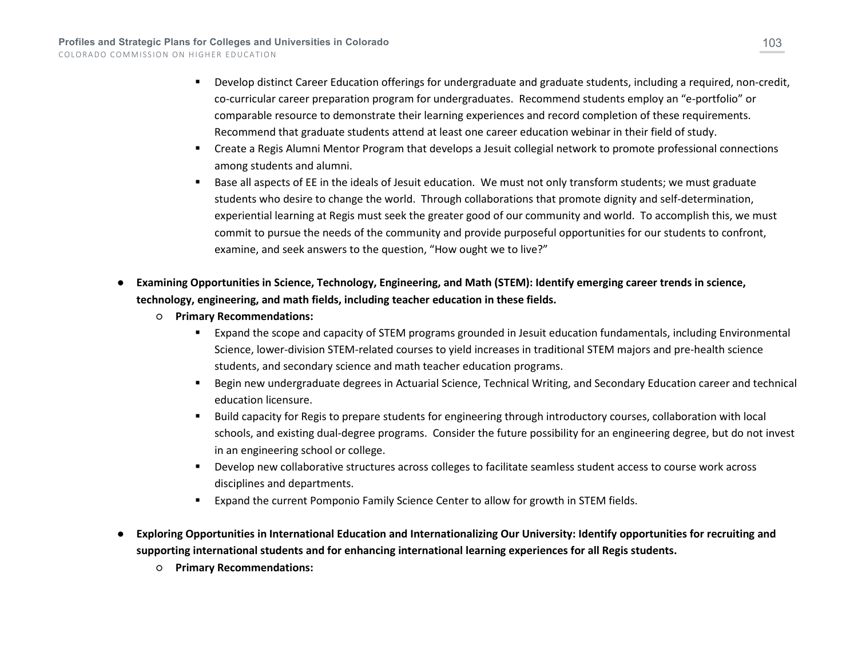- Develop distinct Career Education offerings for undergraduate and graduate students, including a required, non-credit, co-curricular career preparation program for undergraduates. Recommend students employ an "e-portfolio" or comparable resource to demonstrate their learning experiences and record completion of these requirements. Recommend that graduate students attend at least one career education webinar in their field of study.
- Create a Regis Alumni Mentor Program that develops a Jesuit collegial network to promote professional connections among students and alumni.
- Base all aspects of EE in the ideals of Jesuit education. We must not only transform students; we must graduate students who desire to change the world. Through collaborations that promote dignity and self-determination, experiential learning at Regis must seek the greater good of our community and world. To accomplish this, we must commit to pursue the needs of the community and provide purposeful opportunities for our students to confront, examine, and seek answers to the question, "How ought we to live?"
- **Examining Opportunities in Science, Technology, Engineering, and Math (STEM): Identify emerging career trends in science, technology, engineering, and math fields, including teacher education in these fields.**
	- **Primary Recommendations:**
		- Expand the scope and capacity of STEM programs grounded in Jesuit education fundamentals, including Environmental Science, lower-division STEM-related courses to yield increases in traditional STEM majors and pre-health science students, and secondary science and math teacher education programs.
		- Begin new undergraduate degrees in Actuarial Science, Technical Writing, and Secondary Education career and technical education licensure.
		- Build capacity for Regis to prepare students for engineering through introductory courses, collaboration with local schools, and existing dual-degree programs. Consider the future possibility for an engineering degree, but do not invest in an engineering school or college.
		- Develop new collaborative structures across colleges to facilitate seamless student access to course work across disciplines and departments.
		- Expand the current Pomponio Family Science Center to allow for growth in STEM fields.
- **Exploring Opportunities in International Education and Internationalizing Our University: Identify opportunities for recruiting and supporting international students and for enhancing international learning experiences for all Regis students.**
	- **Primary Recommendations:**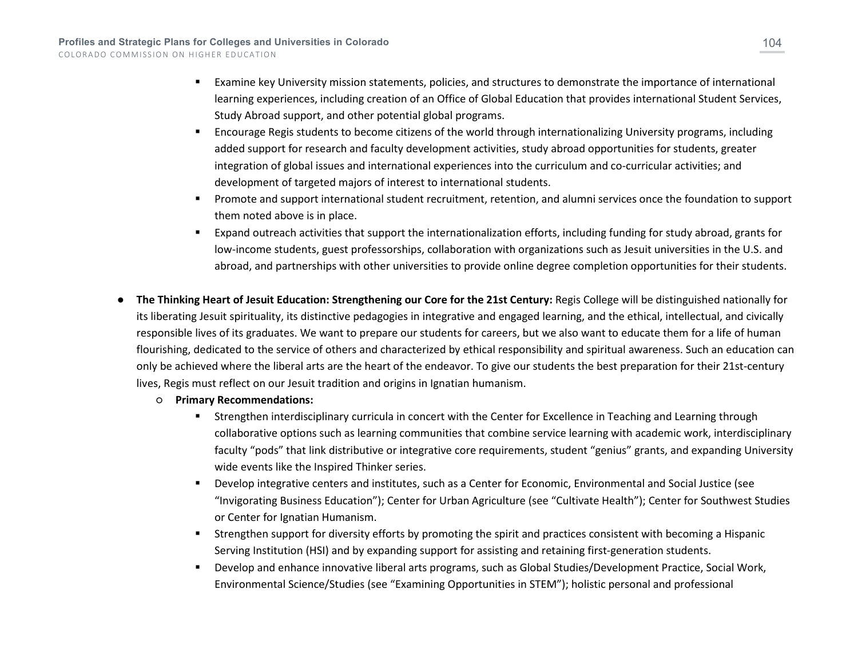- Examine key University mission statements, policies, and structures to demonstrate the importance of international learning experiences, including creation of an Office of Global Education that provides international Student Services, Study Abroad support, and other potential global programs.
- Encourage Regis students to become citizens of the world through internationalizing University programs, including added support for research and faculty development activities, study abroad opportunities for students, greater integration of global issues and international experiences into the curriculum and co-curricular activities; and development of targeted majors of interest to international students.
- Promote and support international student recruitment, retention, and alumni services once the foundation to support them noted above is in place.
- Expand outreach activities that support the internationalization efforts, including funding for study abroad, grants for low-income students, guest professorships, collaboration with organizations such as Jesuit universities in the U.S. and abroad, and partnerships with other universities to provide online degree completion opportunities for their students.
- **The Thinking Heart of Jesuit Education: Strengthening our Core for the 21st Century: Regis College will be distinguished nationally for** its liberating Jesuit spirituality, its distinctive pedagogies in integrative and engaged learning, and the ethical, intellectual, and civically responsible lives of its graduates. We want to prepare our students for careers, but we also want to educate them for a life of human flourishing, dedicated to the service of others and characterized by ethical responsibility and spiritual awareness. Such an education can only be achieved where the liberal arts are the heart of the endeavor. To give our students the best preparation for their 21st-century lives, Regis must reflect on our Jesuit tradition and origins in Ignatian humanism.
	- **Primary Recommendations:**
		- Strengthen interdisciplinary curricula in concert with the Center for Excellence in Teaching and Learning through collaborative options such as learning communities that combine service learning with academic work, interdisciplinary faculty "pods" that link distributive or integrative core requirements, student "genius" grants, and expanding University wide events like the Inspired Thinker series.
		- Develop integrative centers and institutes, such as a Center for Economic, Environmental and Social Justice (see "Invigorating Business Education"); Center for Urban Agriculture (see "Cultivate Health"); Center for Southwest Studies or Center for Ignatian Humanism.
		- Strengthen support for diversity efforts by promoting the spirit and practices consistent with becoming a Hispanic Serving Institution (HSI) and by expanding support for assisting and retaining first-generation students.
		- Develop and enhance innovative liberal arts programs, such as Global Studies/Development Practice, Social Work, Environmental Science/Studies (see "Examining Opportunities in STEM"); holistic personal and professional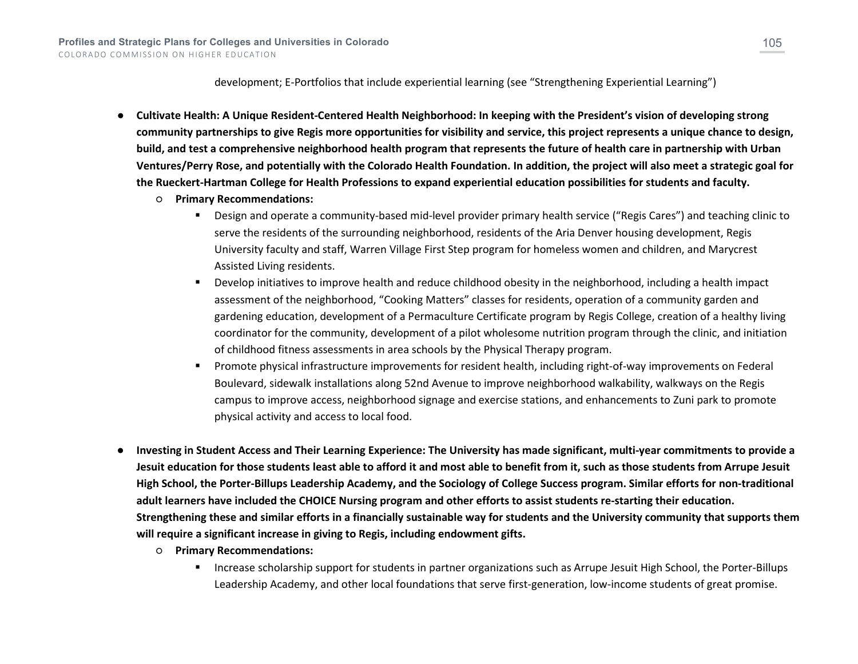development; E-Portfolios that include experiential learning (see "Strengthening Experiential Learning")

- **Cultivate Health: A Unique Resident-Centered Health Neighborhood: In keeping with the President's vision of developing strong community partnerships to give Regis more opportunities for visibility and service, this project represents a unique chance to design, build, and test a comprehensive neighborhood health program that represents the future of health care in partnership with Urban Ventures/Perry Rose, and potentially with the Colorado Health Foundation. In addition, the project will also meet a strategic goal for the Rueckert-Hartman College for Health Professions to expand experiential education possibilities for students and faculty.**
	- **Primary Recommendations:**
		- Design and operate a community-based mid-level provider primary health service ("Regis Cares") and teaching clinic to serve the residents of the surrounding neighborhood, residents of the Aria Denver housing development, Regis University faculty and staff, Warren Village First Step program for homeless women and children, and Marycrest Assisted Living residents.
		- Develop initiatives to improve health and reduce childhood obesity in the neighborhood, including a health impact assessment of the neighborhood, "Cooking Matters" classes for residents, operation of a community garden and gardening education, development of a Permaculture Certificate program by Regis College, creation of a healthy living coordinator for the community, development of a pilot wholesome nutrition program through the clinic, and initiation of childhood fitness assessments in area schools by the Physical Therapy program.
		- Promote physical infrastructure improvements for resident health, including right-of-way improvements on Federal Boulevard, sidewalk installations along 52nd Avenue to improve neighborhood walkability, walkways on the Regis campus to improve access, neighborhood signage and exercise stations, and enhancements to Zuni park to promote physical activity and access to local food.
- **Investing in Student Access and Their Learning Experience: The University has made significant, multi-year commitments to provide a Jesuit education for those students least able to afford it and most able to benefit from it, such as those students from Arrupe Jesuit High School, the Porter-Billups Leadership Academy, and the Sociology of College Success program. Similar efforts for non-traditional adult learners have included the CHOICE Nursing program and other efforts to assist students re-starting their education. Strengthening these and similar efforts in a financially sustainable way for students and the University community that supports them will require a significant increase in giving to Regis, including endowment gifts.**
	- **Primary Recommendations:**
		- Increase scholarship support for students in partner organizations such as Arrupe Jesuit High School, the Porter-Billups Leadership Academy, and other local foundations that serve first-generation, low-income students of great promise.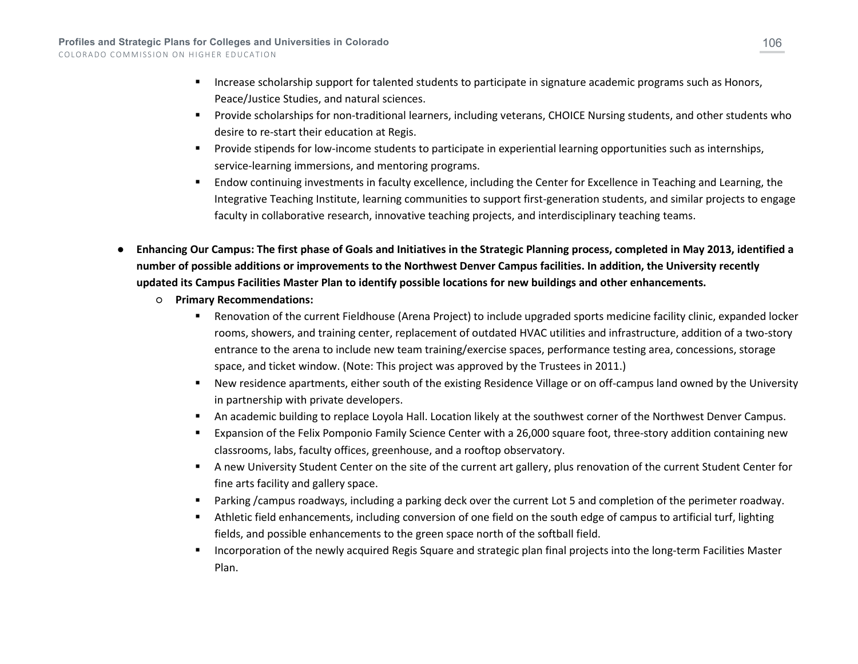- **Increase scholarship support for talented students to participate in signature academic programs such as Honors,** Peace/Justice Studies, and natural sciences.
- Provide scholarships for non-traditional learners, including veterans, CHOICE Nursing students, and other students who desire to re-start their education at Regis.
- Provide stipends for low-income students to participate in experiential learning opportunities such as internships, service-learning immersions, and mentoring programs.
- **Endow continuing investments in faculty excellence, including the Center for Excellence in Teaching and Learning, the** Integrative Teaching Institute, learning communities to support first-generation students, and similar projects to engage faculty in collaborative research, innovative teaching projects, and interdisciplinary teaching teams.
- **Enhancing Our Campus: The first phase of Goals and Initiatives in the Strategic Planning process, completed in May 2013, identified a number of possible additions or improvements to the Northwest Denver Campus facilities. In addition, the University recently updated its Campus Facilities Master Plan to identify possible locations for new buildings and other enhancements.** 
	- **Primary Recommendations:**
		- Renovation of the current Fieldhouse (Arena Project) to include upgraded sports medicine facility clinic, expanded locker rooms, showers, and training center, replacement of outdated HVAC utilities and infrastructure, addition of a two-story entrance to the arena to include new team training/exercise spaces, performance testing area, concessions, storage space, and ticket window. (Note: This project was approved by the Trustees in 2011.)
		- New residence apartments, either south of the existing Residence Village or on off-campus land owned by the University in partnership with private developers.
		- An academic building to replace Loyola Hall. Location likely at the southwest corner of the Northwest Denver Campus.
		- Expansion of the Felix Pomponio Family Science Center with a 26,000 square foot, three-story addition containing new classrooms, labs, faculty offices, greenhouse, and a rooftop observatory.
		- A new University Student Center on the site of the current art gallery, plus renovation of the current Student Center for fine arts facility and gallery space.
		- Parking /campus roadways, including a parking deck over the current Lot 5 and completion of the perimeter roadway.
		- Athletic field enhancements, including conversion of one field on the south edge of campus to artificial turf, lighting fields, and possible enhancements to the green space north of the softball field.
		- **Incorporation of the newly acquired Regis Square and strategic plan final projects into the long-term Facilities Master** Plan.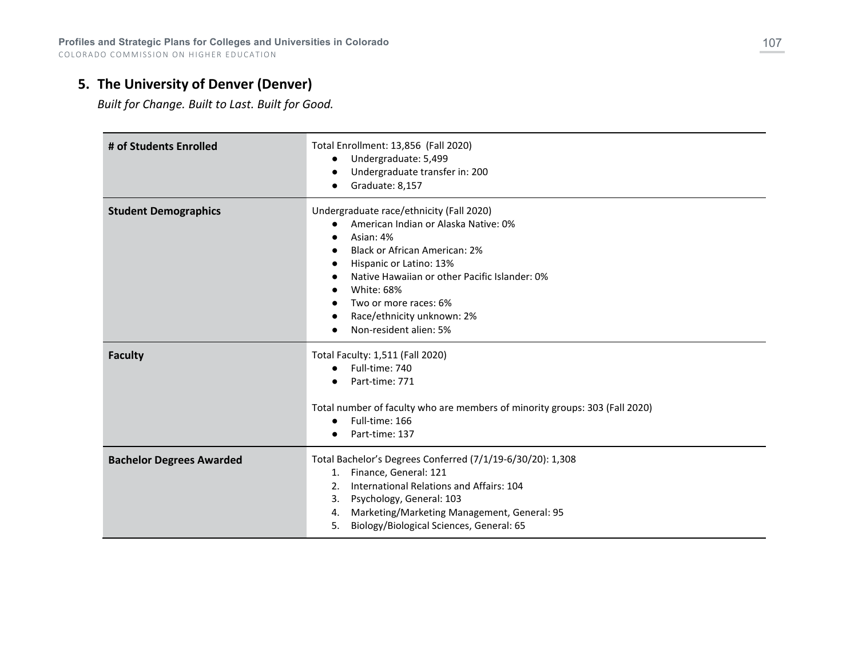**Profiles and Strategic Plans for Colleges and Universities in Colorado** COLORADO COMMISSION ON HIGHER EDUCATION

## **5. The University of Denver (Denver)**

*Built for Change. Built to Last. Built for Good.*

| # of Students Enrolled          | Total Enrollment: 13,856 (Fall 2020)<br>Undergraduate: 5,499<br>Undergraduate transfer in: 200<br>Graduate: 8,157                                                                                                                                                                                                       |
|---------------------------------|-------------------------------------------------------------------------------------------------------------------------------------------------------------------------------------------------------------------------------------------------------------------------------------------------------------------------|
| <b>Student Demographics</b>     | Undergraduate race/ethnicity (Fall 2020)<br>American Indian or Alaska Native: 0%<br>Asian: 4%<br><b>Black or African American: 2%</b><br>Hispanic or Latino: 13%<br>Native Hawaiian or other Pacific Islander: 0%<br><b>White: 68%</b><br>Two or more races: 6%<br>Race/ethnicity unknown: 2%<br>Non-resident alien: 5% |
| <b>Faculty</b>                  | Total Faculty: 1,511 (Fall 2020)<br>Full-time: 740<br>Part-time: 771<br>Total number of faculty who are members of minority groups: 303 (Fall 2020)<br>Full-time: 166<br>$\bullet$<br>Part-time: 137                                                                                                                    |
| <b>Bachelor Degrees Awarded</b> | Total Bachelor's Degrees Conferred (7/1/19-6/30/20): 1,308<br>Finance, General: 121<br>1.<br>International Relations and Affairs: 104<br>2.<br>Psychology, General: 103<br>3.<br>Marketing/Marketing Management, General: 95<br>4.<br>Biology/Biological Sciences, General: 65<br>5.                                    |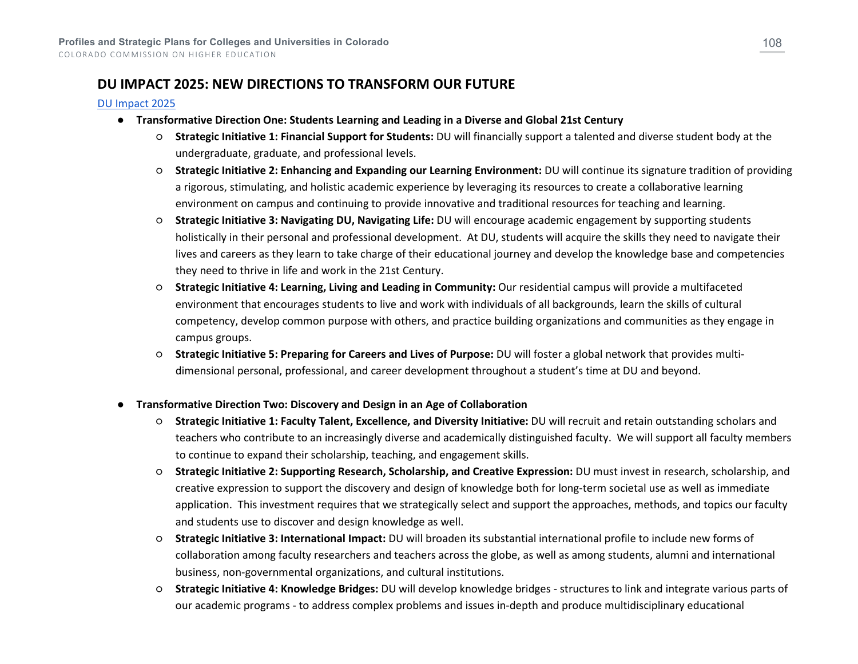## **DU IMPACT 2025: NEW DIRECTIONS TO TRANSFORM OUR FUTURE**

#### [DU Impact 2025](http://impact.du.edu/wp-content/uploads/2018/09/DU-IMPACT-2025-010516-LoRes.pdf)

- **Transformative Direction One: Students Learning and Leading in a Diverse and Global 21st Century**
	- **Strategic Initiative 1: Financial Support for Students:** DU will financially support a talented and diverse student body at the undergraduate, graduate, and professional levels.
	- **Strategic Initiative 2: Enhancing and Expanding our Learning Environment:** DU will continue its signature tradition of providing a rigorous, stimulating, and holistic academic experience by leveraging its resources to create a collaborative learning environment on campus and continuing to provide innovative and traditional resources for teaching and learning.
	- **Strategic Initiative 3: Navigating DU, Navigating Life:** DU will encourage academic engagement by supporting students holistically in their personal and professional development. At DU, students will acquire the skills they need to navigate their lives and careers as they learn to take charge of their educational journey and develop the knowledge base and competencies they need to thrive in life and work in the 21st Century.
	- **Strategic Initiative 4: Learning, Living and Leading in Community:** Our residential campus will provide a multifaceted environment that encourages students to live and work with individuals of all backgrounds, learn the skills of cultural competency, develop common purpose with others, and practice building organizations and communities as they engage in campus groups.
	- **Strategic Initiative 5: Preparing for Careers and Lives of Purpose:** DU will foster a global network that provides multidimensional personal, professional, and career development throughout a student's time at DU and beyond.
- **Transformative Direction Two: Discovery and Design in an Age of Collaboration**
	- **Strategic Initiative 1: Faculty Talent, Excellence, and Diversity Initiative:** DU will recruit and retain outstanding scholars and teachers who contribute to an increasingly diverse and academically distinguished faculty. We will support all faculty members to continue to expand their scholarship, teaching, and engagement skills.
	- **Strategic Initiative 2: Supporting Research, Scholarship, and Creative Expression:** DU must invest in research, scholarship, and creative expression to support the discovery and design of knowledge both for long-term societal use as well as immediate application. This investment requires that we strategically select and support the approaches, methods, and topics our faculty and students use to discover and design knowledge as well.
	- **Strategic Initiative 3: International Impact:** DU will broaden its substantial international profile to include new forms of collaboration among faculty researchers and teachers across the globe, as well as among students, alumni and international business, non-governmental organizations, and cultural institutions.
	- **Strategic Initiative 4: Knowledge Bridges:** DU will develop knowledge bridges structures to link and integrate various parts of our academic programs - to address complex problems and issues in-depth and produce multidisciplinary educational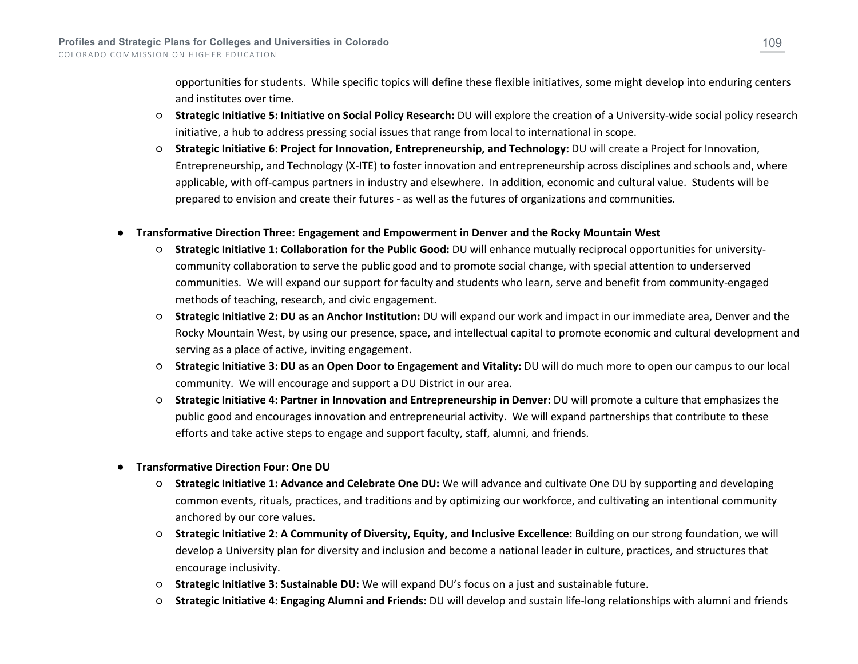opportunities for students. While specific topics will define these flexible initiatives, some might develop into enduring centers and institutes over time.

- **Strategic Initiative 5: Initiative on Social Policy Research:** DU will explore the creation of a University-wide social policy research initiative, a hub to address pressing social issues that range from local to international in scope.
- **Strategic Initiative 6: Project for Innovation, Entrepreneurship, and Technology:** DU will create a Project for Innovation, Entrepreneurship, and Technology (X-ITE) to foster innovation and entrepreneurship across disciplines and schools and, where applicable, with off-campus partners in industry and elsewhere. In addition, economic and cultural value. Students will be prepared to envision and create their futures - as well as the futures of organizations and communities.

## ● **Transformative Direction Three: Engagement and Empowerment in Denver and the Rocky Mountain West**

- **Strategic Initiative 1: Collaboration for the Public Good:** DU will enhance mutually reciprocal opportunities for universitycommunity collaboration to serve the public good and to promote social change, with special attention to underserved communities. We will expand our support for faculty and students who learn, serve and benefit from community-engaged methods of teaching, research, and civic engagement.
- **Strategic Initiative 2: DU as an Anchor Institution:** DU will expand our work and impact in our immediate area, Denver and the Rocky Mountain West, by using our presence, space, and intellectual capital to promote economic and cultural development and serving as a place of active, inviting engagement.
- **Strategic Initiative 3: DU as an Open Door to Engagement and Vitality:** DU will do much more to open our campus to our local community. We will encourage and support a DU District in our area.
- **Strategic Initiative 4: Partner in Innovation and Entrepreneurship in Denver:** DU will promote a culture that emphasizes the public good and encourages innovation and entrepreneurial activity. We will expand partnerships that contribute to these efforts and take active steps to engage and support faculty, staff, alumni, and friends.
- **Transformative Direction Four: One DU**
	- **Strategic Initiative 1: Advance and Celebrate One DU:** We will advance and cultivate One DU by supporting and developing common events, rituals, practices, and traditions and by optimizing our workforce, and cultivating an intentional community anchored by our core values.
	- **Strategic Initiative 2: A Community of Diversity, Equity, and Inclusive Excellence:** Building on our strong foundation, we will develop a University plan for diversity and inclusion and become a national leader in culture, practices, and structures that encourage inclusivity.
	- **Strategic Initiative 3: Sustainable DU:** We will expand DU's focus on a just and sustainable future.
	- **Strategic Initiative 4: Engaging Alumni and Friends:** DU will develop and sustain life-long relationships with alumni and friends